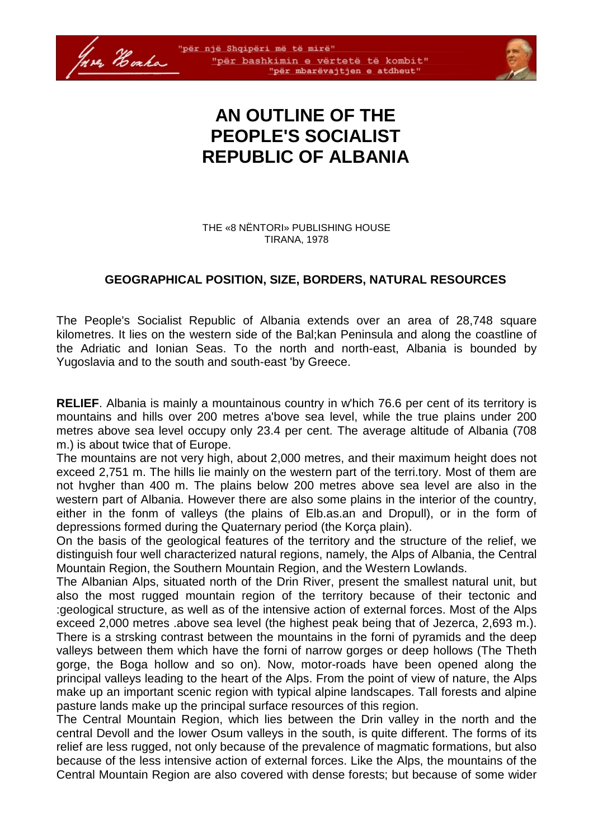



# **AN OUTLINE OF THE PEOPLE'S SOCIALIST REPUBLIC OF ALBANIA**

THE «8 NËNTORI» PUBLISHING HOUSE TIRANA, 1978

### **GEOGRAPHICAL POSITION, SIZE, BORDERS, NATURAL RESOURCES**

The People's Socialist Republic of Albania extends over an area of 28,748 square kilometres. It lies on the western side of the Bal;kan Peninsula and along the coastline of the Adriatic and Ionian Seas. To the north and north-east, Albania is bounded by Yugoslavia and to the south and south-east 'by Greece.

**RELIEF**. Albania is mainly a mountainous country in w'hich 76.6 per cent of its territory is mountains and hills over 200 metres a'bove sea level, while the true plains under 200 metres above sea level occupy only 23.4 per cent. The average altitude of Albania (708 m.) is about twice that of Europe.

The mountains are not very high, about 2,000 metres, and their maximum height does not exceed 2,751 m. The hills lie mainly on the western part of the terri.tory. Most of them are not hvgher than 400 m. The plains below 200 metres above sea level are also in the western part of Albania. However there are also some plains in the interior of the country, either in the fonm of valleys (the plains of Elb.as.an and Dropull), or in the form of depressions formed during the Quaternary period (the Korça plain).

On the basis of the geological features of the territory and the structure of the relief, we distinguish four well characterized natural regions, namely, the Alps of Albania, the Central Mountain Region, the Southern Mountain Region, and the Western Lowlands.

The Albanian Alps, situated north of the Drin River, present the smallest natural unit, but also the most rugged mountain region of the territory because of their tectonic and :geological structure, as well as of the intensive action of external forces. Most of the Alps exceed 2,000 metres .above sea level (the highest peak being that of Jezerca, 2,693 m.). There is a strsking contrast between the mountains in the forni of pyramids and the deep valleys between them which have the forni of narrow gorges or deep hollows (The Theth gorge, the Boga hollow and so on). Now, motor-roads have been opened along the principal valleys leading to the heart of the Alps. From the point of view of nature, the Alps make up an important scenic region with typical alpine landscapes. Tall forests and alpine pasture lands make up the principal surface resources of this region.

The Central Mountain Region, which lies between the Drin valley in the north and the central Devoll and the lower Osum valleys in the south, is quite different. The forms of its relief are less rugged, not only because of the prevalence of magmatic formations, but also because of the less intensive action of external forces. Like the Alps, the mountains of the Central Mountain Region are also covered with dense forests; but because of some wider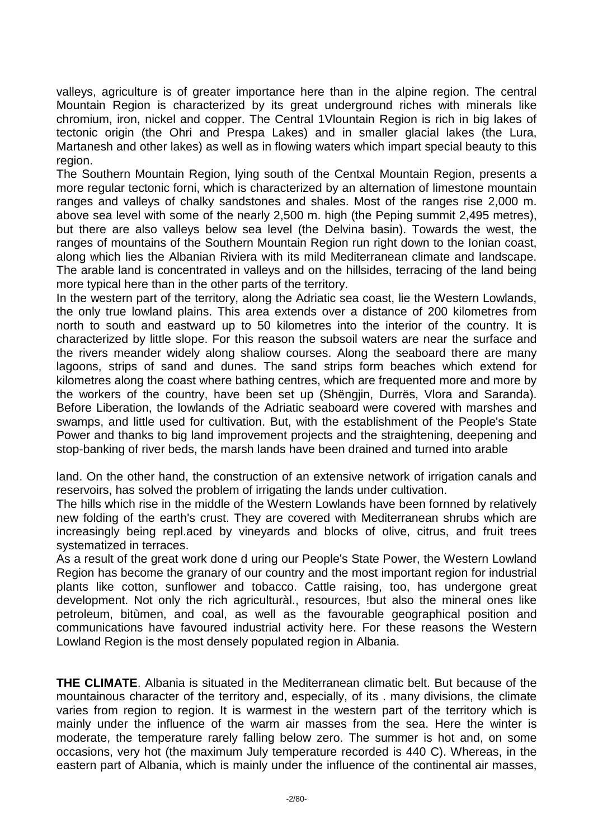valleys, agriculture is of greater importance here than in the alpine region. The central Mountain Region is characterized by its great underground riches with minerals like chromium, iron, nickel and copper. The Central 1Vlountain Region is rich in big lakes of tectonic origin (the Ohri and Prespa Lakes) and in smaller glacial lakes (the Lura, Martanesh and other lakes) as well as in flowing waters which impart special beauty to this region.

The Southern Mountain Region, lying south of the Centxal Mountain Region, presents a more regular tectonic forni, which is characterized by an alternation of limestone mountain ranges and valleys of chalky sandstones and shales. Most of the ranges rise 2,000 m. above sea level with some of the nearly 2,500 m. high (the Peping summit 2,495 metres), but there are also valleys below sea level (the Delvina basin). Towards the west, the ranges of mountains of the Southern Mountain Region run right down to the Ionian coast, along which lies the Albanian Riviera with its mild Mediterranean climate and landscape. The arable land is concentrated in valleys and on the hillsides, terracing of the land being more typical here than in the other parts of the territory.

In the western part of the territory, along the Adriatic sea coast, lie the Western Lowlands, the only true lowland plains. This area extends over a distance of 200 kilometres from north to south and eastward up to 50 kilometres into the interior of the country. It is characterized by little slope. For this reason the subsoil waters are near the surface and the rivers meander widely along shaliow courses. Along the seaboard there are many lagoons, strips of sand and dunes. The sand strips form beaches which extend for kilometres along the coast where bathing centres, which are frequented more and more by the workers of the country, have been set up (Shëngjin, Durrës, Vlora and Saranda). Before Liberation, the lowlands of the Adriatic seaboard were covered with marshes and swamps, and little used for cultivation. But, with the establishment of the People's State Power and thanks to big land improvement projects and the straightening, deepening and stop-banking of river beds, the marsh lands have been drained and turned into arable

land. On the other hand, the construction of an extensive network of irrigation canals and reservoirs, has solved the problem of irrigating the lands under cultivation.

The hills which rise in the middle of the Western Lowlands have been fornned by relatively new folding of the earth's crust. They are covered with Mediterranean shrubs which are increasingly being repl.aced by vineyards and blocks of olive, citrus, and fruit trees systematized in terraces.

As a result of the great work done d uring our People's State Power, the Western Lowland Region has become the granary of our country and the most important region for industrial plants like cotton, sunflower and tobacco. Cattle raising, too, has undergone great development. Not only the rich agriculturàl., resources, !but also the mineral ones like petroleum, bitùmen, and coal, as well as the favourable geographical position and communications have favoured industrial activity here. For these reasons the Western Lowland Region is the most densely populated region in Albania.

**THE CLIMATE**. Albania is situated in the Mediterranean climatic belt. But because of the mountainous character of the territory and, especially, of its . many divisions, the climate varies from region to region. It is warmest in the western part of the territory which is mainly under the influence of the warm air masses from the sea. Here the winter is moderate, the temperature rarely falling below zero. The summer is hot and, on some occasions, very hot (the maximum July temperature recorded is 440 C). Whereas, in the eastern part of Albania, which is mainly under the influence of the continental air masses,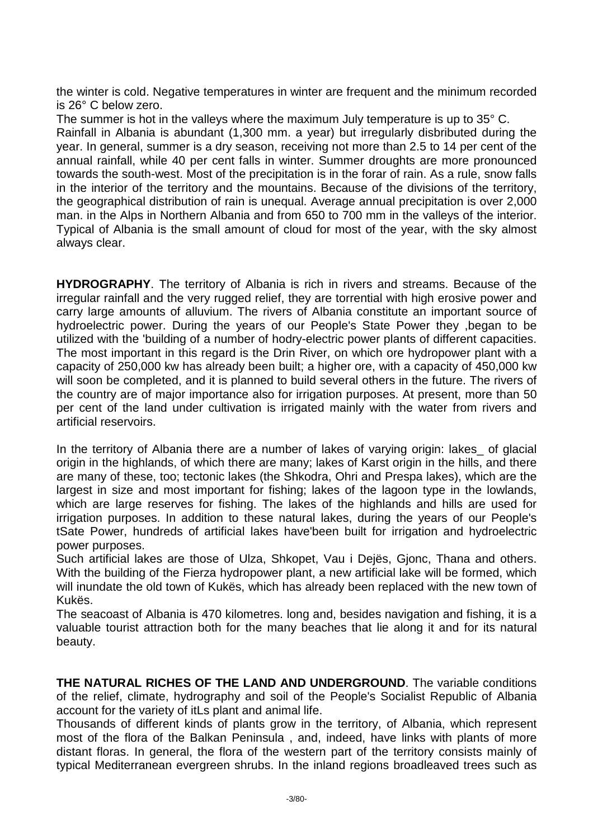the winter is cold. Negative temperatures in winter are frequent and the minimum recorded is 26° C below zero.

The summer is hot in the valleys where the maximum July temperature is up to 35° C. Rainfall in Albania is abundant (1,300 mm. a year) but irregularly disbributed during the year. In general, summer is a dry season, receiving not more than 2.5 to 14 per cent of the annual rainfall, while 40 per cent falls in winter. Summer droughts are more pronounced towards the south-west. Most of the precipitation is in the forar of rain. As a rule, snow falls in the interior of the territory and the mountains. Because of the divisions of the territory, the geographical distribution of rain is unequal. Average annual precipitation is over 2,000 man. in the Alps in Northern Albania and from 650 to 700 mm in the valleys of the interior. Typical of Albania is the small amount of cloud for most of the year, with the sky almost always clear.

**HYDROGRAPHY**. The territory of Albania is rich in rivers and streams. Because of the irregular rainfall and the very rugged relief, they are torrential with high erosive power and carry large amounts of alluvium. The rivers of Albania constitute an important source of hydroelectric power. During the years of our People's State Power they ,began to be utilized with the 'building of a number of hodry-electric power plants of different capacities. The most important in this regard is the Drin River, on which ore hydropower plant with a capacity of 250,000 kw has already been built; a higher ore, with a capacity of 450,000 kw will soon be completed, and it is planned to build several others in the future. The rivers of the country are of major importance also for irrigation purposes. At present, more than 50 per cent of the land under cultivation is irrigated mainly with the water from rivers and artificial reservoirs.

In the territory of Albania there are a number of lakes of varying origin: lakes of glacial origin in the highlands, of which there are many; lakes of Karst origin in the hills, and there are many of these, too; tectonic lakes (the Shkodra, Ohri and Prespa lakes), which are the largest in size and most important for fishing; lakes of the lagoon type in the lowlands, which are large reserves for fishing. The lakes of the highlands and hills are used for irrigation purposes. In addition to these natural lakes, during the years of our People's tSate Power, hundreds of artificial lakes have'been built for irrigation and hydroelectric power purposes.

Such artificial lakes are those of Ulza, Shkopet, Vau i Dejës, Gjonc, Thana and others. With the building of the Fierza hydropower plant, a new artificial lake will be formed, which will inundate the old town of Kukës, which has already been replaced with the new town of Kukës.

The seacoast of Albania is 470 kilometres. long and, besides navigation and fishing, it is a valuable tourist attraction both for the many beaches that lie along it and for its natural beauty.

**THE NATURAL RICHES OF THE LAND AND UNDERGROUND**. The variable conditions of the relief, climate, hydrography and soil of the People's Socialist Republic of Albania account for the variety of itLs plant and animal life.

Thousands of different kinds of plants grow in the territory, of Albania, which represent most of the flora of the Balkan Peninsula , and, indeed, have links with plants of more distant floras. In general, the flora of the western part of the territory consists mainly of typical Mediterranean evergreen shrubs. In the inland regions broadleaved trees such as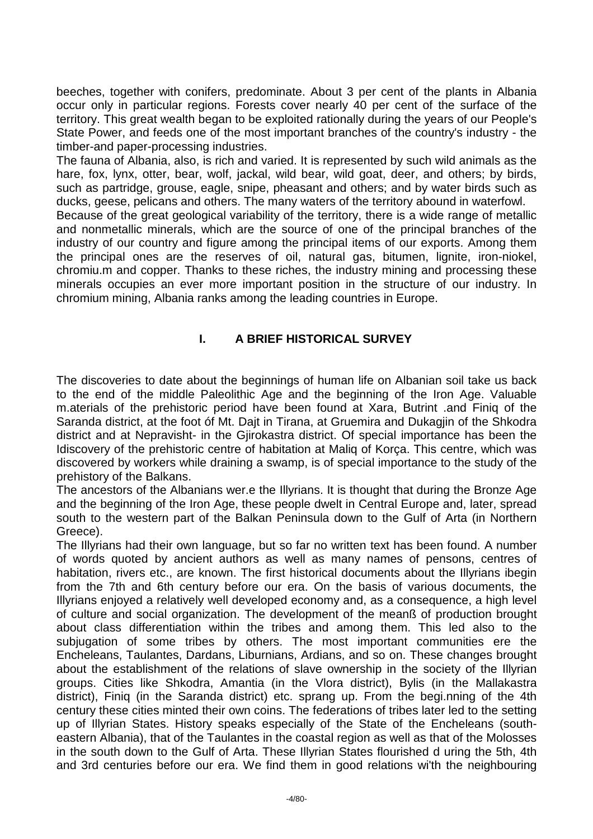beeches, together with conifers, predominate. About 3 per cent of the plants in Albania occur only in particular regions. Forests cover nearly 40 per cent of the surface of the territory. This great wealth began to be exploited rationally during the years of our People's State Power, and feeds one of the most important branches of the country's industry - the timber-and paper-processing industries.

The fauna of Albania, also, is rich and varied. It is represented by such wild animals as the hare, fox, lynx, otter, bear, wolf, jackal, wild bear, wild goat, deer, and others; by birds, such as partridge, grouse, eagle, snipe, pheasant and others; and by water birds such as ducks, geese, pelicans and others. The many waters of the territory abound in waterfowl.

Because of the great geological variability of the territory, there is a wide range of metallic and nonmetallic minerals, which are the source of one of the principal branches of the industry of our country and figure among the principal items of our exports. Among them the principal ones are the reserves of oil, natural gas, bitumen, lignite, iron-niokel, chromiu.m and copper. Thanks to these riches, the industry mining and processing these minerals occupies an ever more important position in the structure of our industry. In chromium mining, Albania ranks among the leading countries in Europe.

# **I. A BRIEF HISTORICAL SURVEY**

The discoveries to date about the beginnings of human life on Albanian soil take us back to the end of the middle Paleolithic Age and the beginning of the Iron Age. Valuable m.aterials of the prehistoric period have been found at Xara, Butrint .and Finiq of the Saranda district, at the foot óf Mt. Dajt in Tirana, at Gruemira and Dukagjin of the Shkodra district and at Nepravisht- in the Gjirokastra district. Of special importance has been the Idiscovery of the prehistoric centre of habitation at Maliq of Korça. This centre, which was discovered by workers while draining a swamp, is of special importance to the study of the prehistory of the Balkans.

The ancestors of the Albanians wer.e the Illyrians. It is thought that during the Bronze Age and the beginning of the Iron Age, these people dwelt in Central Europe and, later, spread south to the western part of the Balkan Peninsula down to the Gulf of Arta (in Northern Greece).

The Illyrians had their own language, but so far no written text has been found. A number of words quoted by ancient authors as well as many names of pensons, centres of habitation, rivers etc., are known. The first historical documents about the Illyrians ibegin from the 7th and 6th century before our era. On the basis of various documents, the Illyrians enjoyed a relatively well developed economy and, as a consequence, a high level of culture and social organization. The development of the meanß of production brought about class differentiation within the tribes and among them. This led also to the subjugation of some tribes by others. The most important communities ere the Encheleans, Taulantes, Dardans, Liburnians, Ardians, and so on. These changes brought about the establishment of the relations of slave ownership in the society of the Illyrian groups. Cities like Shkodra, Amantia (in the Vlora district), Bylis (in the Mallakastra district), Finiq (in the Saranda district) etc. sprang up. From the begi.nning of the 4th century these cities minted their own coins. The federations of tribes later led to the setting up of Illyrian States. History speaks especially of the State of the Encheleans (southeastern Albania), that of the Taulantes in the coastal region as well as that of the Molosses in the south down to the Gulf of Arta. These Illyrian States flourished d uring the 5th, 4th and 3rd centuries before our era. We find them in good relations wi'th the neighbouring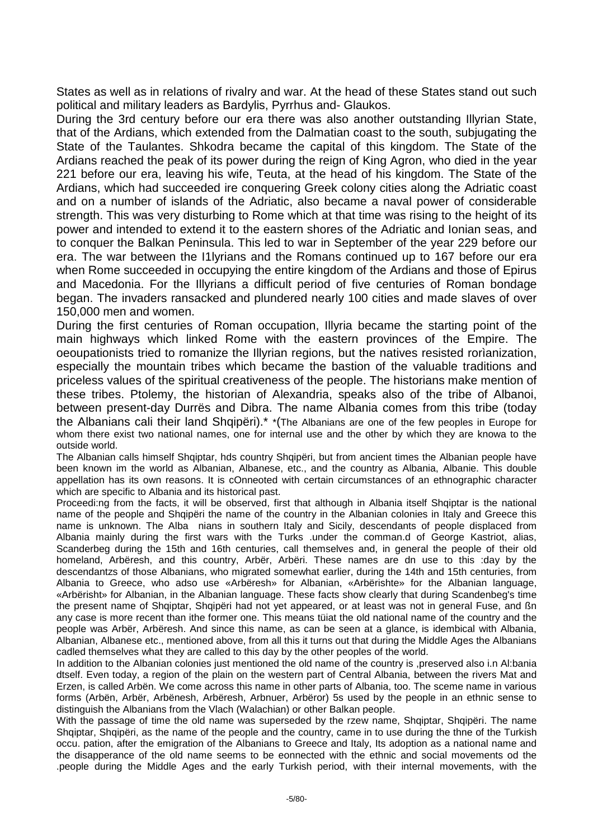States as well as in relations of rivalry and war. At the head of these States stand out such political and military leaders as Bardylis, Pyrrhus and- Glaukos.

During the 3rd century before our era there was also another outstanding Illyrian State, that of the Ardians, which extended from the Dalmatian coast to the south, subjugating the State of the Taulantes. Shkodra became the capital of this kingdom. The State of the Ardians reached the peak of its power during the reign of King Agron, who died in the year 221 before our era, leaving his wife, Teuta, at the head of his kingdom. The State of the Ardians, which had succeeded ire conquering Greek colony cities along the Adriatic coast and on a number of islands of the Adriatic, also became a naval power of considerable strength. This was very disturbing to Rome which at that time was rising to the height of its power and intended to extend it to the eastern shores of the Adriatic and Ionian seas, and to conquer the Balkan Peninsula. This led to war in September of the year 229 before our era. The war between the I1lyrians and the Romans continued up to 167 before our era when Rome succeeded in occupying the entire kingdom of the Ardians and those of Epirus and Macedonia. For the Illyrians a difficult period of five centuries of Roman bondage began. The invaders ransacked and plundered nearly 100 cities and made slaves of over 150,000 men and women.

During the first centuries of Roman occupation, Illyria became the starting point of the main highways which linked Rome with the eastern provinces of the Empire. The oeoupationists tried to romanize the Illyrian regions, but the natives resisted rorìanization, especially the mountain tribes which became the bastion of the valuable traditions and priceless values of the spiritual creativeness of the people. The historians make mention of these tribes. Ptolemy, the historian of Alexandria, speaks also of the tribe of Albanoi, between present-day Durrës and Dibra. The name Albania comes from this tribe (today the Albanians cali their land Shqipëri).<sup>\*</sup>  $*(The$  Albanians are one of the few peoples in Europe for whom there exist two national names, one for internal use and the other by which they are knowa to the outside world.

The Albanian calls himself Shqiptar, hds country Shqipëri, but from ancient times the Albanian people have been known im the world as Albanian, Albanese, etc., and the country as Albania, Albanie. This double appellation has its own reasons. It is cOnneoted with certain circumstances of an ethnographic character which are specific to Albania and its historical past.

Proceedi:ng from the facts, it will be observed, first that although in Albania itself Shqiptar is the national name of the people and Shqipëri the name of the country in the Albanian colonies in Italy and Greece this name is unknown. The Alba nians in southern Italy and Sicily, descendants of people displaced from Albania mainly during the first wars with the Turks .under the comman.d of George Kastriot, alias, Scanderbeg during the 15th and 16th centuries, call themselves and, in general the people of their old homeland, Arbëresh, and this country, Arbër, Arbëri. These names are dn use to this :day by the descendantzs of those Albanians, who migrated somewhat earlier, during the 14th and 15th centuries, from Albania to Greece, who adso use «Arbëresh» for Albanian, «Arbërishte» for the Albanian language, «Arbërisht» for Albanian, in the Albanian language. These facts show clearly that during Scandenbeg's time the present name of Shqiptar, Shqipëri had not yet appeared, or at least was not in general Fuse, and ßn any case is more recent than ithe former one. This means tüiat the old national name of the country and the people was Arbër, Arbëresh. And since this name, as can be seen at a glance, is idembical with Albania, Albanian, Albanese etc., mentioned above, from all this it turns out that during the Middle Ages the Albanians cadled themselves what they are called to this day by the other peoples of the world.

In addition to the Albanian colonies just mentioned the old name of the country is ,preserved also i.n Al:bania dtself. Even today, a region of the plain on the western part of Central Albania, between the rivers Mat and Erzen, is called Arbën. We come across this name in other parts of Albania, too. The sceme name in various forms (Arbën, Arbër, Arbënesh, Arbëresh, Arbnuer, Arbëror) 5s used by the people in an ethnic sense to distinguish the Albanians from the Vlach (Walachian) or other Balkan people.

With the passage of time the old name was superseded by the rzew name, Shqiptar, Shqipëri. The name Shqiptar, Shqipëri, as the name of the people and the country, came in to use during the thne of the Turkish occu. pation, after the emigration of the Albanians to Greece and Italy, Its adoption as a national name and the disapperance of the old name seems to be eonnected with the ethnic and social movements od the .people during the Middle Ages and the early Turkish period, with their internal movements, with the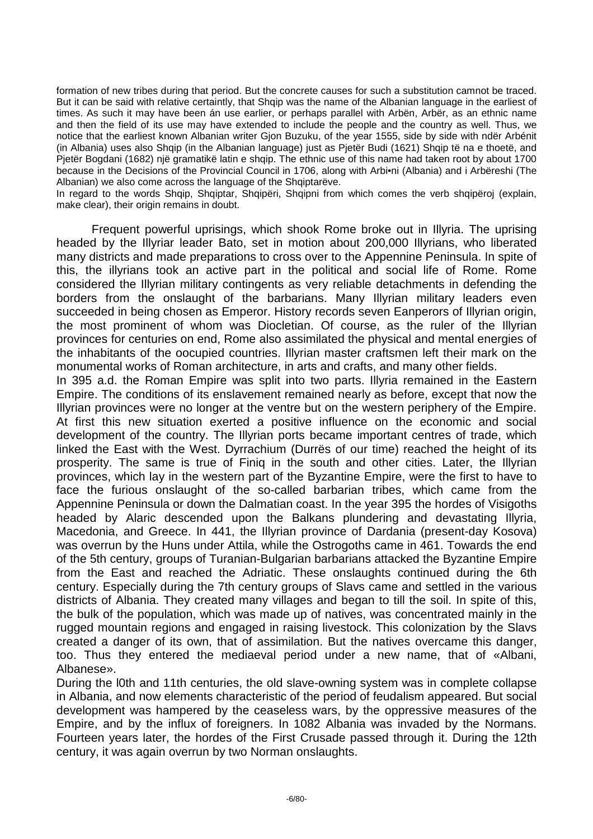formation of new tribes during that period. But the concrete causes for such a substitution camnot be traced. But it can be said with relative certaintly, that Shqip was the name of the Albanian language in the earliest of times. As such it may have been án use earlier, or perhaps parallel with Arbën, Arbër, as an ethnic name and then the field of its use may have extended to include the people and the country as well. Thus, we notice that the earliest known Albanian writer Gjon Buzuku, of the year 1555, side by side with ndër Arbénit (in Albania) uses also Shqip (in the Albanian language) just as Pjetër Budi (1621) Shqip të na e thoetë, and Pietër Bogdani (1682) një gramatikë latin e shqip. The ethnic use of this name had taken root by about 1700 because in the Decisions of the Provincial Council in 1706, along with Arbi•ni (Albania) and i Arbëreshi (The Albanian) we also come across the language of the Shqiptarëve.

In regard to the words Shqip, Shqiptar, Shqipëri, Shqipni from which comes the verb shqipëroj (explain, make clear), their origin remains in doubt.

Frequent powerful uprisings, which shook Rome broke out in Illyria. The uprising headed by the Illyriar leader Bato, set in motion about 200,000 Illyrians, who liberated many districts and made preparations to cross over to the Appennine Peninsula. In spite of this, the illyrians took an active part in the political and social life of Rome. Rome considered the Illyrian military contingents as very reliable detachments in defending the borders from the onslaught of the barbarians. Many Illyrian military leaders even succeeded in being chosen as Emperor. History records seven Eanperors of Illyrian origin, the most prominent of whom was Diocletian. Of course, as the ruler of the Illyrian provinces for centuries on end, Rome also assimilated the physical and mental energies of the inhabitants of the oocupied countries. Illyrian master craftsmen left their mark on the monumental works of Roman architecture, in arts and crafts, and many other fields.

In 395 a.d. the Roman Empire was split into two parts. Illyria remained in the Eastern Empire. The conditions of its enslavement remained nearly as before, except that now the Illyrian provinces were no longer at the ventre but on the western periphery of the Empire. At first this new situation exerted a positive influence on the economic and social development of the country. The Illyrian ports became important centres of trade, which linked the East with the West. Dyrrachium (Durrës of our time) reached the height of its prosperity. The same is true of Finiq in the south and other cities. Later, the Illyrian provinces, which lay in the western part of the Byzantine Empire, were the first to have to face the furious onslaught of the so-called barbarian tribes, which came from the Appennine Peninsula or down the Dalmatian coast. In the year 395 the hordes of Visigoths headed by Alaric descended upon the Balkans plundering and devastating Illyria, Macedonia, and Greece. In 441, the Illyrian province of Dardania (present-day Kosova) was overrun by the Huns under Attila, while the Ostrogoths came in 461. Towards the end of the 5th century, groups of Turanian-Bulgarian barbarians attacked the Byzantine Empire from the East and reached the Adriatic. These onslaughts continued during the 6th century. Especially during the 7th century groups of Slavs came and settled in the various districts of Albania. They created many villages and began to till the soil. In spite of this, the bulk of the population, which was made up of natives, was concentrated mainly in the rugged mountain regions and engaged in raising livestock. This colonization by the Slavs created a danger of its own, that of assimilation. But the natives overcame this danger, too. Thus they entered the mediaeval period under a new name, that of «Albani, Albanese».

During the l0th and 11th centuries, the old slave-owning system was in complete collapse in Albania, and now elements characteristic of the period of feudalism appeared. But social development was hampered by the ceaseless wars, by the oppressive measures of the Empire, and by the influx of foreigners. In 1082 Albania was invaded by the Normans. Fourteen years later, the hordes of the First Crusade passed through it. During the 12th century, it was again overrun by two Norman onslaughts.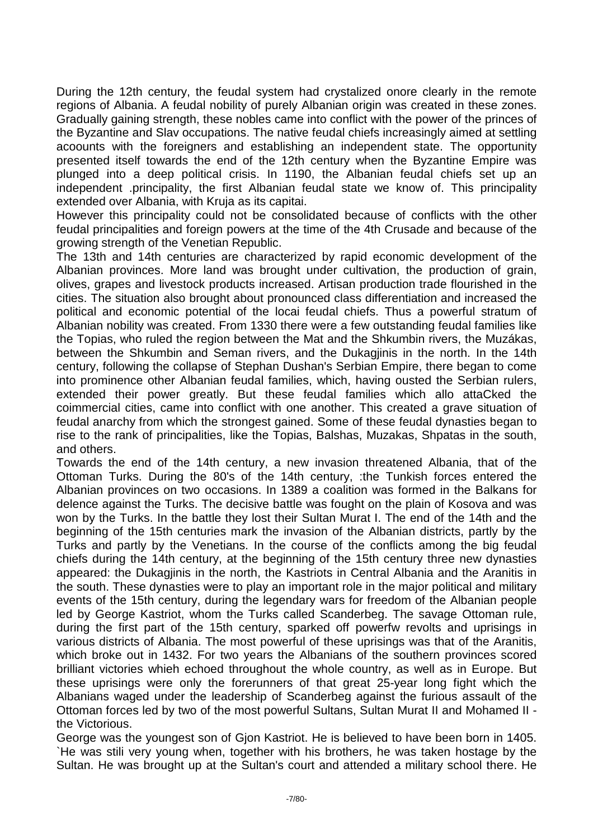During the 12th century, the feudal system had crystalized onore clearly in the remote regions of Albania. A feudal nobility of purely Albanian origin was created in these zones. Gradually gaining strength, these nobles came into conflict with the power of the princes of the Byzantine and Slav occupations. The native feudal chiefs increasingly aimed at settling acoounts with the foreigners and establishing an independent state. The opportunity presented itself towards the end of the 12th century when the Byzantine Empire was plunged into a deep political crisis. In 1190, the Albanian feudal chiefs set up an independent .principality, the first Albanian feudal state we know of. This principality extended over Albania, with Kruja as its capitai.

However this principality could not be consolidated because of conflicts with the other feudal principalities and foreign powers at the time of the 4th Crusade and because of the growing strength of the Venetian Republic.

The 13th and 14th centuries are characterized by rapid economic development of the Albanian provinces. More land was brought under cultivation, the production of grain, olives, grapes and livestock products increased. Artisan production trade flourished in the cities. The situation also brought about pronounced class differentiation and increased the political and economic potential of the locai feudal chiefs. Thus a powerful stratum of Albanian nobility was created. From 1330 there were a few outstanding feudal families like the Topias, who ruled the region between the Mat and the Shkumbin rivers, the Muzákas, between the Shkumbin and Seman rivers, and the Dukagjinis in the north. In the 14th century, following the collapse of Stephan Dushan's Serbian Empire, there began to come into prominence other Albanian feudal families, which, having ousted the Serbian rulers, extended their power greatly. But these feudal families which allo attaCked the coimmercial cities, came into conflict with one another. This created a grave situation of feudal anarchy from which the strongest gained. Some of these feudal dynasties began to rise to the rank of principalities, like the Topias, Balshas, Muzakas, Shpatas in the south, and others.

Towards the end of the 14th century, a new invasion threatened Albania, that of the Ottoman Turks. During the 80's of the 14th century, :the Tunkish forces entered the Albanian provinces on two occasions. In 1389 a coalition was formed in the Balkans for delence against the Turks. The decisive battle was fought on the plain of Kosova and was won by the Turks. In the battle they lost their Sultan Murat I. The end of the 14th and the beginning of the 15th centuries mark the invasion of the Albanian districts, partly by the Turks and partly by the Venetians. In the course of the conflicts among the big feudal chiefs during the 14th century, at the beginning of the 15th century three new dynasties appeared: the Dukagjinis in the north, the Kastriots in Central Albania and the Aranitis in the south. These dynasties were to play an important role in the major political and military events of the 15th century, during the legendary wars for freedom of the Albanian people led by George Kastriot, whom the Turks called Scanderbeg. The savage Ottoman rule, during the first part of the 15th century, sparked off powerfw revolts and uprisings in various districts of Albania. The most powerful of these uprisings was that of the Aranitis, which broke out in 1432. For two years the Albanians of the southern provinces scored brilliant victories whieh echoed throughout the whole country, as well as in Europe. But these uprisings were only the forerunners of that great 25-year long fight which the Albanians waged under the leadership of Scanderbeg against the furious assault of the Ottoman forces led by two of the most powerful Sultans, Sultan Murat II and Mohamed II the Victorious.

George was the youngest son of Gjon Kastriot. He is believed to have been born in 1405. `He was stili very young when, together with his brothers, he was taken hostage by the Sultan. He was brought up at the Sultan's court and attended a military school there. He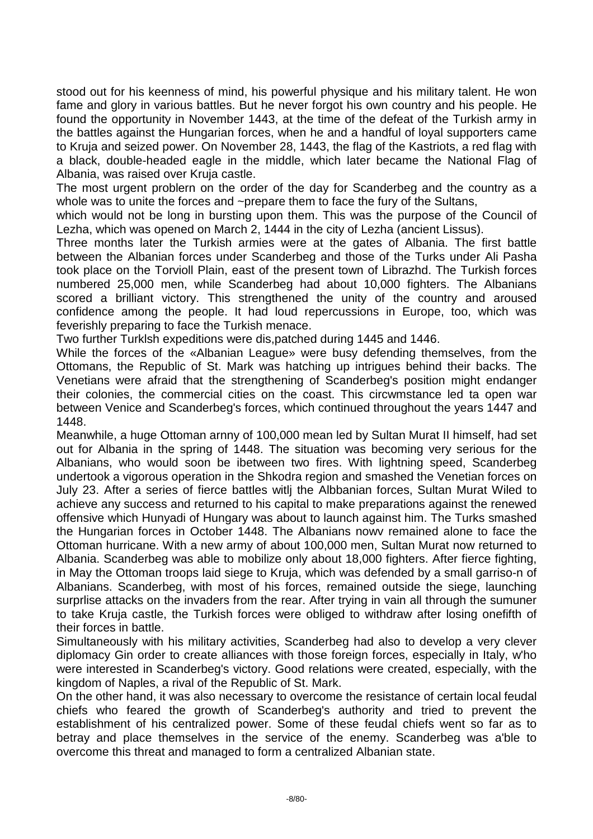stood out for his keenness of mind, his powerful physique and his military talent. He won fame and glory in various battles. But he never forgot his own country and his people. He found the opportunity in November 1443, at the time of the defeat of the Turkish army in the battles against the Hungarian forces, when he and a handful of loyal supporters came to Kruja and seized power. On November 28, 1443, the flag of the Kastriots, a red flag with a black, double-headed eagle in the middle, which later became the National Flag of Albania, was raised over Kruja castle.

The most urgent problern on the order of the day for Scanderbeg and the country as a whole was to unite the forces and ~prepare them to face the fury of the Sultans,

which would not be long in bursting upon them. This was the purpose of the Council of Lezha, which was opened on March 2, 1444 in the city of Lezha (ancient Lissus).

Three months later the Turkish armies were at the gates of Albania. The first battle between the Albanian forces under Scanderbeg and those of the Turks under Ali Pasha took place on the Torvioll Plain, east of the present town of Librazhd. The Turkish forces numbered 25,000 men, while Scanderbeg had about 10,000 fighters. The Albanians scored a brilliant victory. This strengthened the unity of the country and aroused confidence among the people. It had loud repercussions in Europe, too, which was feverishly preparing to face the Turkish menace.

Two further Turklsh expeditions were dis,patched during 1445 and 1446.

While the forces of the «Albanian League» were busy defending themselves, from the Ottomans, the Republic of St. Mark was hatching up intrigues behind their backs. The Venetians were afraid that the strengthening of Scanderbeg's position might endanger their colonies, the commercial cities on the coast. This circwmstance led ta open war between Venice and Scanderbeg's forces, which continued throughout the years 1447 and 1448.

Meanwhile, a huge Ottoman arnny of 100,000 mean led by Sultan Murat II himself, had set out for Albania in the spring of 1448. The situation was becoming very serious for the Albanians, who would soon be ibetween two fires. With lightning speed, Scanderbeg undertook a vigorous operation in the Shkodra region and smashed the Venetian forces on July 23. After a series of fierce battles witlj the Albbanian forces, Sultan Murat Wiled to achieve any success and returned to his capital to make preparations against the renewed offensive which Hunyadi of Hungary was about to launch against him. The Turks smashed the Hungarian forces in October 1448. The Albanians nowv remained alone to face the Ottoman hurricane. With a new army of about 100,000 men, Sultan Murat now returned to Albania. Scanderbeg was able to mobilize only about 18,000 fighters. After fierce fighting, in May the Ottoman troops laid siege to Kruja, which was defended by a small garriso-n of Albanians. Scanderbeg, with most of his forces, remained outside the siege, launching surprlise attacks on the invaders from the rear. After trying in vain all through the sumuner to take Kruja castle, the Turkish forces were obliged to withdraw after losing onefifth of their forces in battle.

Simultaneously with his military activities, Scanderbeg had also to develop a very clever diplomacy Gin order to create alliances with those foreign forces, especially in Italy, w'ho were interested in Scanderbeg's victory. Good relations were created, especially, with the kingdom of Naples, a rival of the Republic of St. Mark.

On the other hand, it was also necessary to overcome the resistance of certain local feudal chiefs who feared the growth of Scanderbeg's authority and tried to prevent the establishment of his centralized power. Some of these feudal chiefs went so far as to betray and place themselves in the service of the enemy. Scanderbeg was a'ble to overcome this threat and managed to form a centralized Albanian state.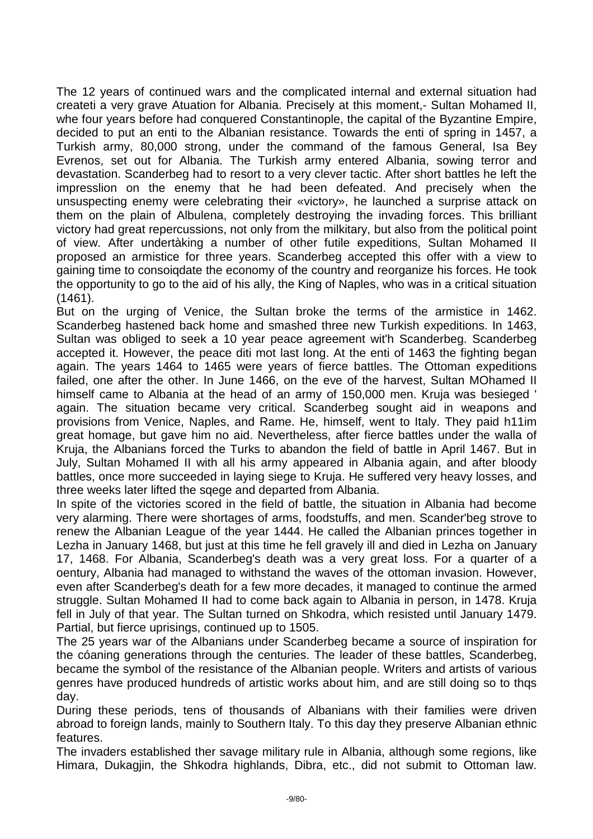The 12 years of continued wars and the complicated internal and external situation had createti a very grave Atuation for Albania. Precisely at this moment,- Sultan Mohamed II, whe four years before had conquered Constantinople, the capital of the Byzantine Empire, decided to put an enti to the Albanian resistance. Towards the enti of spring in 1457, a Turkish army, 80,000 strong, under the command of the famous General, Isa Bey Evrenos, set out for Albania. The Turkish army entered Albania, sowing terror and devastation. Scanderbeg had to resort to a very clever tactic. After short battles he left the impresslion on the enemy that he had been defeated. And precisely when the unsuspecting enemy were celebrating their «victory», he launched a surprise attack on them on the plain of Albulena, completely destroying the invading forces. This brilliant victory had great repercussions, not only from the milkitary, but also from the political point of view. After undertàking a number of other futile expeditions, Sultan Mohamed II proposed an armistice for three years. Scanderbeg accepted this offer with a view to gaining time to consoiqdate the economy of the country and reorganize his forces. He took the opportunity to go to the aid of his ally, the King of Naples, who was in a critical situation (1461).

But on the urging of Venice, the Sultan broke the terms of the armistice in 1462. Scanderbeg hastened back home and smashed three new Turkish expeditions. In 1463, Sultan was obliged to seek a 10 year peace agreement wit'h Scanderbeg. Scanderbeg accepted it. However, the peace diti mot last long. At the enti of 1463 the fighting began again. The years 1464 to 1465 were years of fierce battles. The Ottoman expeditions failed, one after the other. In June 1466, on the eve of the harvest, Sultan MOhamed II himself came to Albania at the head of an army of 150,000 men. Kruja was besieged ' again. The situation became very critical. Scanderbeg sought aid in weapons and provisions from Venice, Naples, and Rame. He, himself, went to Italy. They paid h11im great homage, but gave him no aid. Nevertheless, after fierce battles under the walla of Kruja, the Albanians forced the Turks to abandon the field of battle in April 1467. But in July, Sultan Mohamed II with all his army appeared in Albania again, and after bloody battles, once more succeeded in laying siege to Kruja. He suffered very heavy losses, and three weeks later lifted the sqege and departed from Albania.

In spite of the victories scored in the field of battle, the situation in Albania had become very alarming. There were shortages of arms, foodstuffs, and men. Scander'beg strove to renew the Albanian League of the year 1444. He called the Albanian princes together in Lezha in January 1468, but just at this time he fell gravely ill and died in Lezha on January 17, 1468. For Albania, Scanderbeg's death was a very great loss. For a quarter of a oentury, Albania had managed to withstand the waves of the ottoman invasion. However, even after Scanderbeg's death for a few more decades, it managed to continue the armed struggle. Sultan Mohamed II had to come back again to Albania in person, in 1478. Kruja fell in July of that year. The Sultan turned on Shkodra, which resisted until January 1479. Partial, but fierce uprisings, continued up to 1505.

The 25 years war of the Albanians under Scanderbeg became a source of inspiration for the cóaning generations through the centuries. The leader of these battles, Scanderbeg, became the symbol of the resistance of the Albanian people. Writers and artists of various genres have produced hundreds of artistic works about him, and are still doing so to thqs day.

During these periods, tens of thousands of Albanians with their families were driven abroad to foreign lands, mainly to Southern Italy. To this day they preserve Albanian ethnic features.

The invaders established ther savage military rule in Albania, although some regions, like Himara, Dukagjin, the Shkodra highlands, Dibra, etc., did not submit to Ottoman law.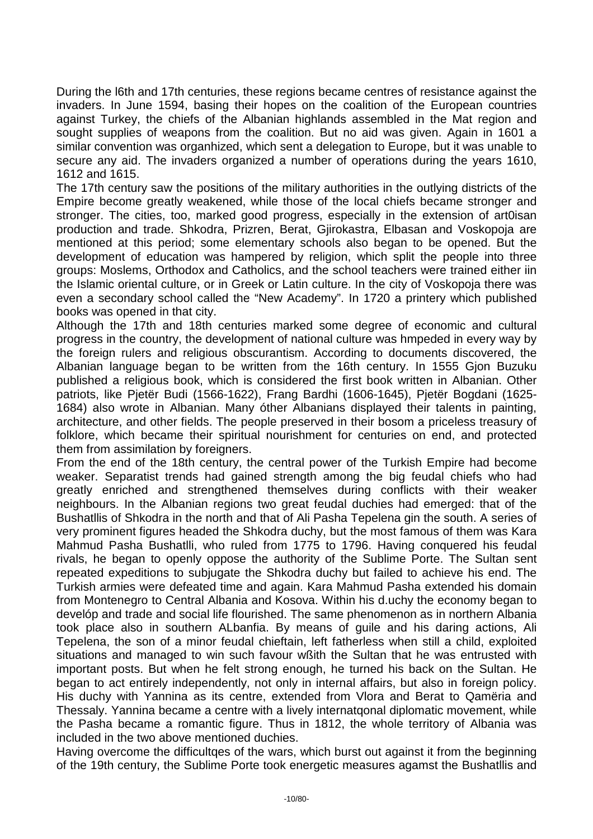During the l6th and 17th centuries, these regions became centres of resistance against the invaders. In June 1594, basing their hopes on the coalition of the European countries against Turkey, the chiefs of the Albanian highlands assembled in the Mat region and sought supplies of weapons from the coalition. But no aid was given. Again in 1601 a similar convention was organhized, which sent a delegation to Europe, but it was unable to secure any aid. The invaders organized a number of operations during the years 1610, 1612 and 1615.

The 17th century saw the positions of the military authorities in the outlying districts of the Empire become greatly weakened, while those of the local chiefs became stronger and stronger. The cities, too, marked good progress, especially in the extension of art0isan production and trade. Shkodra, Prizren, Berat, Gjirokastra, Elbasan and Voskopoja are mentioned at this period; some elementary schools also began to be opened. But the development of education was hampered by religion, which split the people into three groups: Moslems, Orthodox and Catholics, and the school teachers were trained either iin the Islamic oriental culture, or in Greek or Latin culture. In the city of Voskopoja there was even a secondary school called the "New Academy". In 1720 a printery which published books was opened in that city.

Although the 17th and 18th centuries marked some degree of economic and cultural progress in the country, the development of national culture was hmpeded in every way by the foreign rulers and religious obscurantism. According to documents discovered, the Albanian language began to be written from the 16th century. In 1555 Gjon Buzuku published a religious book, which is considered the first book written in Albanian. Other patriots, like Pjetër Budi (1566-1622), Frang Bardhi (1606-1645), Pjetër Bogdani (1625- 1684) also wrote in Albanian. Many óther Albanians displayed their talents in painting, architecture, and other fields. The people preserved in their bosom a priceless treasury of folklore, which became their spiritual nourishment for centuries on end, and protected them from assimilation by foreigners.

From the end of the 18th century, the central power of the Turkish Empire had become weaker. Separatist trends had gained strength among the big feudal chiefs who had greatly enriched and strengthened themselves during conflicts with their weaker neighbours. In the Albanian regions two great feudal duchies had emerged: that of the Bushatllis of Shkodra in the north and that of Ali Pasha Tepelena gin the south. A series of very prominent figures headed the Shkodra duchy, but the most famous of them was Kara Mahmud Pasha Bushatlli, who ruled from 1775 to 1796. Having conquered his feudal rivals, he began to openly oppose the authority of the Sublime Porte. The Sultan sent repeated expeditions to subjugate the Shkodra duchy but failed to achieve his end. The Turkish armies were defeated time and again. Kara Mahmud Pasha extended his domain from Montenegro to Central Albania and Kosova. Within his d.uchy the economy began to develóp and trade and social life flourished. The same phenomenon as in northern Albania took place also in southern ALbanfia. By means of guile and his daring actions, Ali Tepelena, the son of a minor feudal chieftain, left fatherless when still a child, exploited situations and managed to win such favour wßith the Sultan that he was entrusted with important posts. But when he felt strong enough, he turned his back on the Sultan. He began to act entirely independently, not only in internal affairs, but also in foreign policy. His duchy with Yannina as its centre, extended from Vlora and Berat to Qamëria and Thessaly. Yannina became a centre with a lively internatqonal diplomatic movement, while the Pasha became a romantic figure. Thus in 1812, the whole territory of Albania was included in the two above mentioned duchies.

Having overcome the difficultqes of the wars, which burst out against it from the beginning of the 19th century, the Sublime Porte took energetic measures agamst the Bushatllis and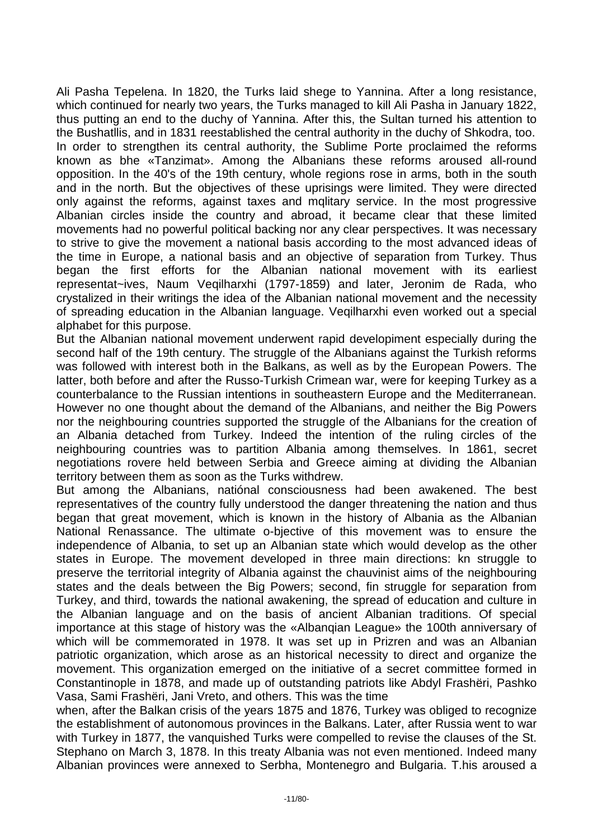Ali Pasha Tepelena. In 1820, the Turks laid shege to Yannina. After a long resistance, which continued for nearly two years, the Turks managed to kill Ali Pasha in January 1822, thus putting an end to the duchy of Yannina. After this, the Sultan turned his attention to the Bushatllis, and in 1831 reestablished the central authority in the duchy of Shkodra, too. In order to strengthen its central authority, the Sublime Porte proclaimed the reforms known as bhe «Tanzimat». Among the Albanians these reforms aroused all-round opposition. In the 40's of the 19th century, whole regions rose in arms, both in the south and in the north. But the objectives of these uprisings were limited. They were directed only against the reforms, against taxes and mqlitary service. In the most progressive Albanian circles inside the country and abroad, it became clear that these limited movements had no powerful political backing nor any clear perspectives. It was necessary to strive to give the movement a national basis according to the most advanced ideas of the time in Europe, a national basis and an objective of separation from Turkey. Thus began the first efforts for the Albanian national movement with its earliest representat~ives, Naum Veqilharxhi (1797-1859) and later, Jeronim de Rada, who crystalized in their writings the idea of the Albanian national movement and the necessity of spreading education in the Albanian language. Veqilharxhi even worked out a special alphabet for this purpose.

But the Albanian national movement underwent rapid developiment especially during the second half of the 19th century. The struggle of the Albanians against the Turkish reforms was followed with interest both in the Balkans, as well as by the European Powers. The latter, both before and after the Russo-Turkish Crimean war, were for keeping Turkey as a counterbalance to the Russian intentions in southeastern Europe and the Mediterranean. However no one thought about the demand of the Albanians, and neither the Big Powers nor the neighbouring countries supported the struggle of the Albanians for the creation of an Albania detached from Turkey. Indeed the intention of the ruling circles of the neighbouring countries was to partition Albania among themselves. In 1861, secret negotiations rovere held between Serbia and Greece aiming at dividing the Albanian territory between them as soon as the Turks withdrew.

But among the Albanians, natiónal consciousness had been awakened. The best representatives of the country fully understood the danger threatening the nation and thus began that great movement, which is known in the history of Albania as the Albanian National Renassance. The ultimate o-bjective of this movement was to ensure the independence of Albania, to set up an Albanian state which would develop as the other states in Europe. The movement developed in three main directions: kn struggle to preserve the territorial integrity of Albania against the chauvinist aims of the neighbouring states and the deals between the Big Powers; second, fin struggle for separation from Turkey, and third, towards the national awakening, the spread of education and culture in the Albanian language and on the basis of ancient Albanian traditions. Of special importance at this stage of history was the «Albanqian League» the 100th anniversary of which will be commemorated in 1978. It was set up in Prizren and was an Albanian patriotic organization, which arose as an historical necessity to direct and organize the movement. This organization emerged on the initiative of a secret committee formed in Constantinople in 1878, and made up of outstanding patriots like Abdyl Frashëri, Pashko Vasa, Sami Frashëri, Jani Vreto, and others. This was the time

when, after the Balkan crisis of the years 1875 and 1876, Turkey was obliged to recognize the establishment of autonomous provinces in the Balkans. Later, after Russia went to war with Turkey in 1877, the vanquished Turks were compelled to revise the clauses of the St. Stephano on March 3, 1878. In this treaty Albania was not even mentioned. Indeed many Albanian provinces were annexed to Serbha, Montenegro and Bulgaria. T.his aroused a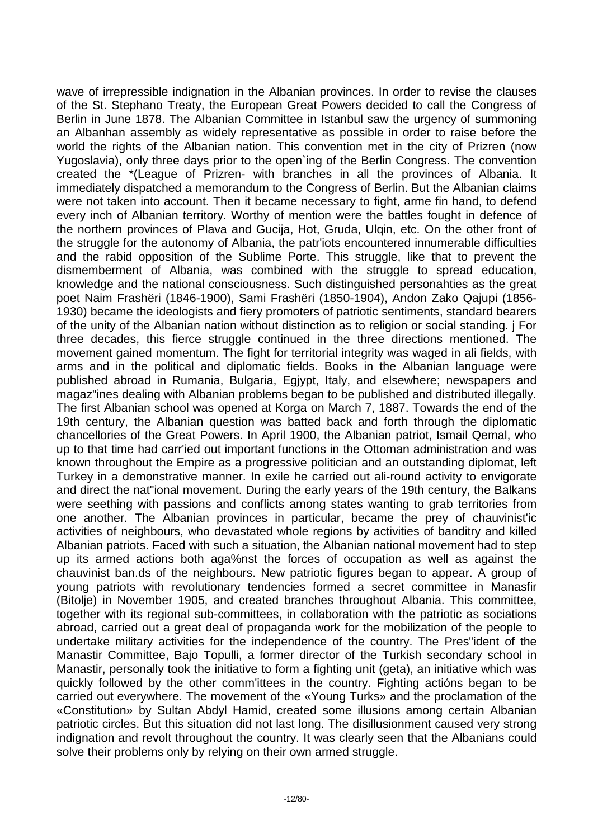wave of irrepressible indignation in the Albanian provinces. In order to revise the clauses of the St. Stephano Treaty, the European Great Powers decided to call the Congress of Berlin in June 1878. The Albanian Committee in Istanbul saw the urgency of summoning an Albanhan assembly as widely representative as possible in order to raise before the world the rights of the Albanian nation. This convention met in the city of Prizren (now Yugoslavia), only three days prior to the open`ing of the Berlin Congress. The convention created the \*(League of Prizren- with branches in all the provinces of Albania. It immediately dispatched a memorandum to the Congress of Berlin. But the Albanian claims were not taken into account. Then it became necessary to fight, arme fin hand, to defend every inch of Albanian territory. Worthy of mention were the battles fought in defence of the northern provinces of Plava and Gucija, Hot, Gruda, Ulqin, etc. On the other front of the struggle for the autonomy of Albania, the patr'iots encountered innumerable difficulties and the rabid opposition of the Sublime Porte. This struggle, like that to prevent the dismemberment of Albania, was combined with the struggle to spread education, knowledge and the national consciousness. Such distinguished personahties as the great poet Naim Frashëri (1846-1900), Sami Frashëri (1850-1904), Andon Zako Qajupi (1856- 1930) became the ideologists and fiery promoters of patriotic sentiments, standard bearers of the unity of the Albanian nation without distinction as to religion or social standing. j For three decades, this fierce struggle continued in the three directions mentioned. The movement gained momentum. The fight for territorial integrity was waged in ali fields, with arms and in the political and diplomatic fields. Books in the Albanian language were published abroad in Rumania, Bulgaria, Egjypt, Italy, and elsewhere; newspapers and magaz"ines dealing with Albanian problems began to be published and distributed illegally. The first Albanian school was opened at Korga on March 7, 1887. Towards the end of the 19th century, the Albanian question was batted back and forth through the diplomatic chancellories of the Great Powers. In April 1900, the Albanian patriot, Ismail Qemal, who up to that time had carr'ied out important functions in the Ottoman administration and was known throughout the Empire as a progressive politician and an outstanding diplomat, left Turkey in a demonstrative manner. In exile he carried out ali-round activity to envigorate and direct the nat"ional movement. During the early years of the 19th century, the Balkans were seething with passions and conflicts among states wanting to grab territories from one another. The Albanian provinces in particular, became the prey of chauvinist'ic activities of neighbours, who devastated whole regions by activities of banditry and killed Albanian patriots. Faced with such a situation, the Albanian national movement had to step up its armed actions both aga%nst the forces of occupation as well as against the chauvinist ban.ds of the neighbours. New patriotic figures began to appear. A group of young patriots with revolutionary tendencies formed a secret committee in Manasfir (Bitolje) in November 1905, and created branches throughout Albania. This committee, together with its regional sub-committees, in collaboration with the patriotic as sociations abroad, carried out a great deal of propaganda work for the mobilization of the people to undertake military activities for the independence of the country. The Pres"ident of the Manastir Committee, Bajo Topulli, a former director of the Turkish secondary school in Manastir, personally took the initiative to form a fighting unit (geta), an initiative which was quickly followed by the other comm'ittees in the country. Fighting actións began to be carried out everywhere. The movement of the «Young Turks» and the proclamation of the «Constitution» by Sultan Abdyl Hamid, created some illusions among certain Albanian patriotic circles. But this situation did not last long. The disillusionment caused very strong indignation and revolt throughout the country. It was clearly seen that the Albanians could solve their problems only by relying on their own armed struggle.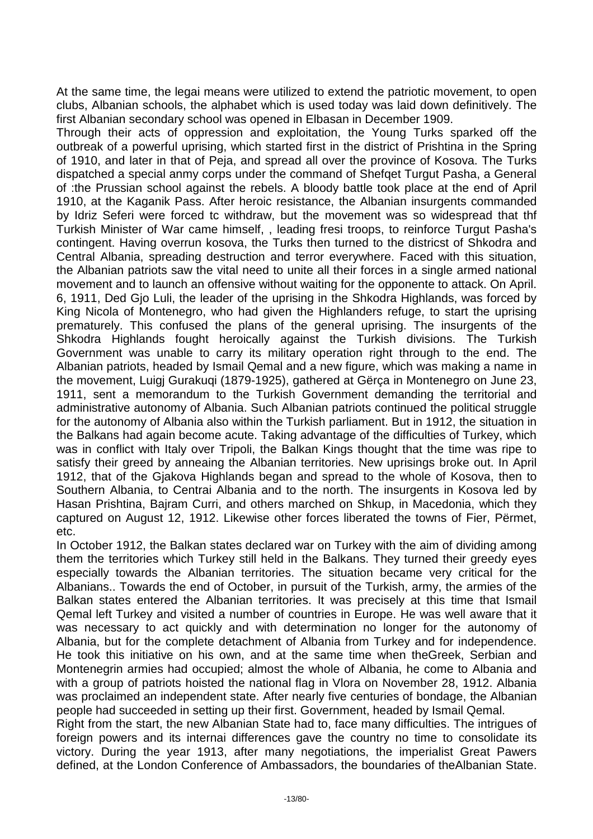At the same time, the legai means were utilized to extend the patriotic movement, to open clubs, Albanian schools, the alphabet which is used today was laid down definitively. The first Albanian secondary school was opened in Elbasan in December 1909.

Through their acts of oppression and exploitation, the Young Turks sparked off the outbreak of a powerful uprising, which started first in the district of Prishtina in the Spring of 1910, and later in that of Peja, and spread all over the province of Kosova. The Turks dispatched a special anmy corps under the command of Shefqet Turgut Pasha, a General of :the Prussian school against the rebels. A bloody battle took place at the end of April 1910, at the Kaganik Pass. After heroic resistance, the Albanian insurgents commanded by Idriz Seferi were forced tc withdraw, but the movement was so widespread that thf Turkish Minister of War came himself, , leading fresi troops, to reinforce Turgut Pasha's contingent. Having overrun kosova, the Turks then turned to the districst of Shkodra and Central Albania, spreading destruction and terror everywhere. Faced with this situation, the Albanian patriots saw the vital need to unite all their forces in a single armed national movement and to launch an offensive without waiting for the opponente to attack. On April. 6, 1911, Ded Gjo Luli, the leader of the uprising in the Shkodra Highlands, was forced by King Nicola of Montenegro, who had given the Highlanders refuge, to start the uprising prematurely. This confused the plans of the general uprising. The insurgents of the Shkodra Highlands fought heroically against the Turkish divisions. The Turkish Government was unable to carry its military operation right through to the end. The Albanian patriots, headed by Ismail Qemal and a new figure, which was making a name in the movement, Luigj Gurakuqi (1879-1925), gathered at Gërça in Montenegro on June 23, 1911, sent a memorandum to the Turkish Government demanding the territorial and administrative autonomy of Albania. Such Albanian patriots continued the political struggle for the autonomy of Albania also within the Turkish parliament. But in 1912, the situation in the Balkans had again become acute. Taking advantage of the difficulties of Turkey, which was in conflict with Italy over Tripoli, the Balkan Kings thought that the time was ripe to satisfy their greed by anneaing the Albanian territories. New uprisings broke out. In April 1912, that of the Gjakova Highlands began and spread to the whole of Kosova, then to Southern Albania, to Centrai Albania and to the north. The insurgents in Kosova led by Hasan Prishtina, Bajram Curri, and others marched on Shkup, in Macedonia, which they captured on August 12, 1912. Likewise other forces liberated the towns of Fier, Përmet, etc.

In October 1912, the Balkan states declared war on Turkey with the aim of dividing among them the territories which Turkey still held in the Balkans. They turned their greedy eyes especially towards the Albanian territories. The situation became very critical for the Albanians.. Towards the end of October, in pursuit of the Turkish, army, the armies of the Balkan states entered the Albanian territories. It was precisely at this time that Ismail Qemal left Turkey and visited a number of countries in Europe. He was well aware that it was necessary to act quickly and with determination no longer for the autonomy of Albania, but for the complete detachment of Albania from Turkey and for independence. He took this initiative on his own, and at the same time when theGreek, Serbian and Montenegrin armies had occupied; almost the whole of Albania, he come to Albania and with a group of patriots hoisted the national flag in Vlora on November 28, 1912. Albania was proclaimed an independent state. After nearly five centuries of bondage, the Albanian people had succeeded in setting up their first. Government, headed by Ismail Qemal.

Right from the start, the new Albanian State had to, face many difficulties. The intrigues of foreign powers and its internai differences gave the country no time to consolidate its victory. During the year 1913, after many negotiations, the imperialist Great Pawers defined, at the London Conference of Ambassadors, the boundaries of theAlbanian State.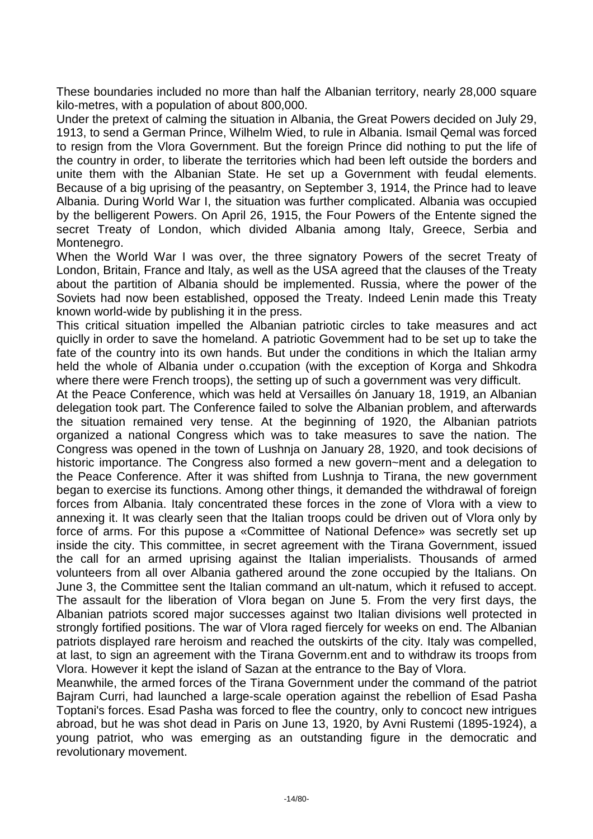These boundaries included no more than half the Albanian territory, nearly 28,000 square kilo-metres, with a population of about 800,000.

Under the pretext of calming the situation in Albania, the Great Powers decided on July 29, 1913, to send a German Prince, Wilhelm Wied, to rule in Albania. Ismail Qemal was forced to resign from the Vlora Government. But the foreign Prince did nothing to put the life of the country in order, to liberate the territories which had been left outside the borders and unite them with the Albanian State. He set up a Government with feudal elements. Because of a big uprising of the peasantry, on September 3, 1914, the Prince had to leave Albania. During World War I, the situation was further complicated. Albania was occupied by the belligerent Powers. On April 26, 1915, the Four Powers of the Entente signed the secret Treaty of London, which divided Albania among Italy, Greece, Serbia and Montenegro.

When the World War I was over, the three signatory Powers of the secret Treaty of London, Britain, France and Italy, as well as the USA agreed that the clauses of the Treaty about the partition of Albania should be implemented. Russia, where the power of the Soviets had now been established, opposed the Treaty. Indeed Lenin made this Treaty known world-wide by publishing it in the press.

This critical situation impelled the Albanian patriotic circles to take measures and act quiclly in order to save the homeland. A patriotic Govemment had to be set up to take the fate of the country into its own hands. But under the conditions in which the Italian army held the whole of Albania under o.ccupation (with the exception of Korga and Shkodra where there were French troops), the setting up of such a government was very difficult.

At the Peace Conference, which was held at Versailles ón January 18, 1919, an Albanian delegation took part. The Conference failed to solve the Albanian problem, and afterwards the situation remained very tense. At the beginning of 1920, the Albanian patriots organized a national Congress which was to take measures to save the nation. The Congress was opened in the town of Lushnja on January 28, 1920, and took decisions of historic importance. The Congress also formed a new govern~ment and a delegation to the Peace Conference. After it was shifted from Lushnja to Tirana, the new government began to exercise its functions. Among other things, it demanded the withdrawal of foreign forces from Albania. Italy concentrated these forces in the zone of Vlora with a view to annexing it. It was clearly seen that the Italian troops could be driven out of Vlora only by force of arms. For this pupose a «Committee of National Defence» was secretly set up inside the city. This committee, in secret agreement with the Tirana Government, issued the call for an armed uprising against the Italian imperialists. Thousands of armed volunteers from all over Albania gathered around the zone occupied by the Italians. On June 3, the Committee sent the Italian command an ult-natum, which it refused to accept. The assault for the liberation of Vlora began on June 5. From the very first days, the Albanian patriots scored major successes against two Italian divisions well protected in strongly fortified positions. The war of Vlora raged fiercely for weeks on end. The Albanian patriots displayed rare heroism and reached the outskirts of the city. Italy was compelled, at last, to sign an agreement with the Tirana Governm.ent and to withdraw its troops from Vlora. However it kept the island of Sazan at the entrance to the Bay of Vlora.

Meanwhile, the armed forces of the Tirana Government under the command of the patriot Bajram Curri, had launched a large-scale operation against the rebellion of Esad Pasha Toptani's forces. Esad Pasha was forced to flee the country, only to concoct new intrigues abroad, but he was shot dead in Paris on June 13, 1920, by Avni Rustemi (1895-1924), a young patriot, who was emerging as an outstanding figure in the democratic and revolutionary movement.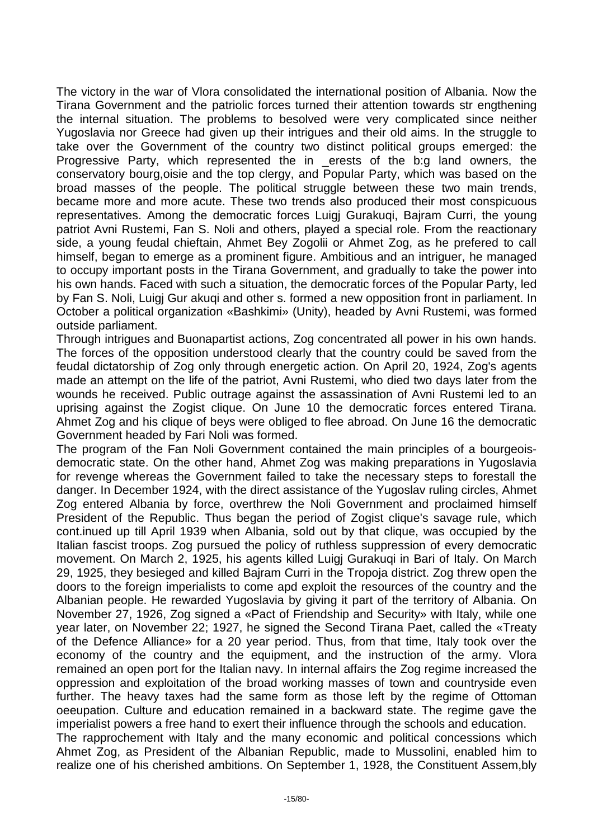The victory in the war of Vlora consolidated the international position of Albania. Now the Tirana Government and the patriolic forces turned their attention towards str engthening the internal situation. The problems to besolved were very complicated since neither Yugoslavia nor Greece had given up their intrigues and their old aims. In the struggle to take over the Government of the country two distinct political groups emerged: the Progressive Party, which represented the in \_erests of the b:g land owners, the conservatory bourg,oisie and the top clergy, and Popular Party, which was based on the broad masses of the people. The political struggle between these two main trends, became more and more acute. These two trends also produced their most conspicuous representatives. Among the democratic forces Luigj Gurakuqi, Bajram Curri, the young patriot Avni Rustemi, Fan S. Noli and others, played a special role. From the reactionary side, a young feudal chieftain, Ahmet Bey Zogolii or Ahmet Zog, as he prefered to call himself, began to emerge as a prominent figure. Ambitious and an intriguer, he managed to occupy important posts in the Tirana Government, and gradually to take the power into his own hands. Faced with such a situation, the democratic forces of the Popular Party, led by Fan S. Noli, Luigj Gur akuqi and other s. formed a new opposition front in parliament. In October a political organization «Bashkimi» (Unity), headed by Avni Rustemi, was formed outside parliament.

Through intrigues and Buonapartist actions, Zog concentrated all power in his own hands. The forces of the opposition understood clearly that the country could be saved from the feudal dictatorship of Zog only through energetic action. On April 20, 1924, Zog's agents made an attempt on the life of the patriot, Avni Rustemi, who died two days later from the wounds he received. Public outrage against the assassination of Avni Rustemi led to an uprising against the Zogist clique. On June 10 the democratic forces entered Tirana. Ahmet Zog and his clique of beys were obliged to flee abroad. On June 16 the democratic Government headed by Fari Noli was formed.

The program of the Fan Noli Government contained the main principles of a bourgeoisdemocratic state. On the other hand, Ahmet Zog was making preparations in Yugoslavia for revenge whereas the Government failed to take the necessary steps to forestall the danger. In December 1924, with the direct assistance of the Yugoslav ruling circles, Ahmet Zog entered Albania by force, overthrew the Noli Government and proclaimed himself President of the Republic. Thus began the period of Zogist clique's savage rule, which cont.inued up till April 1939 when Albania, sold out by that clique, was occupied by the Italian fascist troops. Zog pursued the policy of ruthless suppression of every democratic movement. On March 2, 1925, his agents killed Luigj Gurakuqi in Bari of Italy. On March 29, 1925, they besieged and killed Bajram Curri in the Tropoja district. Zog threw open the doors to the foreign imperialists to come apd exploit the resources of the country and the Albanian people. He rewarded Yugoslavia by giving it part of the territory of Albania. On November 27, 1926, Zog signed a «Pact of Friendship and Security» with Italy, while one year later, on November 22; 1927, he signed the Second Tirana Paet, called the «Treaty of the Defence Alliance» for a 20 year period. Thus, from that time, Italy took over the economy of the country and the equipment, and the instruction of the army. Vlora remained an open port for the Italian navy. In internal affairs the Zog regime increased the oppression and exploitation of the broad working masses of town and countryside even further. The heavy taxes had the same form as those left by the regime of Ottoman oeeupation. Culture and education remained in a backward state. The regime gave the imperialist powers a free hand to exert their influence through the schools and education.

The rapprochement with Italy and the many economic and political concessions which Ahmet Zog, as President of the Albanian Republic, made to Mussolini, enabled him to realize one of his cherished ambitions. On September 1, 1928, the Constituent Assem,bly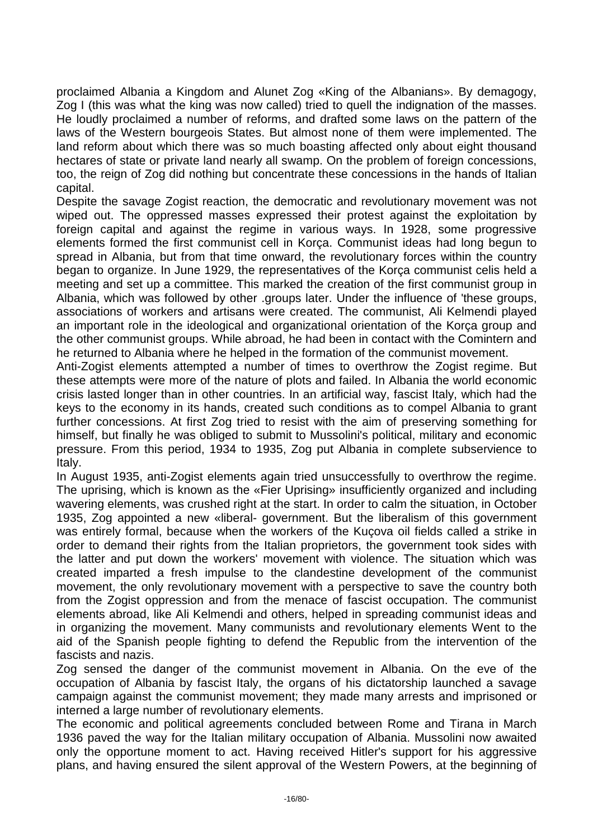proclaimed Albania a Kingdom and Alunet Zog «King of the Albanians». By demagogy, Zog I (this was what the king was now called) tried to quell the indignation of the masses. He loudly proclaimed a number of reforms, and drafted some laws on the pattern of the laws of the Western bourgeois States. But almost none of them were implemented. The land reform about which there was so much boasting affected only about eight thousand hectares of state or private land nearly all swamp. On the problem of foreign concessions, too, the reign of Zog did nothing but concentrate these concessions in the hands of Italian capital.

Despite the savage Zogist reaction, the democratic and revolutionary movement was not wiped out. The oppressed masses expressed their protest against the exploitation by foreign capital and against the regime in various ways. In 1928, some progressive elements formed the first communist cell in Korça. Communist ideas had long begun to spread in Albania, but from that time onward, the revolutionary forces within the country began to organize. In June 1929, the representatives of the Korça communist celis held a meeting and set up a committee. This marked the creation of the first communist group in Albania, which was followed by other .groups later. Under the influence of 'these groups, associations of workers and artisans were created. The communist, Ali Kelmendi played an important role in the ideological and organizational orientation of the Korça group and the other communist groups. While abroad, he had been in contact with the Comintern and he returned to Albania where he helped in the formation of the communist movement.

Anti-Zogist elements attempted a number of times to overthrow the Zogist regime. But these attempts were more of the nature of plots and failed. In Albania the world economic crisis lasted longer than in other countries. In an artificial way, fascist Italy, which had the keys to the economy in its hands, created such conditions as to compel Albania to grant further concessions. At first Zog tried to resist with the aim of preserving something for himself, but finally he was obliged to submit to Mussolini's political, military and economic pressure. From this period, 1934 to 1935, Zog put Albania in complete subservience to Italy.

In August 1935, anti-Zogist elements again tried unsuccessfully to overthrow the regime. The uprising, which is known as the «Fier Uprising» insufficiently organized and including wavering elements, was crushed right at the start. In order to calm the situation, in October 1935, Zog appointed a new «liberal- government. But the liberalism of this government was entirely formal, because when the workers of the Kuçova oil fields called a strike in order to demand their rights from the Italian proprietors, the government took sides with the latter and put down the workers' movement with violence. The situation which was created imparted a fresh impulse to the clandestine development of the communist movement, the only revolutionary movement with a perspective to save the country both from the Zogist oppression and from the menace of fascist occupation. The communist elements abroad, like Ali Kelmendi and others, helped in spreading communist ideas and in organizing the movement. Many communists and revolutionary elements Went to the aid of the Spanish people fighting to defend the Republic from the intervention of the fascists and nazis.

Zog sensed the danger of the communist movement in Albania. On the eve of the occupation of Albania by fascist Italy, the organs of his dictatorship launched a savage campaign against the communist movement; they made many arrests and imprisoned or interned a large number of revolutionary elements.

The economic and political agreements concluded between Rome and Tirana in March 1936 paved the way for the Italian military occupation of Albania. Mussolini now awaited only the opportune moment to act. Having received Hitler's support for his aggressive plans, and having ensured the silent approval of the Western Powers, at the beginning of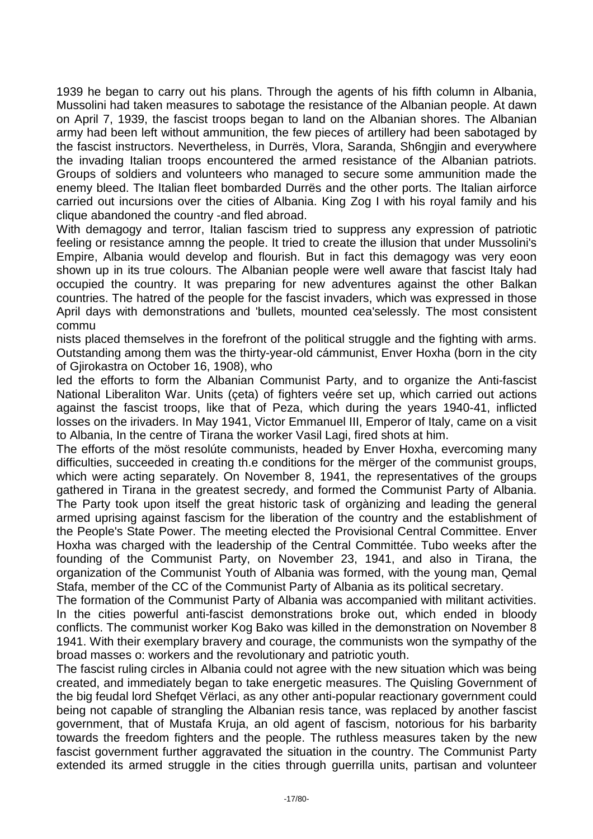1939 he began to carry out his plans. Through the agents of his fifth column in Albania, Mussolini had taken measures to sabotage the resistance of the Albanian people. At dawn on April 7, 1939, the fascist troops began to land on the Albanian shores. The Albanian army had been left without ammunition, the few pieces of artillery had been sabotaged by the fascist instructors. Nevertheless, in Durrës, Vlora, Saranda, Sh6ngjin and everywhere the invading Italian troops encountered the armed resistance of the Albanian patriots. Groups of soldiers and volunteers who managed to secure some ammunition made the enemy bleed. The Italian fleet bombarded Durrës and the other ports. The Italian airforce carried out incursions over the cities of Albania. King Zog I with his royal family and his clique abandoned the country -and fled abroad.

With demagogy and terror, Italian fascism tried to suppress any expression of patriotic feeling or resistance amnng the people. It tried to create the illusion that under Mussolini's Empire, Albania would develop and flourish. But in fact this demagogy was very eoon shown up in its true colours. The Albanian people were well aware that fascist Italy had occupied the country. It was preparing for new adventures against the other Balkan countries. The hatred of the people for the fascist invaders, which was expressed in those April days with demonstrations and 'bullets, mounted cea'selessly. The most consistent commu

nists placed themselves in the forefront of the political struggle and the fighting with arms. Outstanding among them was the thirty-year-old cámmunist, Enver Hoxha (born in the city of Gjirokastra on October 16, 1908), who

led the efforts to form the Albanian Communist Party, and to organize the Anti-fascist National Liberaliton War. Units (çeta) of fighters veére set up, which carried out actions against the fascist troops, like that of Peza, which during the years 1940-41, inflicted losses on the irivaders. In May 1941, Victor Emmanuel III, Emperor of Italy, came on a visit to Albania, In the centre of Tirana the worker Vasil Lagi, fired shots at him.

The efforts of the möst resolúte communists, headed by Enver Hoxha, evercoming many difficulties, succeeded in creating th.e conditions for the mërger of the communist groups, which were acting separately. On November 8, 1941, the representatives of the groups gathered in Tirana in the greatest secredy, and formed the Communist Party of Albania. The Party took upon itself the great historic task of orgànizing and leading the general armed uprising against fascism for the liberation of the country and the establishment of the People's State Power. The meeting elected the Provisional Central Committee. Enver Hoxha was charged with the leadership of the Central Committée. Tubo weeks after the founding of the Communist Party, on November 23, 1941, and also in Tirana, the organization of the Communist Youth of Albania was formed, with the young man, Qemal Stafa, member of the CC of the Communist Party of Albania as its political secretary.

The formation of the Communist Party of Albania was accompanied with militant activities. In the cities powerful anti-fascist demonstrations broke out, which ended in bloody conflicts. The communist worker Kog Bako was killed in the demonstration on November 8 1941. With their exemplary bravery and courage, the communists won the sympathy of the broad masses o: workers and the revolutionary and patriotic youth.

The fascist ruling circles in Albania could not agree with the new situation which was being created, and immediately began to take energetic measures. The Quisling Government of the big feudal lord Shefqet Vërlaci, as any other anti-popular reactionary government could being not capable of strangling the Albanian resis tance, was replaced by another fascist government, that of Mustafa Kruja, an old agent of fascism, notorious for his barbarity towards the freedom fighters and the people. The ruthless measures taken by the new fascist government further aggravated the situation in the country. The Communist Party extended its armed struggle in the cities through guerrilla units, partisan and volunteer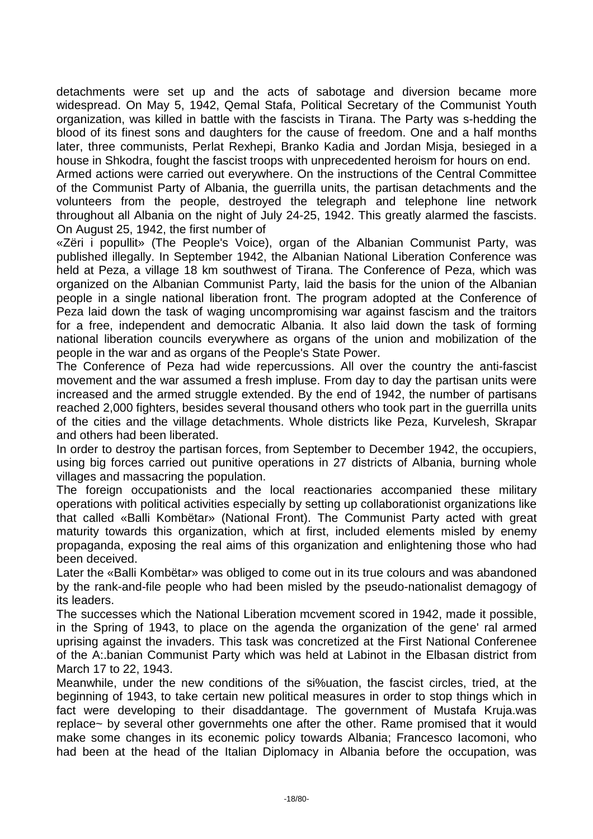detachments were set up and the acts of sabotage and diversion became more widespread. On May 5, 1942, Qemal Stafa, Political Secretary of the Communist Youth organization, was killed in battle with the fascists in Tirana. The Party was s-hedding the blood of its finest sons and daughters for the cause of freedom. One and a half months later, three communists, Perlat Rexhepi, Branko Kadia and Jordan Misja, besieged in a house in Shkodra, fought the fascist troops with unprecedented heroism for hours on end.

Armed actions were carried out everywhere. On the instructions of the Central Committee of the Communist Party of Albania, the guerrilla units, the partisan detachments and the volunteers from the people, destroyed the telegraph and telephone line network throughout all Albania on the night of July 24-25, 1942. This greatly alarmed the fascists. On August 25, 1942, the first number of

«Zëri i popullit» (The People's Voice), organ of the Albanian Communist Party, was published illegally. In September 1942, the Albanian National Liberation Conference was held at Peza, a village 18 km southwest of Tirana. The Conference of Peza, which was organized on the Albanian Communist Party, laid the basis for the union of the Albanian people in a single national liberation front. The program adopted at the Conference of Peza laid down the task of waging uncompromising war against fascism and the traitors for a free, independent and democratic Albania. It also laid down the task of forming national liberation councils everywhere as organs of the union and mobilization of the people in the war and as organs of the People's State Power.

The Conference of Peza had wide repercussions. All over the country the anti-fascist movement and the war assumed a fresh impluse. From day to day the partisan units were increased and the armed struggle extended. By the end of 1942, the number of partisans reached 2,000 fighters, besides several thousand others who took part in the guerrilla units of the cities and the village detachments. Whole districts like Peza, Kurvelesh, Skrapar and others had been liberated.

In order to destroy the partisan forces, from September to December 1942, the occupiers, using big forces carried out punitive operations in 27 districts of Albania, burning whole villages and massacring the population.

The foreign occupationists and the local reactionaries accompanied these military operations with political activities especially by setting up collaborationist organizations like that called «Balli Kombëtar» (National Front). The Communist Party acted with great maturity towards this organization, which at first, included elements misled by enemy propaganda, exposing the real aims of this organization and enlightening those who had been deceived.

Later the «Balli Kombëtar» was obliged to come out in its true colours and was abandoned by the rank-and-file people who had been misled by the pseudo-nationalist demagogy of its leaders.

The successes which the National Liberation mcvement scored in 1942, made it possible, in the Spring of 1943, to place on the agenda the organization of the gene' ral armed uprising against the invaders. This task was concretized at the First National Conferenee of the A:.banian Communist Party which was held at Labinot in the Elbasan district from March 17 to 22, 1943.

Meanwhile, under the new conditions of the si%uation, the fascist circles, tried, at the beginning of 1943, to take certain new political measures in order to stop things which in fact were developing to their disaddantage. The government of Mustafa Kruja.was replace~ by several other governmehts one after the other. Rame promised that it would make some changes in its econemic policy towards Albania; Francesco Iacomoni, who had been at the head of the Italian Diplomacy in Albania before the occupation, was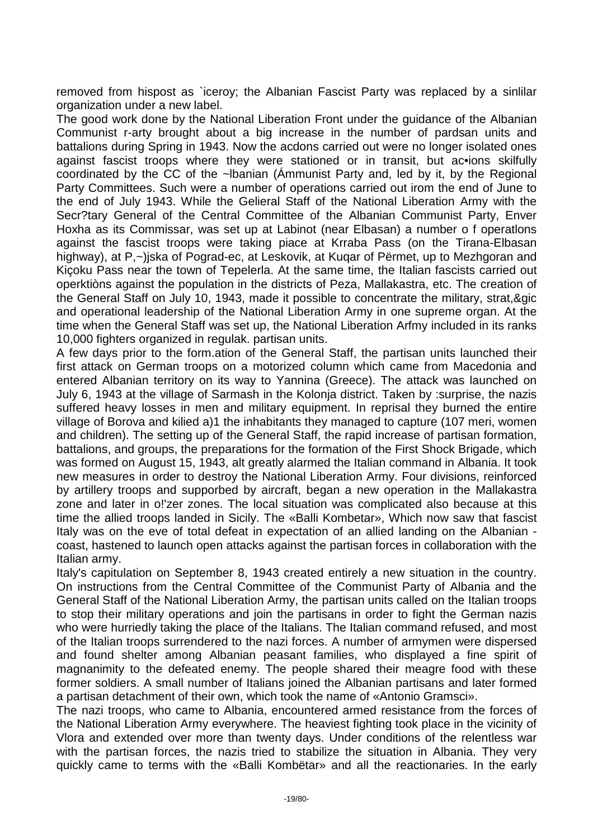removed from hispost as `iceroy; the Albanian Fascist Party was replaced by a sinlilar organization under a new label.

The good work done by the National Liberation Front under the guidance of the Albanian Communist r-arty brought about a big increase in the number of pardsan units and battalions during Spring in 1943. Now the acdons carried out were no longer isolated ones against fascist troops where they were stationed or in transit, but ac•ions skilfully coordinated by the CC of the ~lbanian (Ámmunist Party and, led by it, by the Regional Party Committees. Such were a number of operations carried out irom the end of June to the end of July 1943. While the Gelieral Staff of the National Liberation Army with the Secr?tary General of the Central Committee of the Albanian Communist Party, Enver Hoxha as its Commissar, was set up at Labinot (near Elbasan) a number o f operatlons against the fascist troops were taking piace at Krraba Pass (on the Tirana-Elbasan highway), at P,~)jska of Pograd-ec, at Leskovik, at Kugar of Përmet, up to Mezhgoran and Kiçoku Pass near the town of Tepelerla. At the same time, the Italian fascists carried out operktiòns against the population in the districts of Peza, Mallakastra, etc. The creation of the General Staff on July 10, 1943, made it possible to concentrate the military, strat,&gic and operational leadership of the National Liberation Army in one supreme organ. At the time when the General Staff was set up, the National Liberation Arfmy included in its ranks 10,000 fighters organized in regulak. partisan units.

A few days prior to the form.ation of the General Staff, the partisan units launched their first attack on German troops on a motorized column which came from Macedonia and entered Albanian territory on its way to Yannina (Greece). The attack was launched on July 6, 1943 at the village of Sarmash in the Kolonja district. Taken by :surprise, the nazis suffered heavy losses in men and military equipment. In reprisal they burned the entire village of Borova and kilied a)1 the inhabitants they managed to capture (107 meri, women and children). The setting up of the General Staff, the rapid increase of partisan formation, battalions, and groups, the preparations for the formation of the First Shock Brigade, which was formed on August 15, 1943, alt greatly alarmed the Italian command in Albania. It took new measures in order to destroy the National Liberation Army. Four divisions, reinforced by artillery troops and supporbed by aircraft, began a new operation in the Mallakastra zone and later in o!'zer zones. The local situation was complicated also because at this time the allied troops landed in Sicily. The «Balli Kombetar», Which now saw that fascist Italy was on the eve of total defeat in expectation of an allied landing on the Albanian coast, hastened to launch open attacks against the partisan forces in collaboration with the Italian army.

Italy's capitulation on September 8, 1943 created entirely a new situation in the country. On instructions from the Central Committee of the Communist Party of Albania and the General Staff of the National Liberation Army, the partisan units called on the Italian troops to stop their military operations and join the partisans in order to fight the German nazis who were hurriedly taking the place of the Italians. The Italian command refused, and most of the Italian troops surrendered to the nazi forces. A number of armymen were dispersed and found shelter among Albanian peasant families, who displayed a fine spirit of magnanimity to the defeated enemy. The people shared their meagre food with these former soldiers. A small number of Italians joined the Albanian partisans and later formed a partisan detachment of their own, which took the name of «Antonio Gramsci».

The nazi troops, who came to Albania, encountered armed resistance from the forces of the National Liberation Army everywhere. The heaviest fighting took place in the vicinity of Vlora and extended over more than twenty days. Under conditions of the relentless war with the partisan forces, the nazis tried to stabilize the situation in Albania. They very quickly came to terms with the «Balli Kombëtar» and all the reactionaries. In the early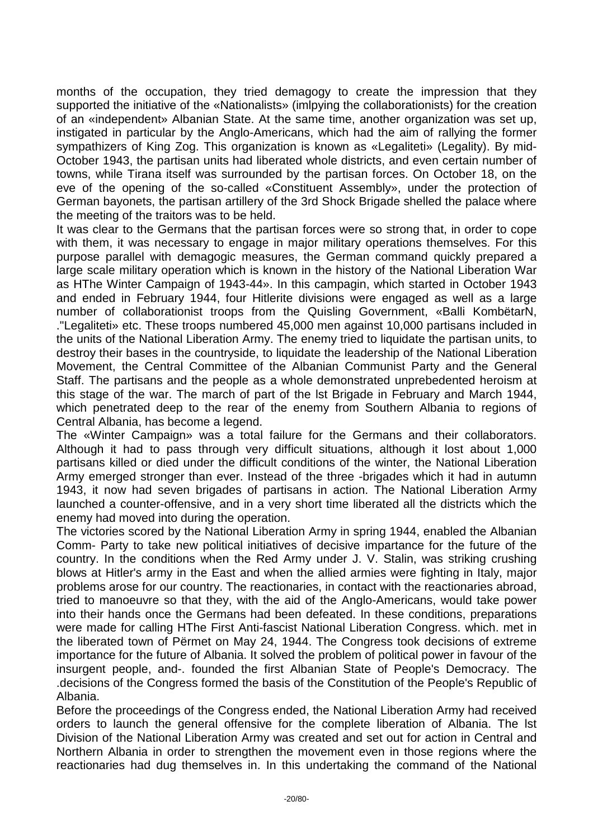months of the occupation, they tried demagogy to create the impression that they supported the initiative of the «Nationalists» (imlpying the collaborationists) for the creation of an «independent» Albanian State. At the same time, another organization was set up, instigated in particular by the Anglo-Americans, which had the aim of rallying the former sympathizers of King Zog. This organization is known as «Legaliteti» (Legality). By mid-October 1943, the partisan units had liberated whole districts, and even certain number of towns, while Tirana itself was surrounded by the partisan forces. On October 18, on the eve of the opening of the so-called «Constituent Assembly», under the protection of German bayonets, the partisan artillery of the 3rd Shock Brigade shelled the palace where the meeting of the traitors was to be held.

It was clear to the Germans that the partisan forces were so strong that, in order to cope with them, it was necessary to engage in major military operations themselves. For this purpose parallel with demagogic measures, the German command quickly prepared a large scale military operation which is known in the history of the National Liberation War as HThe Winter Campaign of 1943-44». In this campagin, which started in October 1943 and ended in February 1944, four Hitlerite divisions were engaged as well as a large number of collaborationist troops from the Quisling Government, «Balli KombëtarN, ."Legaliteti» etc. These troops numbered 45,000 men against 10,000 partisans included in the units of the National Liberation Army. The enemy tried to liquidate the partisan units, to destroy their bases in the countryside, to liquidate the leadership of the National Liberation Movement, the Central Committee of the Albanian Communist Party and the General Staff. The partisans and the people as a whole demonstrated unprebedented heroism at this stage of the war. The march of part of the lst Brigade in February and March 1944, which penetrated deep to the rear of the enemy from Southern Albania to regions of Central Albania, has become a legend.

The «Winter Campaign» was a total failure for the Germans and their collaborators. Although it had to pass through very difficult situations, although it lost about 1,000 partisans killed or died under the difficult conditions of the winter, the National Liberation Army emerged stronger than ever. Instead of the three -brigades which it had in autumn 1943, it now had seven brigades of partisans in action. The National Liberation Army launched a counter-offensive, and in a very short time liberated all the districts which the enemy had moved into during the operation.

The victories scored by the National Liberation Army in spring 1944, enabled the Albanian Comm- Party to take new political initiatives of decisive impartance for the future of the country. In the conditions when the Red Army under J. V. Stalin, was striking crushing blows at Hitler's army in the East and when the allied armies were fighting in Italy, major problems arose for our country. The reactionaries, in contact with the reactionaries abroad, tried to manoeuvre so that they, with the aid of the Anglo-Americans, would take power into their hands once the Germans had been defeated. In these conditions, preparations were made for calling HThe First Anti-fascist National Liberation Congress. which. met in the liberated town of Përmet on May 24, 1944. The Congress took decisions of extreme importance for the future of Albania. It solved the problem of political power in favour of the insurgent people, and-. founded the first Albanian State of People's Democracy. The .decisions of the Congress formed the basis of the Constitution of the People's Republic of Albania.

Before the proceedings of the Congress ended, the National Liberation Army had received orders to launch the general offensive for the complete liberation of Albania. The lst Division of the National Liberation Army was created and set out for action in Central and Northern Albania in order to strengthen the movement even in those regions where the reactionaries had dug themselves in. In this undertaking the command of the National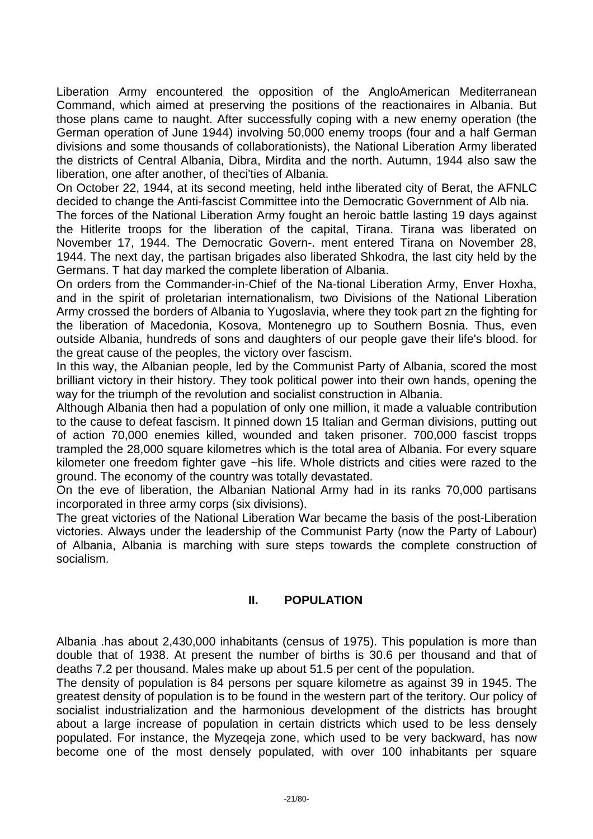Liberation Army encountered the opposition of the AngloAmerican Mediterranean Command, which aimed at preserving the positions of the reactionaires in Albania. But those plans came to naught. After successfully coping with a new enemy operation (the German operation of June 1944) involving 50,000 enemy troops (four and a half German divisions and some thousands of collaborationists), the National Liberation Army liberated the districts of Central Albania, Dibra, Mirdita and the north. Autumn, 1944 also saw the liberation, one after another, of theci'ties of Albania.

On October 22, 1944, at its second meeting, held inthe liberated city of Berat, the AFNLC decided to change the Anti-fascist Committee into the Democratic Government of Alb nia.

The forces of the National Liberation Army fought an heroic battle lasting 19 days against the Hitlerite troops for the liberation of the capital, Tirana. Tirana was liberated on November 17, 1944. The Democratic Govern-. ment entered Tirana on November 28, 1944. The next day, the partisan brigades also liberated Shkodra, the last city held by the Germans. T hat day marked the complete liberation of Albania.

On orders from the Commander-in-Chief of the Na-tional Liberation Army, Enver Hoxha, and in the spirit of proletarian internationalism, two Divisions of the National Liberation Army crossed the borders of Albania to Yugoslavia, where they took part zn the fighting for the liberation of Macedonia, Kosova, Montenegro up to Southern Bosnia. Thus, even outside Albania, hundreds of sons and daughters of our people gave their life's blood. for the great cause of the peoples, the victory over fascism.

In this way, the Albanian people, led by the Communist Party of Albania, scored the most brilliant victory in their history. They took political power into their own hands, opening the way for the triumph of the revolution and socialist construction in Albania.

Although Albania then had a population of only one million, it made a valuable contribution to the cause to defeat fascism. It pinned down 15 Italian and German divisions, putting out of action 70,000 enemies killed, wounded and taken prisoner. 700,000 fascist tropps trampled the 28,000 square kilometres which is the total area of Albania. For every square kilometer one freedom fighter gave ~his life. Whole districts and cities were razed to the ground. The economy of the country was totally devastated.

On the eve of liberation, the Albanian National Army had in its ranks 70,000 partisans incorporated in three army corps (six divisions).

The great victories of the National Liberation War became the basis of the post-Liberation victories. Always under the leadership of the Communist Party (now the Party of Labour) of Albania, Albania is marching with sure steps towards the complete construction of socialism.

#### **II. POPULATION**

Albania .has about 2,430,000 inhabitants (census of 1975). This population is more than double that of 1938. At present the number of births is 30.6 per thousand and that of deaths 7.2 per thousand. Males make up about 51.5 per cent of the population.

The density of population is 84 persons per square kilometre as against 39 in 1945. The greatest density of population is to be found in the western part of the teritory. Our policy of socialist industrialization and the harmonious development of the districts has brought about a large increase of population in certain districts which used to be less densely populated. For instance, the Myzeqeja zone, which used to be very backward, has now become one of the most densely populated, with over 100 inhabitants per square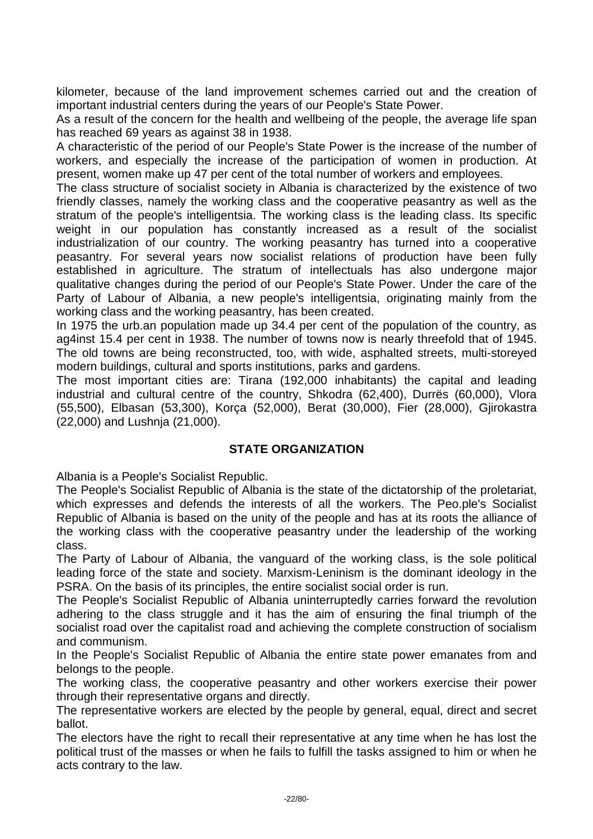kilometer, because of the land improvement schemes carried out and the creation of important industrial centers during the years of our People's State Power.

As a result of the concern for the health and wellbeing of the people, the average life span has reached 69 years as against 38 in 1938.

A characteristic of the period of our People's State Power is the increase of the number of workers, and especially the increase of the participation of women in production. At present, women make up 47 per cent of the total number of workers and employees.

The class structure of socialist society in Albania is characterized by the existence of two friendly classes, namely the working class and the cooperative peasantry as well as the stratum of the people's intelligentsia. The working class is the leading class. Its specific weight in our population has constantly increased as a result of the socialist industrialization of our country. The working peasantry has turned into a cooperative peasantry. For several years now socialist relations of production have been fully established in agriculture. The stratum of intellectuals has also undergone major qualitative changes during the period of our People's State Power. Under the care of the Party of Labour of Albania, a new people's intelligentsia, originating mainly from the working class and the working peasantry, has been created.

In 1975 the urb.an population made up 34.4 per cent of the population of the country, as ag4inst 15.4 per cent in 1938. The number of towns now is nearly threefold that of 1945. The old towns are being reconstructed, too, with wide, asphalted streets, multi-storeyed modern buildings, cultural and sports institutions, parks and gardens.

The most important cities are: Tirana (192,000 inhabitants) the capital and leading industrial and cultural centre of the country, Shkodra (62,400), Durrës (60,000), Vlora (55,500), Elbasan (53,300), Korça (52,000), Berat (30,000), Fier (28,000), Gjirokastra (22,000) and Lushnja (21,000).

#### **STATE ORGANIZATION**

Albania is a People's Socialist Republic.

The People's Socialist Republic of Albania is the state of the dictatorship of the proletariat, which expresses and defends the interests of all the workers. The Peo.ple's Socialist Republic of Albania is based on the unity of the people and has at its roots the alliance of the working class with the cooperative peasantry under the leadership of the working class.

The Party of Labour of Albania, the vanguard of the working class, is the sole political leading force of the state and society. Marxism-Leninism is the dominant ideology in the PSRA. On the basis of its principles, the entire socialist social order is run.

The People's Socialist Republic of Albania uninterruptedly carries forward the revolution adhering to the class struggle and it has the aim of ensuring the final triumph of the socialist road over the capitalist road and achieving the complete construction of socialism and communism.

In the People's Socialist Republic of Albania the entire state power emanates from and belongs to the people.

The working class, the cooperative peasantry and other workers exercise their power through their representative organs and directly.

The representative workers are elected by the people by general, equal, direct and secret ballot.

The electors have the right to recall their representative at any time when he has lost the political trust of the masses or when he fails to fulfill the tasks assigned to him or when he acts contrary to the law.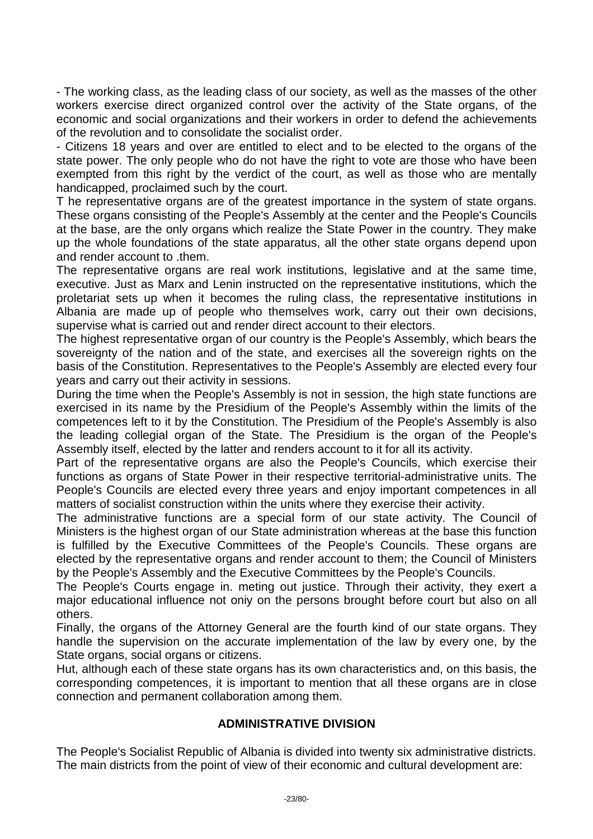- The working class, as the leading class of our society, as well as the masses of the other workers exercise direct organized control over the activity of the State organs, of the economic and social organizations and their workers in order to defend the achievements of the revolution and to consolidate the socialist order.

- Citizens 18 years and over are entitled to elect and to be elected to the organs of the state power. The only people who do not have the right to vote are those who have been exempted from this right by the verdict of the court, as well as those who are mentally handicapped, proclaimed such by the court.

T he representative organs are of the greatest importance in the system of state organs. These organs consisting of the People's Assembly at the center and the People's Councils at the base, are the only organs which realize the State Power in the country. They make up the whole foundations of the state apparatus, all the other state organs depend upon and render account to .them.

The representative organs are real work institutions, legislative and at the same time, executive. Just as Marx and Lenin instructed on the representative institutions, which the proletariat sets up when it becomes the ruling class, the representative institutions in Albania are made up of people who themselves work, carry out their own decisions, supervise what is carried out and render direct account to their electors.

The highest representative organ of our country is the People's Assembly, which bears the sovereignty of the nation and of the state, and exercises all the sovereign rights on the basis of the Constitution. Representatives to the People's Assembly are elected every four years and carry out their activity in sessions.

During the time when the People's Assembly is not in session, the high state functions are exercised in its name by the Presidium of the People's Assembly within the limits of the competences left to it by the Constitution. The Presidium of the People's Assembly is also the leading collegial organ of the State. The Presidium is the organ of the People's Assembly itself, elected by the latter and renders account to it for all its activity.

Part of the representative organs are also the People's Councils, which exercise their functions as organs of State Power in their respective territorial-administrative units. The People's Councils are elected every three years and enjoy important competences in all matters of socialist construction within the units where they exercise their activity.

The administrative functions are a special form of our state activity. The Council of Ministers is the highest organ of our State administration whereas at the base this function is fulfilled by the Executive Committees of the People's Councils. These organs are elected by the representative organs and render account to them; the Council of Ministers by the People's Assembly and the Executive Committees by the People's Councils.

The People's Courts engage in. meting out justice. Through their activity, they exert a major educational influence not oniy on the persons brought before court but also on all others.

Finally, the organs of the Attorney General are the fourth kind of our state organs. They handle the supervision on the accurate implementation of the law by every one, by the State organs, social organs or citizens.

Hut, although each of these state organs has its own characteristics and, on this basis, the corresponding competences, it is important to mention that all these organs are in close connection and permanent collaboration among them.

## **ADMINISTRATIVE DIVISION**

The People's Socialist Republic of Albania is divided into twenty six administrative districts. The main districts from the point of view of their economic and cultural development are: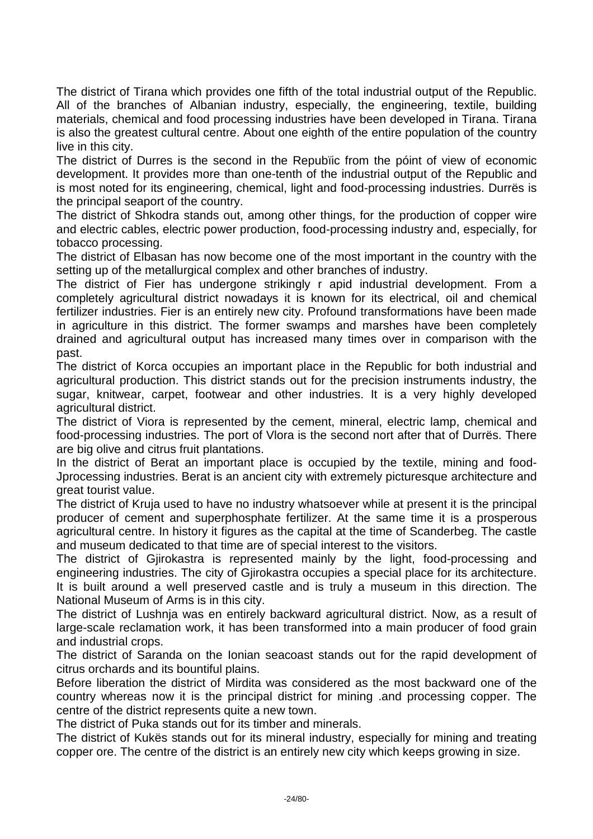The district of Tirana which provides one fifth of the total industrial output of the Republic. All of the branches of Albanian industry, especially, the engineering, textile, building materials, chemical and food processing industries have been developed in Tirana. Tirana is also the greatest cultural centre. About one eighth of the entire population of the country live in this city.

The district of Durres is the second in the Repubïic from the póint of view of economic development. It provides more than one-tenth of the industrial output of the Republic and is most noted for its engineering, chemical, light and food-processing industries. Durrës is the principal seaport of the country.

The district of Shkodra stands out, among other things, for the production of copper wire and electric cables, electric power production, food-processing industry and, especially, for tobacco processing.

The district of Elbasan has now become one of the most important in the country with the setting up of the metallurgical complex and other branches of industry.

The district of Fier has undergone strikingly r apid industrial development. From a completely agricultural district nowadays it is known for its electrical, oil and chemical fertilizer industries. Fier is an entirely new city. Profound transformations have been made in agriculture in this district. The former swamps and marshes have been completely drained and agricultural output has increased many times over in comparison with the past.

The district of Korca occupies an important place in the Republic for both industrial and agricultural production. This district stands out for the precision instruments industry, the sugar, knitwear, carpet, footwear and other industries. It is a very highly developed agricultural district.

The district of Viora is represented by the cement, mineral, electric lamp, chemical and food-processing industries. The port of Vlora is the second nort after that of Durrës. There are big olive and citrus fruit plantations.

In the district of Berat an important place is occupied by the textile, mining and food-Jprocessing industries. Berat is an ancient city with extremely picturesque architecture and great tourist value.

The district of Kruja used to have no industry whatsoever while at present it is the principal producer of cement and superphosphate fertilizer. At the same time it is a prosperous agricultural centre. In history it figures as the capital at the time of Scanderbeg. The castle and museum dedicated to that time are of special interest to the visitors.

The district of Gjirokastra is represented mainly by the light, food-processing and engineering industries. The city of Gjirokastra occupies a special place for its architecture. It is built around a well preserved castle and is truly a museum in this direction. The National Museum of Arms is in this city.

The district of Lushnja was en entirely backward agricultural district. Now, as a result of large-scale reclamation work, it has been transformed into a main producer of food grain and industrial crops.

The district of Saranda on the Ionian seacoast stands out for the rapid development of citrus orchards and its bountiful plains.

Before liberation the district of Mirdita was considered as the most backward one of the country whereas now it is the principal district for mining .and processing copper. The centre of the district represents quite a new town.

The district of Puka stands out for its timber and minerals.

The district of Kukës stands out for its mineral industry, especially for mining and treating copper ore. The centre of the district is an entirely new city which keeps growing in size.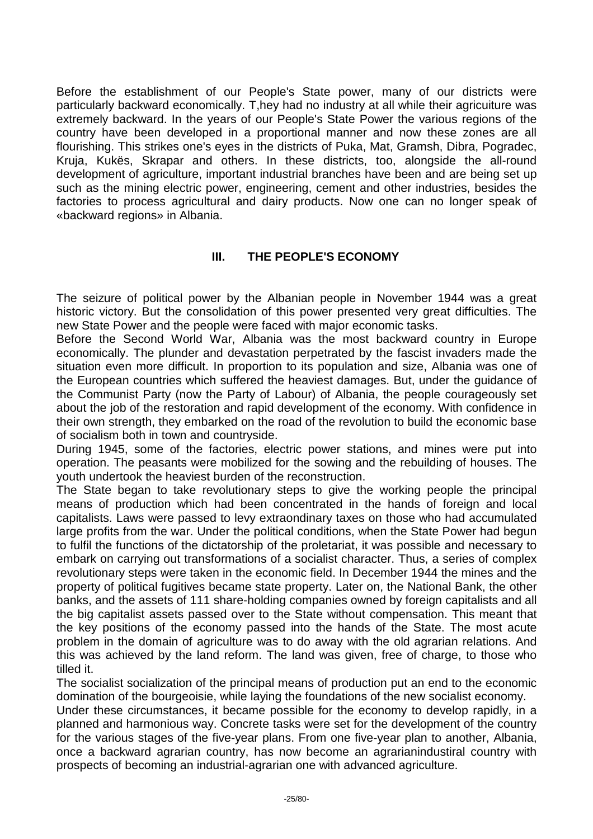Before the establishment of our People's State power, many of our districts were particularly backward economically. T,hey had no industry at all while their agricuiture was extremely backward. In the years of our People's State Power the various regions of the country have been developed in a proportional manner and now these zones are all flourishing. This strikes one's eyes in the districts of Puka, Mat, Gramsh, Dibra, Pogradec, Kruja, Kukës, Skrapar and others. In these districts, too, alongside the all-round development of agriculture, important industrial branches have been and are being set up such as the mining electric power, engineering, cement and other industries, besides the factories to process agricultural and dairy products. Now one can no longer speak of «backward regions» in Albania.

## **III. THE PEOPLE'S ECONOMY**

The seizure of political power by the Albanian people in November 1944 was a great historic victory. But the consolidation of this power presented very great difficulties. The new State Power and the people were faced with major economic tasks.

Before the Second World War, Albania was the most backward country in Europe economically. The plunder and devastation perpetrated by the fascist invaders made the situation even more difficult. In proportion to its population and size, Albania was one of the European countries which suffered the heaviest damages. But, under the guidance of the Communist Party (now the Party of Labour) of Albania, the people courageously set about the job of the restoration and rapid development of the economy. With confidence in their own strength, they embarked on the road of the revolution to build the economic base of socialism both in town and countryside.

During 1945, some of the factories, electric power stations, and mines were put into operation. The peasants were mobilized for the sowing and the rebuilding of houses. The youth undertook the heaviest burden of the reconstruction.

The State began to take revolutionary steps to give the working people the principal means of production which had been concentrated in the hands of foreign and local capitalists. Laws were passed to levy extraondinary taxes on those who had accumulated large profits from the war. Under the political conditions, when the State Power had begun to fulfil the functions of the dictatorship of the proletariat, it was possible and necessary to embark on carrying out transformations of a socialist character. Thus, a series of complex revolutionary steps were taken in the economic field. In December 1944 the mines and the property of political fugitives became state property. Later on, the National Bank, the other banks, and the assets of 111 share-holding companies owned by foreign capitalists and all the big capitalist assets passed over to the State without compensation. This meant that the key positions of the economy passed into the hands of the State. The most acute problem in the domain of agriculture was to do away with the old agrarian relations. And this was achieved by the land reform. The land was given, free of charge, to those who tilled it.

The socialist socialization of the principal means of production put an end to the economic domination of the bourgeoisie, while laying the foundations of the new socialist economy.

Under these circumstances, it became possible for the economy to develop rapidly, in a planned and harmonious way. Concrete tasks were set for the development of the country for the various stages of the five-year plans. From one five-year plan to another, Albania, once a backward agrarian country, has now become an agrarianindustiral country with prospects of becoming an industrial-agrarian one with advanced agriculture.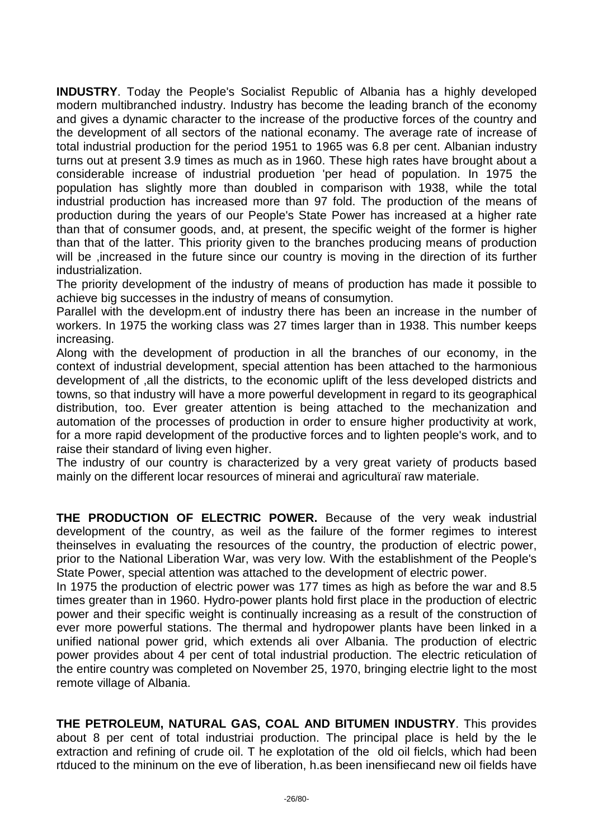**INDUSTRY**. Today the People's Socialist Republic of Albania has a highly developed modern multibranched industry. Industry has become the leading branch of the economy and gives a dynamic character to the increase of the productive forces of the country and the development of all sectors of the national econamy. The average rate of increase of total industrial production for the period 1951 to 1965 was 6.8 per cent. Albanian industry turns out at present 3.9 times as much as in 1960. These high rates have brought about a considerable increase of industrial produetion 'per head of population. In 1975 the population has slightly more than doubled in comparison with 1938, while the total industrial production has increased more than 97 fold. The production of the means of production during the years of our People's State Power has increased at a higher rate than that of consumer goods, and, at present, the specific weight of the former is higher than that of the latter. This priority given to the branches producing means of production will be , increased in the future since our country is moving in the direction of its further industrialization.

The priority development of the industry of means of production has made it possible to achieve big successes in the industry of means of consumytion.

Parallel with the developm.ent of industry there has been an increase in the number of workers. In 1975 the working class was 27 times larger than in 1938. This number keeps increasing.

Along with the development of production in all the branches of our economy, in the context of industrial development, special attention has been attached to the harmonious development of ,all the districts, to the economic uplift of the less developed districts and towns, so that industry will have a more powerful development in regard to its geographical distribution, too. Ever greater attention is being attached to the mechanization and automation of the processes of production in order to ensure higher productivity at work, for a more rapid development of the productive forces and to lighten people's work, and to raise their standard of living even higher.

The industry of our country is characterized by a very great variety of products based mainly on the different locar resources of minerai and agriculturaï raw materiale.

**THE PRODUCTION OF ELECTRIC POWER.** Because of the very weak industrial development of the country, as weil as the failure of the former regimes to interest theinselves in evaluating the resources of the country, the production of electric power, prior to the National Liberation War, was very low. With the establishment of the People's State Power, special attention was attached to the development of electric power.

In 1975 the production of electric power was 177 times as high as before the war and 8.5 times greater than in 1960. Hydro-power plants hold first place in the production of electric power and their specific weight is continually increasing as a result of the construction of ever more powerful stations. The thermal and hydropower plants have been linked in a unified national power grid, which extends ali over Albania. The production of electric power provides about 4 per cent of total industrial production. The electric reticulation of the entire country was completed on November 25, 1970, bringing electrie light to the most remote village of Albania.

**THE PETROLEUM, NATURAL GAS, COAL AND BITUMEN INDUSTRY**. This provides about 8 per cent of total industriai production. The principal place is held by the le extraction and refining of crude oil. T he explotation of the old oil fielcls, which had been rtduced to the mininum on the eve of liberation, h.as been inensifiecand new oil fields have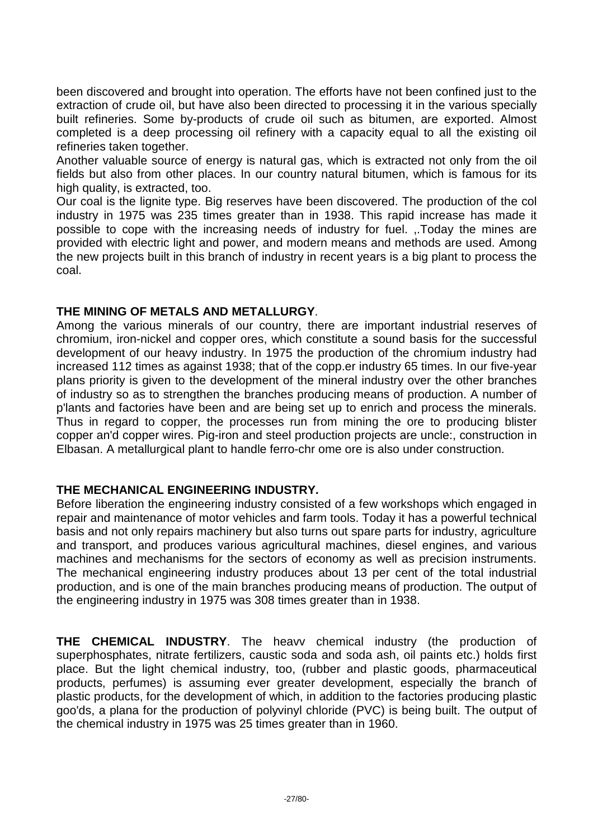been discovered and brought into operation. The efforts have not been confined just to the extraction of crude oil, but have also been directed to processing it in the various specially built refineries. Some by-products of crude oil such as bitumen, are exported. Almost completed is a deep processing oil refinery with a capacity equal to all the existing oil refineries taken together.

Another valuable source of energy is natural gas, which is extracted not only from the oil fields but also from other places. In our country natural bitumen, which is famous for its high quality, is extracted, too.

Our coal is the lignite type. Big reserves have been discovered. The production of the col industry in 1975 was 235 times greater than in 1938. This rapid increase has made it possible to cope with the increasing needs of industry for fuel. ,.Today the mines are provided with electric light and power, and modern means and methods are used. Among the new projects built in this branch of industry in recent years is a big plant to process the coal.

### **THE MINING OF METALS AND METALLURGY**.

Among the various minerals of our country, there are important industrial reserves of chromium, iron-nickel and copper ores, which constitute a sound basis for the successful development of our heavy industry. In 1975 the production of the chromium industry had increased 112 times as against 1938; that of the copp.er industry 65 times. In our five-year plans priority is given to the development of the mineral industry over the other branches of industry so as to strengthen the branches producing means of production. A number of p'lants and factories have been and are being set up to enrich and process the minerals. Thus in regard to copper, the processes run from mining the ore to producing blister copper an'd copper wires. Pig-iron and steel production projects are uncle:, construction in Elbasan. A metallurgical plant to handle ferro-chr ome ore is also under construction.

#### **THE MECHANICAL ENGINEERING INDUSTRY.**

Before liberation the engineering industry consisted of a few workshops which engaged in repair and maintenance of motor vehicles and farm tools. Today it has a powerful technical basis and not only repairs machinery but also turns out spare parts for industry, agriculture and transport, and produces various agricultural machines, diesel engines, and various machines and mechanisms for the sectors of economy as well as precision instruments. The mechanical engineering industry produces about 13 per cent of the total industrial production, and is one of the main branches producing means of production. The output of the engineering industry in 1975 was 308 times greater than in 1938.

**THE CHEMICAL INDUSTRY**. The heavv chemical industry (the production of superphosphates, nitrate fertilizers, caustic soda and soda ash, oil paints etc.) holds first place. But the light chemical industry, too, (rubber and plastic goods, pharmaceutical products, perfumes) is assuming ever greater development, especially the branch of plastic products, for the development of which, in addition to the factories producing plastic goo'ds, a plana for the production of polyvinyl chloride (PVC) is being built. The output of the chemical industry in 1975 was 25 times greater than in 1960.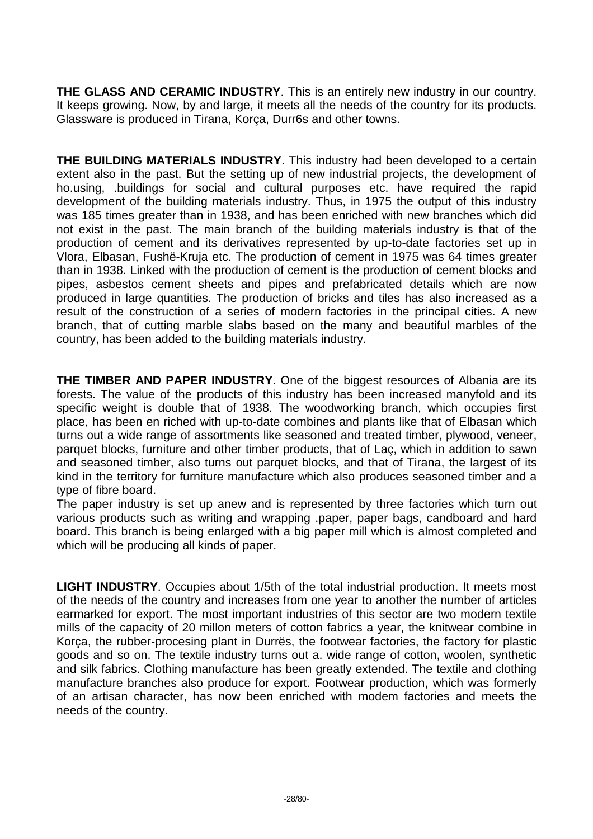**THE GLASS AND CERAMIC INDUSTRY**. This is an entirely new industry in our country. It keeps growing. Now, by and large, it meets all the needs of the country for its products. Glassware is produced in Tirana, Korça, Durr6s and other towns.

**THE BUILDING MATERIALS INDUSTRY**. This industry had been developed to a certain extent also in the past. But the setting up of new industrial projects, the development of ho.using, .buildings for social and cultural purposes etc. have required the rapid development of the building materials industry. Thus, in 1975 the output of this industry was 185 times greater than in 1938, and has been enriched with new branches which did not exist in the past. The main branch of the building materials industry is that of the production of cement and its derivatives represented by up-to-date factories set up in Vlora, Elbasan, Fushë-Kruja etc. The production of cement in 1975 was 64 times greater than in 1938. Linked with the production of cement is the production of cement blocks and pipes, asbestos cement sheets and pipes and prefabricated details which are now produced in large quantities. The production of bricks and tiles has also increased as a result of the construction of a series of modern factories in the principal cities. A new branch, that of cutting marble slabs based on the many and beautiful marbles of the country, has been added to the building materials industry.

**THE TIMBER AND PAPER INDUSTRY**. One of the biggest resources of Albania are its forests. The value of the products of this industry has been increased manyfold and its specific weight is double that of 1938. The woodworking branch, which occupies first place, has been en riched with up-to-date combines and plants like that of Elbasan which turns out a wide range of assortments like seasoned and treated timber, plywood, veneer, parquet blocks, furniture and other timber products, that of Laç, which in addition to sawn and seasoned timber, also turns out parquet blocks, and that of Tirana, the largest of its kind in the territory for furniture manufacture which also produces seasoned timber and a type of fibre board.

The paper industry is set up anew and is represented by three factories which turn out various products such as writing and wrapping .paper, paper bags, candboard and hard board. This branch is being enlarged with a big paper mill which is almost completed and which will be producing all kinds of paper.

**LIGHT INDUSTRY**. Occupies about 1/5th of the total industrial production. It meets most of the needs of the country and increases from one year to another the number of articles earmarked for export. The most important industries of this sector are two modern textile mills of the capacity of 20 millon meters of cotton fabrics a year, the knitwear combine in Korça, the rubber-procesing plant in Durrës, the footwear factories, the factory for plastic goods and so on. The textile industry turns out a. wide range of cotton, woolen, synthetic and silk fabrics. Clothing manufacture has been greatly extended. The textile and clothing manufacture branches also produce for export. Footwear production, which was formerly of an artisan character, has now been enriched with modem factories and meets the needs of the country.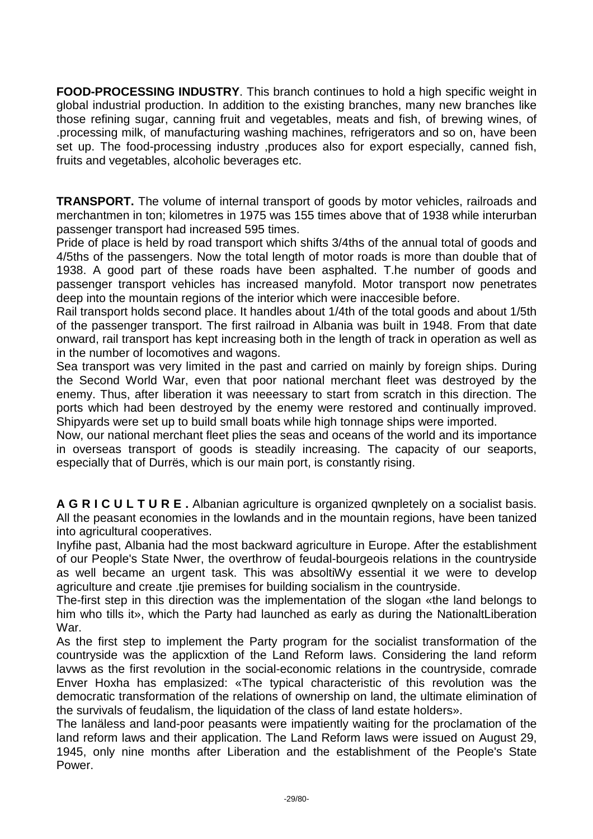**FOOD-PROCESSING INDUSTRY**. This branch continues to hold a high specific weight in global industrial production. In addition to the existing branches, many new branches like those refining sugar, canning fruit and vegetables, meats and fish, of brewing wines, of .processing milk, of manufacturing washing machines, refrigerators and so on, have been set up. The food-processing industry ,produces also for export especially, canned fish, fruits and vegetables, alcoholic beverages etc.

**TRANSPORT.** The volume of internal transport of goods by motor vehicles, railroads and merchantmen in ton; kilometres in 1975 was 155 times above that of 1938 while interurban passenger transport had increased 595 times.

Pride of place is held by road transport which shifts 3/4ths of the annual total of goods and 4/5ths of the passengers. Now the total length of motor roads is more than double that of 1938. A good part of these roads have been asphalted. T.he number of goods and passenger transport vehicles has increased manyfold. Motor transport now penetrates deep into the mountain regions of the interior which were inaccesible before.

Rail transport holds second place. It handles about 1/4th of the total goods and about 1/5th of the passenger transport. The first railroad in Albania was built in 1948. From that date onward, rail transport has kept increasing both in the length of track in operation as well as in the number of locomotives and wagons.

Sea transport was very limited in the past and carried on mainly by foreign ships. During the Second World War, even that poor national merchant fleet was destroyed by the enemy. Thus, after liberation it was neeessary to start from scratch in this direction. The ports which had been destroyed by the enemy were restored and continually improved. Shipyards were set up to build small boats while high tonnage ships were imported.

Now, our national merchant fleet plies the seas and oceans of the world and its importance in overseas transport of goods is steadily increasing. The capacity of our seaports, especially that of Durrës, which is our main port, is constantly rising.

**A G R I C U L T U R E .** Albanian agriculture is organized qwnpletely on a socialist basis. All the peasant economies in the lowlands and in the mountain regions, have been tanized into agricultural cooperatives.

Inyfihe past, Albania had the most backward agriculture in Europe. After the establishment of our People's State Nwer, the overthrow of feudal-bourgeois relations in the countryside as well became an urgent task. This was absoltiWy essential it we were to develop agriculture and create .tjie premises for building socialism in the countryside.

The-first step in this direction was the implementation of the slogan «the land belongs to him who tills it», which the Party had launched as early as during the NationaltLiberation War.

As the first step to implement the Party program for the socialist transformation of the countryside was the applicxtion of the Land Reform laws. Considering the land reform lavws as the first revolution in the social-economic relations in the countryside, comrade Enver Hoxha has emplasized: «The typical characteristic of this revolution was the democratic transformation of the relations of ownership on land, the ultimate elimination of the survivals of feudalism, the liquidation of the class of land estate holders».

The lanäless and land-poor peasants were impatiently waiting for the proclamation of the land reform laws and their application. The Land Reform laws were issued on August 29, 1945, only nine months after Liberation and the establishment of the People's State Power.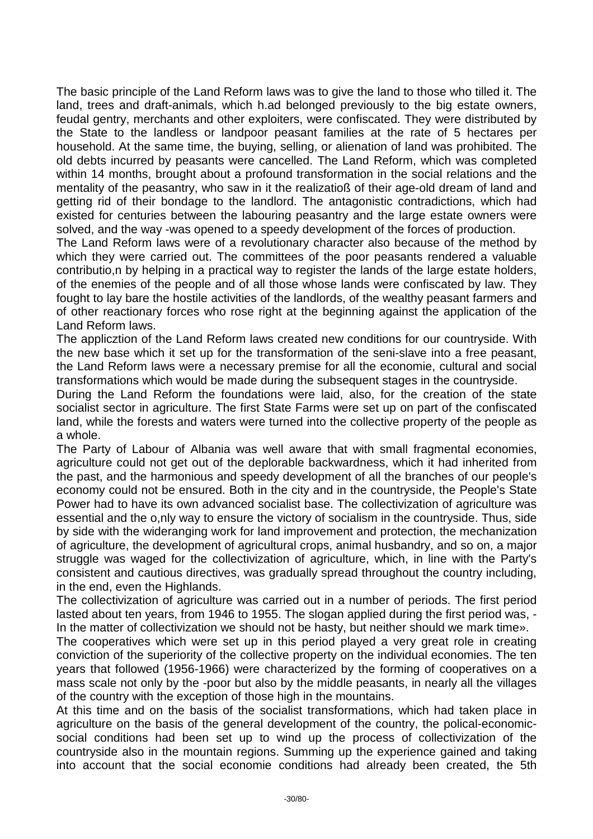The basic principle of the Land Reform laws was to give the land to those who tilled it. The land, trees and draft-animals, which h.ad belonged previously to the big estate owners, feudal gentry, merchants and other exploiters, were confiscated. They were distributed by the State to the landless or landpoor peasant families at the rate of 5 hectares per household. At the same time, the buying, selling, or alienation of land was prohibited. The old debts incurred by peasants were cancelled. The Land Reform, which was completed within 14 months, brought about a profound transformation in the social relations and the mentality of the peasantry, who saw in it the realizatioß of their age-old dream of land and getting rid of their bondage to the landlord. The antagonistic contradictions, which had existed for centuries between the labouring peasantry and the large estate owners were solved, and the way -was opened to a speedy development of the forces of production.

The Land Reform laws were of a revolutionary character also because of the method by which they were carried out. The committees of the poor peasants rendered a valuable contributio,n by helping in a practical way to register the lands of the large estate holders, of the enemies of the people and of all those whose lands were confiscated by law. They fought to lay bare the hostile activities of the landlords, of the wealthy peasant farmers and of other reactionary forces who rose right at the beginning against the application of the Land Reform laws.

The applicztion of the Land Reform laws created new conditions for our countryside. With the new base which it set up for the transformation of the seni-slave into a free peasant, the Land Reform laws were a necessary premise for all the economie, cultural and social transformations which would be made during the subsequent stages in the countryside.

During the Land Reform the foundations were laid, also, for the creation of the state socialist sector in agriculture. The first State Farms were set up on part of the confiscated land, while the forests and waters were turned into the collective property of the people as a whole.

The Party of Labour of Albania was well aware that with small fragmental economies, agriculture could not get out of the deplorable backwardness, which it had inherited from the past, and the harmonious and speedy development of all the branches of our people's economy could not be ensured. Both in the city and in the countryside, the People's State Power had to have its own advanced socialist base. The collectivization of agriculture was essential and the o,nly way to ensure the victory of socialism in the countryside. Thus, side by side with the wideranging work for land improvement and protection, the mechanization of agriculture, the development of agricultural crops, animal husbandry, and so on, a major struggle was waged for the collectivization of agriculture, which, in line with the Party's consistent and cautious directives, was gradually spread throughout the country including, in the end, even the Highlands.

The collectivization of agriculture was carried out in a number of periods. The first period lasted about ten years, from 1946 to 1955. The slogan applied during the first period was, - In the matter of collectivization we should not be hasty, but neither should we mark time».

The cooperatives which were set up in this period played a very great role in creating conviction of the superiority of the collective property on the individual economies. The ten years that followed (1956-1966) were characterized by the forming of cooperatives on a mass scale not only by the -poor but also by the middle peasants, in nearly all the villages of the country with the exception of those high in the mountains.

At this time and on the basis of the socialist transformations, which had taken place in agriculture on the basis of the general development of the country, the polical-economicsocial conditions had been set up to wind up the process of collectivization of the countryside also in the mountain regions. Summing up the experience gained and taking into account that the social economie conditions had already been created, the 5th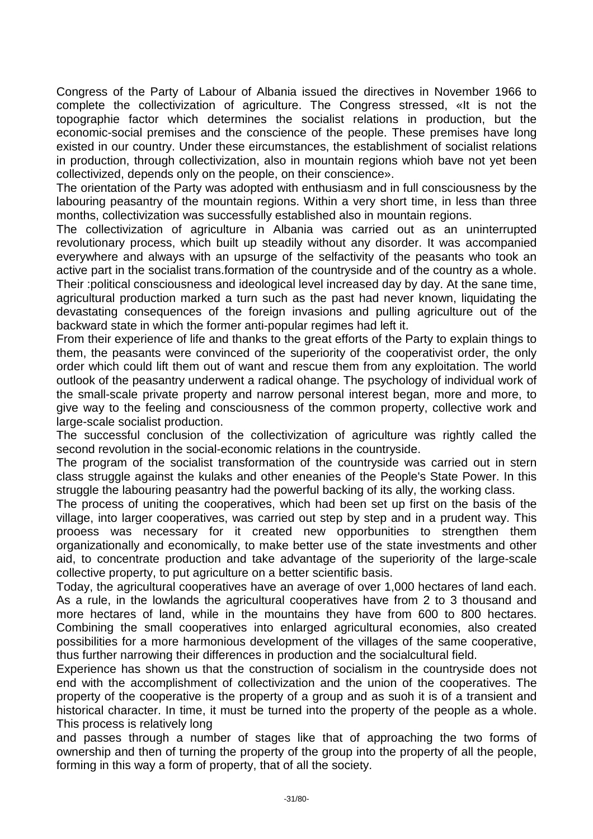Congress of the Party of Labour of Albania issued the directives in November 1966 to complete the collectivization of agriculture. The Congress stressed, «It is not the topographie factor which determines the socialist relations in production, but the economic-social premises and the conscience of the people. These premises have long existed in our country. Under these eircumstances, the establishment of socialist relations in production, through collectivization, also in mountain regions whioh bave not yet been collectivized, depends only on the people, on their conscience».

The orientation of the Party was adopted with enthusiasm and in full consciousness by the labouring peasantry of the mountain regions. Within a very short time, in less than three months, collectivization was successfully established also in mountain regions.

The collectivization of agriculture in Albania was carried out as an uninterrupted revolutionary process, which built up steadily without any disorder. It was accompanied everywhere and always with an upsurge of the selfactivity of the peasants who took an active part in the socialist trans.formation of the countryside and of the country as a whole.

Their :political consciousness and ideological level increased day by day. At the sane time, agricultural production marked a turn such as the past had never known, liquidating the devastating consequences of the foreign invasions and pulling agriculture out of the backward state in which the former anti-popular regimes had left it.

From their experience of life and thanks to the great efforts of the Party to explain things to them, the peasants were convinced of the superiority of the cooperativist order, the only order which could lift them out of want and rescue them from any exploitation. The world outlook of the peasantry underwent a radical ohange. The psychology of individual work of the small-scale private property and narrow personal interest began, more and more, to give way to the feeling and consciousness of the common property, collective work and large-scale socialist production.

The successful conclusion of the collectivization of agriculture was rightly called the second revolution in the social-economic relations in the countryside.

The program of the socialist transformation of the countryside was carried out in stern class struggle against the kulaks and other eneanies of the People's State Power. In this struggle the labouring peasantry had the powerful backing of its ally, the working class.

The process of uniting the cooperatives, which had been set up first on the basis of the village, into larger cooperatives, was carried out step by step and in a prudent way. This prooess was necessary for it created new opporbunities to strengthen them organizationally and economically, to make better use of the state investments and other aid, to concentrate production and take advantage of the superiority of the large-scale collective property, to put agriculture on a better scientific basis.

Today, the agricultural cooperatives have an average of over 1,000 hectares of land each. As a rule, in the lowlands the agricultural cooperatives have from 2 to 3 thousand and more hectares of land, while in the mountains they have from 600 to 800 hectares. Combining the small cooperatives into enlarged agricultural economies, also created possibilities for a more harmonious development of the villages of the same cooperative, thus further narrowing their differences in production and the socialcultural field.

Experience has shown us that the construction of socialism in the countryside does not end with the accomplishment of collectivization and the union of the cooperatives. The property of the cooperative is the property of a group and as suoh it is of a transient and historical character. In time, it must be turned into the property of the people as a whole. This process is relatively long

and passes through a number of stages like that of approaching the two forms of ownership and then of turning the property of the group into the property of all the people, forming in this way a form of property, that of all the society.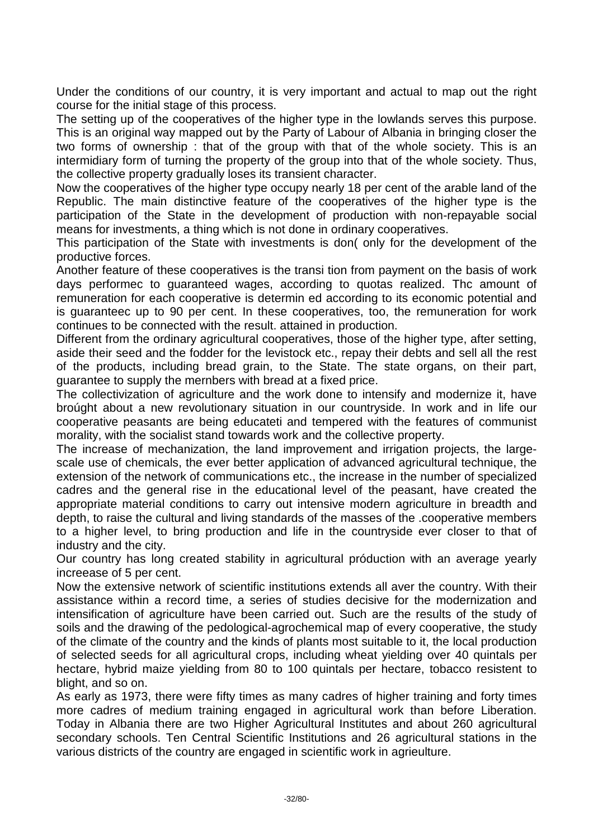Under the conditions of our country, it is very important and actual to map out the right course for the initial stage of this process.

The setting up of the cooperatives of the higher type in the lowlands serves this purpose. This is an original way mapped out by the Party of Labour of Albania in bringing closer the two forms of ownership : that of the group with that of the whole society. This is an intermidiary form of turning the property of the group into that of the whole society. Thus, the collective property gradually loses its transient character.

Now the cooperatives of the higher type occupy nearly 18 per cent of the arable land of the Republic. The main distinctive feature of the cooperatives of the higher type is the participation of the State in the development of production with non-repayable social means for investments, a thing which is not done in ordinary cooperatives.

This participation of the State with investments is don( only for the development of the productive forces.

Another feature of these cooperatives is the transi tion from payment on the basis of work days performec to guaranteed wages, according to quotas realized. Thc amount of remuneration for each cooperative is determin ed according to its economic potential and is guaranteec up to 90 per cent. In these cooperatives, too, the remuneration for work continues to be connected with the result. attained in production.

Different from the ordinary agricultural cooperatives, those of the higher type, after setting, aside their seed and the fodder for the levistock etc., repay their debts and sell all the rest of the products, including bread grain, to the State. The state organs, on their part, guarantee to supply the mernbers with bread at a fixed price.

The collectivization of agriculture and the work done to intensify and modernize it, have broúght about a new revolutionary situation in our countryside. In work and in life our cooperative peasants are being educateti and tempered with the features of communist morality, with the socialist stand towards work and the collective property.

The increase of mechanization, the land improvement and irrigation projects, the largescale use of chemicals, the ever better application of advanced agricultural technique, the extension of the network of communications etc., the increase in the number of specialized cadres and the general rise in the educational level of the peasant, have created the appropriate material conditions to carry out intensive modern agriculture in breadth and depth, to raise the cultural and living standards of the masses of the .cooperative members to a higher level, to bring production and life in the countryside ever closer to that of industry and the city.

Our country has long created stability in agricultural próduction with an average yearly increease of 5 per cent.

Now the extensive network of scientific institutions extends all aver the country. With their assistance within a record time, a series of studies decisive for the modernization and intensification of agriculture have been carried out. Such are the results of the study of soils and the drawing of the pedological-agrochemical map of every cooperative, the study of the climate of the country and the kinds of plants most suitable to it, the local production of selected seeds for all agricultural crops, including wheat yielding over 40 quintals per hectare, hybrid maize yielding from 80 to 100 quintals per hectare, tobacco resistent to blight, and so on.

As early as 1973, there were fifty times as many cadres of higher training and forty times more cadres of medium training engaged in agricultural work than before Liberation. Today in Albania there are two Higher Agricultural Institutes and about 260 agricultural secondary schools. Ten Central Scientific Institutions and 26 agricultural stations in the various districts of the country are engaged in scientific work in agrieulture.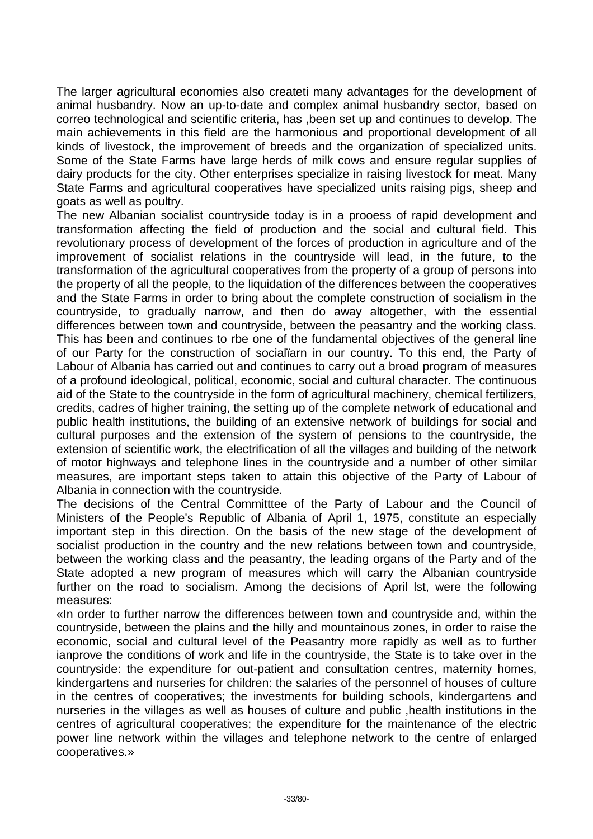The larger agricultural economies also createti many advantages for the development of animal husbandry. Now an up-to-date and complex animal husbandry sector, based on correo technological and scientific criteria, has ,been set up and continues to develop. The main achievements in this field are the harmonious and proportional development of all kinds of livestock, the improvement of breeds and the organization of specialized units. Some of the State Farms have large herds of milk cows and ensure regular supplies of dairy products for the city. Other enterprises specialize in raising livestock for meat. Many State Farms and agricultural cooperatives have specialized units raising pigs, sheep and goats as well as poultry.

The new Albanian socialist countryside today is in a prooess of rapid development and transformation affecting the field of production and the social and cultural field. This revolutionary process of development of the forces of production in agriculture and of the improvement of socialist relations in the countryside will lead, in the future, to the transformation of the agricultural cooperatives from the property of a group of persons into the property of all the people, to the liquidation of the differences between the cooperatives and the State Farms in order to bring about the complete construction of socialism in the countryside, to gradually narrow, and then do away altogether, with the essential differences between town and countryside, between the peasantry and the working class. This has been and continues to rbe one of the fundamental objectives of the general line of our Party for the construction of socialïarn in our country. To this end, the Party of Labour of Albania has carried out and continues to carry out a broad program of measures of a profound ideological, political, economic, social and cultural character. The continuous aid of the State to the countryside in the form of agricultural machinery, chemical fertilizers, credits, cadres of higher training, the setting up of the complete network of educational and public health institutions, the building of an extensive network of buildings for social and cultural purposes and the extension of the system of pensions to the countryside, the extension of scientific work, the electrification of all the villages and building of the network of motor highways and telephone lines in the countryside and a number of other similar measures, are important steps taken to attain this objective of the Party of Labour of Albania in connection with the countryside.

The decisions of the Central Committtee of the Party of Labour and the Council of Ministers of the People's Republic of Albania of April 1, 1975, constitute an especially important step in this direction. On the basis of the new stage of the development of socialist production in the country and the new relations between town and countryside, between the working class and the peasantry, the leading organs of the Party and of the State adopted a new program of measures which will carry the Albanian countryside further on the road to socialism. Among the decisions of April lst, were the following measures:

«In order to further narrow the differences between town and countryside and, within the countryside, between the plains and the hilly and mountainous zones, in order to raise the economic, social and cultural level of the Peasantry more rapidly as well as to further ianprove the conditions of work and life in the countryside, the State is to take over in the countryside: the expenditure for out-patient and consultation centres, maternity homes, kindergartens and nurseries for children: the salaries of the personnel of houses of culture in the centres of cooperatives; the investments for building schools, kindergartens and nurseries in the villages as well as houses of culture and public ,health institutions in the centres of agricultural cooperatives; the expenditure for the maintenance of the electric power line network within the villages and telephone network to the centre of enlarged cooperatives.»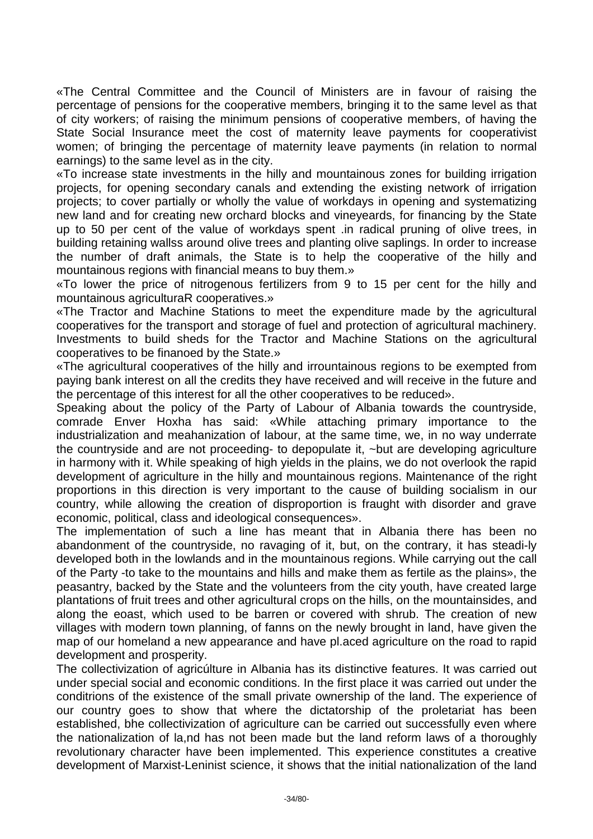«The Central Committee and the Council of Ministers are in favour of raising the percentage of pensions for the cooperative members, bringing it to the same level as that of city workers; of raising the minimum pensions of cooperative members, of having the State Social Insurance meet the cost of maternity leave payments for cooperativist women; of bringing the percentage of maternity leave payments (in relation to normal earnings) to the same level as in the city.

«To increase state investments in the hilly and mountainous zones for building irrigation projects, for opening secondary canals and extending the existing network of irrigation projects; to cover partially or wholly the value of workdays in opening and systematizing new land and for creating new orchard blocks and vineyeards, for financing by the State up to 50 per cent of the value of workdays spent .in radical pruning of olive trees, in building retaining wallss around olive trees and planting olive saplings. In order to increase the number of draft animals, the State is to help the cooperative of the hilly and mountainous regions with financial means to buy them.»

«To lower the price of nitrogenous fertilizers from 9 to 15 per cent for the hilly and mountainous agriculturaR cooperatives.»

«The Tractor and Machine Stations to meet the expenditure made by the agricultural cooperatives for the transport and storage of fuel and protection of agricultural machinery. Investments to build sheds for the Tractor and Machine Stations on the agricultural cooperatives to be finanoed by the State.»

«The agricultural cooperatives of the hilly and irrountainous regions to be exempted from paying bank interest on all the credits they have received and will receive in the future and the percentage of this interest for all the other cooperatives to be reduced».

Speaking about the policy of the Party of Labour of Albania towards the countryside, comrade Enver Hoxha has said: «While attaching primary importance to the industrialization and meahanization of labour, at the same time, we, in no way underrate the countryside and are not proceeding- to depopulate it, ~but are developing agriculture in harmony with it. While speaking of high yields in the plains, we do not overlook the rapid development of agriculture in the hilly and mountainous regions. Maintenance of the right proportions in this direction is very important to the cause of building socialism in our country, while allowing the creation of disproportion is fraught with disorder and grave economic, political, class and ideological consequences».

The implementation of such a line has meant that in Albania there has been no abandonment of the countryside, no ravaging of it, but, on the contrary, it has steadi-ly developed both in the lowlands and in the mountainous regions. While carrying out the call of the Party -to take to the mountains and hills and make them as fertile as the plains», the peasantry, backed by the State and the volunteers from the city youth, have created large plantations of fruit trees and other agricultural crops on the hills, on the mountainsides, and along the eoast, which used to be barren or covered with shrub. The creation of new villages with modern town planning, of fanns on the newly brought in land, have given the map of our homeland a new appearance and have pl.aced agriculture on the road to rapid development and prosperity.

The collectivization of agricúlture in Albania has its distinctive features. It was carried out under special social and economic conditions. In the first place it was carried out under the conditrions of the existence of the small private ownership of the land. The experience of our country goes to show that where the dictatorship of the proletariat has been established, bhe collectivization of agriculture can be carried out successfully even where the nationalization of la,nd has not been made but the land reform laws of a thoroughly revolutionary character have been implemented. This experience constitutes a creative development of Marxist-Leninist science, it shows that the initial nationalization of the land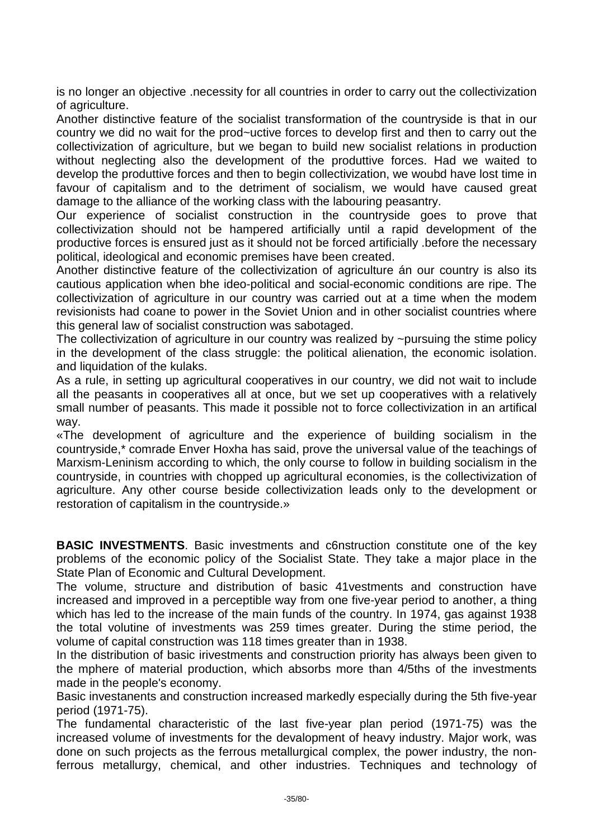is no longer an objective .necessity for all countries in order to carry out the collectivization of agriculture.

Another distinctive feature of the socialist transformation of the countryside is that in our country we did no wait for the prod~uctive forces to develop first and then to carry out the collectivization of agriculture, but we began to build new socialist relations in production without neglecting also the development of the produttive forces. Had we waited to develop the produttive forces and then to begin collectivization, we woubd have lost time in favour of capitalism and to the detriment of socialism, we would have caused great damage to the alliance of the working class with the labouring peasantry.

Our experience of socialist construction in the countryside goes to prove that collectivization should not be hampered artificially until a rapid development of the productive forces is ensured just as it should not be forced artificially .before the necessary political, ideological and economic premises have been created.

Another distinctive feature of the collectivization of agriculture án our country is also its cautious application when bhe ideo-political and social-economic conditions are ripe. The collectivization of agriculture in our country was carried out at a time when the modem revisionists had coane to power in the Soviet Union and in other socialist countries where this general law of socialist construction was sabotaged.

The collectivization of agriculture in our country was realized by ~pursuing the stime policy in the development of the class struggle: the political alienation, the economic isolation. and liquidation of the kulaks.

As a rule, in setting up agricultural cooperatives in our country, we did not wait to include all the peasants in cooperatives all at once, but we set up cooperatives with a relatively small number of peasants. This made it possible not to force collectivization in an artifical way.

«The development of agriculture and the experience of building socialism in the countryside,\* comrade Enver Hoxha has said, prove the universal value of the teachings of Marxism-Leninism according to which, the only course to follow in building socialism in the countryside, in countries with chopped up agricultural economies, is the collectivization of agriculture. Any other course beside collectivization leads only to the development or restoration of capitalism in the countryside.»

**BASIC INVESTMENTS**. Basic investments and c6nstruction constitute one of the key problems of the economic policy of the Socialist State. They take a major place in the State Plan of Economic and Cultural Development.

The volume, structure and distribution of basic 41vestments and construction have increased and improved in a perceptible way from one five-year period to another, a thing which has led to the increase of the main funds of the country. In 1974, gas against 1938 the total volutine of investments was 259 times greater. During the stime period, the volume of capital construction was 118 times greater than in 1938.

In the distribution of basic irivestments and construction priority has always been given to the mphere of material production, which absorbs more than 4/5ths of the investments made in the people's economy.

Basic investanents and construction increased markedly especially during the 5th five-year period (1971-75).

The fundamental characteristic of the last five-year plan period (1971-75) was the increased volume of investments for the devalopment of heavy industry. Major work, was done on such projects as the ferrous metallurgical complex, the power industry, the nonferrous metallurgy, chemical, and other industries. Techniques and technology of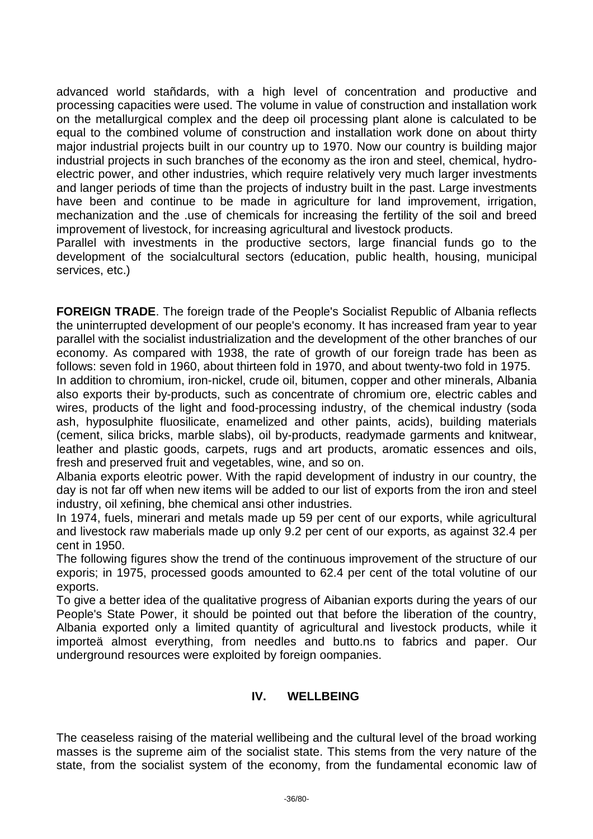advanced world stañdards, with a high level of concentration and productive and processing capacities were used. The volume in value of construction and installation work on the metallurgical complex and the deep oil processing plant alone is calculated to be equal to the combined volume of construction and installation work done on about thirty major industrial projects built in our country up to 1970. Now our country is building major industrial projects in such branches of the economy as the iron and steel, chemical, hydroelectric power, and other industries, which require relatively very much larger investments and langer periods of time than the projects of industry built in the past. Large investments have been and continue to be made in agriculture for land improvement, irrigation, mechanization and the .use of chemicals for increasing the fertility of the soil and breed improvement of livestock, for increasing agricultural and livestock products.

Parallel with investments in the productive sectors, large financial funds go to the development of the socialcultural sectors (education, public health, housing, municipal services, etc.)

**FOREIGN TRADE**. The foreign trade of the People's Socialist Republic of Albania reflects the uninterrupted development of our people's economy. It has increased fram year to year parallel with the socialist industrialization and the development of the other branches of our economy. As compared with 1938, the rate of growth of our foreign trade has been as follows: seven fold in 1960, about thirteen fold in 1970, and about twenty-two fold in 1975.

In addition to chromium, iron-nickel, crude oil, bitumen, copper and other minerals, Albania also exports their by-products, such as concentrate of chromium ore, electric cables and wires, products of the light and food-processing industry, of the chemical industry (soda ash, hyposulphite fluosilicate, enamelized and other paints, acids), building materials (cement, silica bricks, marble slabs), oil by-products, readymade garments and knitwear, leather and plastic goods, carpets, rugs and art products, aromatic essences and oils, fresh and preserved fruit and vegetables, wine, and so on.

Albania exports eleotric power. With the rapid development of industry in our country, the day is not far off when new items will be added to our list of exports from the iron and steel industry, oil xefining, bhe chemical ansi other industries.

In 1974, fuels, minerari and metals made up 59 per cent of our exports, while agricultural and livestock raw maberials made up only 9.2 per cent of our exports, as against 32.4 per cent in 1950.

The following figures show the trend of the continuous improvement of the structure of our exporis; in 1975, processed goods amounted to 62.4 per cent of the total volutine of our exports.

To give a better idea of the qualitative progress of Aibanian exports during the years of our People's State Power, it should be pointed out that before the liberation of the country, Albania exported only a limited quantity of agricultural and livestock products, while it importeä almost everything, from needles and butto.ns to fabrics and paper. Our underground resources were exploited by foreign oompanies.

## **IV. WELLBEING**

The ceaseless raising of the material wellibeing and the cultural level of the broad working masses is the supreme aim of the socialist state. This stems from the very nature of the state, from the socialist system of the economy, from the fundamental economic law of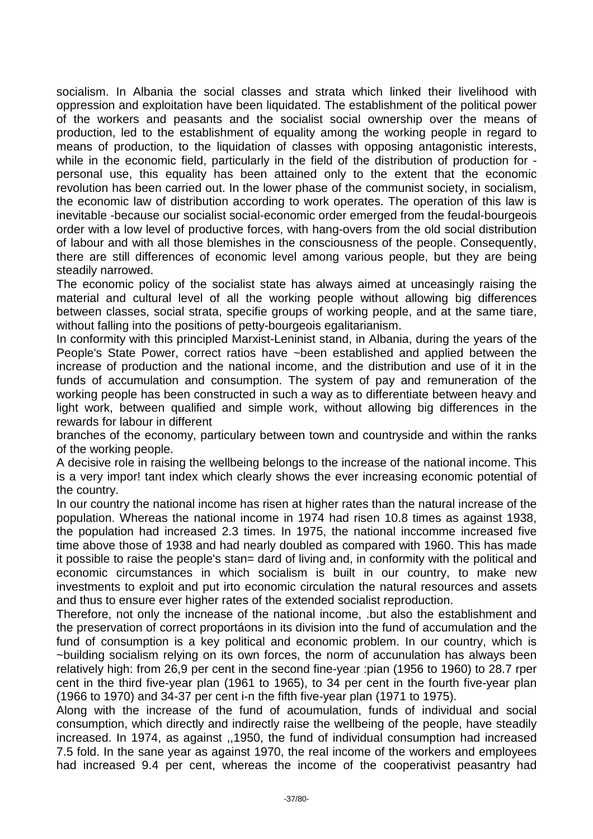socialism. In Albania the social classes and strata which linked their livelihood with oppression and exploitation have been liquidated. The establishment of the political power of the workers and peasants and the socialist social ownership over the means of production, led to the establishment of equality among the working people in regard to means of production, to the liquidation of classes with opposing antagonistic interests, while in the economic field, particularly in the field of the distribution of production for personal use, this equality has been attained only to the extent that the economic revolution has been carried out. In the lower phase of the communist society, in socialism, the economic law of distribution according to work operates. The operation of this law is inevitable -because our socialist social-economic order emerged from the feudal-bourgeois order with a low level of productive forces, with hang-overs from the old social distribution of labour and with all those blemishes in the consciousness of the people. Consequently, there are still differences of economic level among various people, but they are being steadily narrowed.

The economic policy of the socialist state has always aimed at unceasingly raising the material and cultural level of all the working people without allowing big differences between classes, social strata, specifie groups of working people, and at the same tiare, without falling into the positions of petty-bourgeois egalitarianism.

In conformity with this principled Marxist-Leninist stand, in Albania, during the years of the People's State Power, correct ratios have ~been established and applied between the increase of production and the national income, and the distribution and use of it in the funds of accumulation and consumption. The system of pay and remuneration of the working people has been constructed in such a way as to differentiate between heavy and light work, between qualified and simple work, without allowing big differences in the rewards for labour in different

branches of the economy, particulary between town and countryside and within the ranks of the working people.

A decisive role in raising the wellbeing belongs to the increase of the national income. This is a very impor! tant index which clearly shows the ever increasing economic potential of the country.

In our country the national income has risen at higher rates than the natural increase of the population. Whereas the national income in 1974 had risen 10.8 times as against 1938, the population had increased 2.3 times. In 1975, the national inccomme increased five time above those of 1938 and had nearly doubled as compared with 1960. This has made it possible to raise the people's stan= dard of living and, in conformity with the political and economic circumstances in which socialism is built in our country, to make new investments to exploit and put irto economic circulation the natural resources and assets and thus to ensure ever higher rates of the extended socialist reproduction.

Therefore, not only the incnease of the national income, .but also the establishment and the preservation of correct proportáons in its division into the fund of accumulation and the fund of consumption is a key political and economic problem. In our country, which is ~building socialism relying on its own forces, the norm of accunulation has always been relatively high: from 26,9 per cent in the second fine-year :pian (1956 to 1960) to 28.7 rper cent in the third five-year plan (1961 to 1965), to 34 per cent in the fourth five-year plan (1966 to 1970) and 34-37 per cent i-n the fifth five-year plan (1971 to 1975).

Along with the increase of the fund of acoumulation, funds of individual and social consumption, which directly and indirectly raise the wellbeing of the people, have steadily increased. In 1974, as against ,,1950, the fund of individual consumption had increased 7.5 fold. In the sane year as against 1970, the real income of the workers and employees had increased 9.4 per cent, whereas the income of the cooperativist peasantry had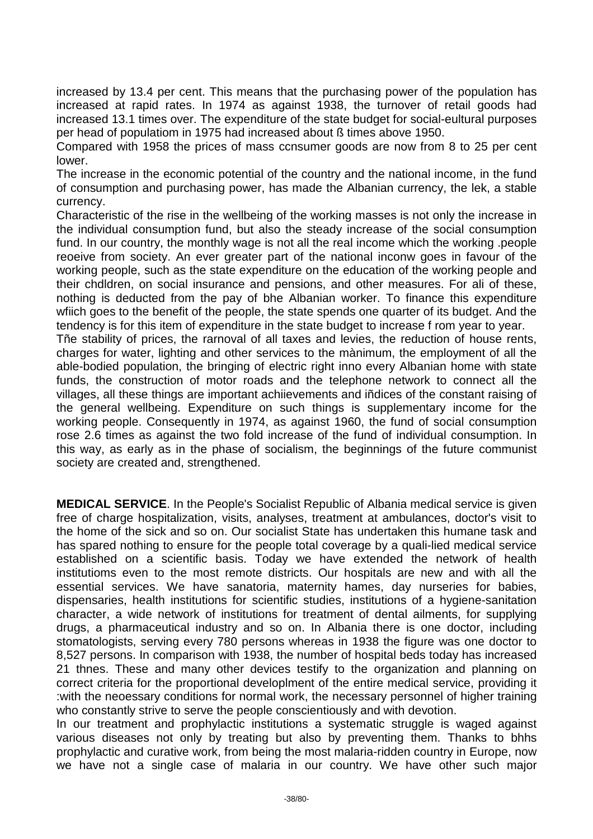increased by 13.4 per cent. This means that the purchasing power of the population has increased at rapid rates. In 1974 as against 1938, the turnover of retail goods had increased 13.1 times over. The expenditure of the state budget for social-eultural purposes per head of populatiom in 1975 had increased about ß times above 1950.

Compared with 1958 the prices of mass ccnsumer goods are now from 8 to 25 per cent lower.

The increase in the economic potential of the country and the national income, in the fund of consumption and purchasing power, has made the Albanian currency, the lek, a stable currency.

Characteristic of the rise in the wellbeing of the working masses is not only the increase in the individual consumption fund, but also the steady increase of the social consumption fund. In our country, the monthly wage is not all the real income which the working .people reoeive from society. An ever greater part of the national inconw goes in favour of the working people, such as the state expenditure on the education of the working people and their chdldren, on social insurance and pensions, and other measures. For ali of these, nothing is deducted from the pay of bhe Albanian worker. To finance this expenditure wfiich goes to the benefit of the people, the state spends one quarter of its budget. And the tendency is for this item of expenditure in the state budget to increase f rom year to year.

Tñe stability of prices, the rarnoval of all taxes and levies, the reduction of house rents, charges for water, lighting and other services to the mànimum, the employment of all the able-bodied population, the bringing of electric right inno every Albanian home with state funds, the construction of motor roads and the telephone network to connect all the villages, all these things are important achiievements and iñdices of the constant raising of the general wellbeing. Expenditure on such things is supplementary income for the working people. Consequently in 1974, as against 1960, the fund of social consumption rose 2.6 times as against the two fold increase of the fund of individual consumption. In this way, as early as in the phase of socialism, the beginnings of the future communist society are created and, strengthened.

**MEDICAL SERVICE**. In the People's Socialist Republic of Albania medical service is given free of charge hospitalization, visits, analyses, treatment at ambulances, doctor's visit to the home of the sick and so on. Our socialist State has undertaken this humane task and has spared nothing to ensure for the people total coverage by a quali-lied medical service established on a scientific basis. Today we have extended the network of health institutioms even to the most remote districts. Our hospitals are new and with all the essential services. We have sanatoria, maternity hames, day nurseries for babies, dispensaries, health institutions for scientific studies, institutions of a hygiene-sanitation character, a wide network of institutions for treatment of dental ailments, for supplying drugs, a pharmaceutical industry and so on. In Albania there is one doctor, including stomatologists, serving every 780 persons whereas in 1938 the figure was one doctor to 8,527 persons. In comparison with 1938, the number of hospital beds today has increased 21 thnes. These and many other devices testify to the organization and planning on correct criteria for the proportional developlment of the entire medical service, providing it :with the neoessary conditions for normal work, the necessary personnel of higher training who constantly strive to serve the people conscientiously and with devotion.

In our treatment and prophylactic institutions a systematic struggle is waged against various diseases not only by treating but also by preventing them. Thanks to bhhs prophylactic and curative work, from being the most malaria-ridden country in Europe, now we have not a single case of malaria in our country. We have other such major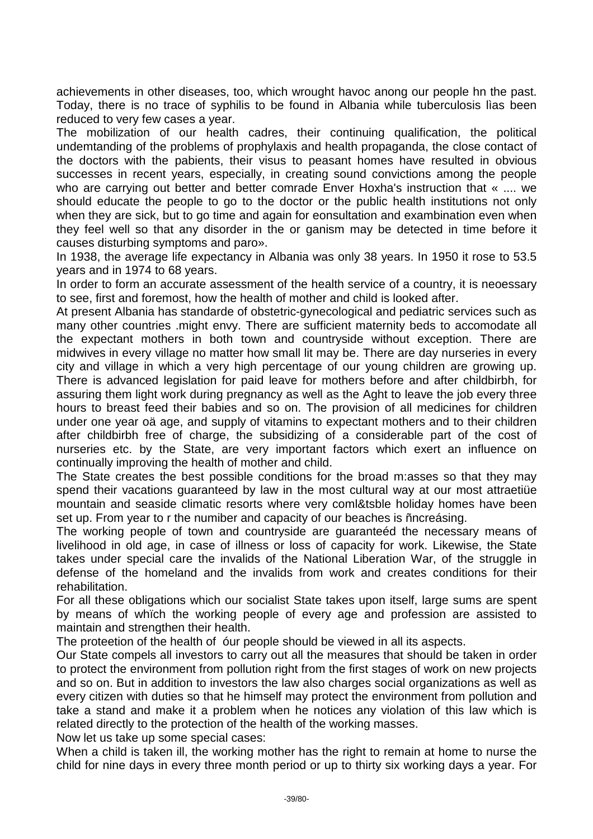achievements in other diseases, too, which wrought havoc anong our people hn the past. Today, there is no trace of syphilis to be found in Albania while tuberculosis lìas been reduced to very few cases a year.

The mobilization of our health cadres, their continuing qualification, the political undemtanding of the problems of prophylaxis and health propaganda, the close contact of the doctors with the pabients, their visus to peasant homes have resulted in obvious successes in recent years, especially, in creating sound convictions among the people who are carrying out better and better comrade Enver Hoxha's instruction that « .... we should educate the people to go to the doctor or the public health institutions not only when they are sick, but to go time and again for eonsultation and exambination even when they feel well so that any disorder in the or ganism may be detected in time before it causes disturbing symptoms and paro».

In 1938, the average life expectancy in Albania was only 38 years. In 1950 it rose to 53.5 years and in 1974 to 68 years.

In order to form an accurate assessment of the health service of a country, it is neoessary to see, first and foremost, how the health of mother and child is looked after.

At present Albania has standarde of obstetric-gynecological and pediatric services such as many other countries .might envy. There are sufficient maternity beds to accomodate all the expectant mothers in both town and countryside without exception. There are midwives in every village no matter how small lit may be. There are day nurseries in every city and village in which a very high percentage of our young children are growing up. There is advanced legislation for paid leave for mothers before and after childbirbh, for assuring them light work during pregnancy as well as the Aght to leave the job every three hours to breast feed their babies and so on. The provision of all medicines for children under one year oä age, and supply of vitamins to expectant mothers and to their children after childbirbh free of charge, the subsidizing of a considerable part of the cost of nurseries etc. by the State, are very important factors which exert an influence on continually improving the health of mother and child.

The State creates the best possible conditions for the broad m:asses so that they may spend their vacations guaranteed by law in the most cultural way at our most attraetiüe mountain and seaside climatic resorts where very coml&tsble holiday homes have been set up. From year to r the numiber and capacity of our beaches is ñncreásing.

The working people of town and countryside are guaranteéd the necessary means of livelihood in old age, in case of illness or loss of capacity for work. Likewise, the State takes under special care the invalids of the National Liberation War, of the struggle in defense of the homeland and the invalids from work and creates conditions for their rehabilitation.

For all these obligations which our socialist State takes upon itself, large sums are spent by means of whïch the working people of every age and profession are assisted to maintain and strengthen their health.

The proteetion of the health of óur people should be viewed in all its aspects.

Our State compels all investors to carry out all the measures that should be taken in order to protect the environment from pollution right from the first stages of work on new projects and so on. But in addition to investors the law also charges social organizations as well as every citizen with duties so that he himself may protect the environment from pollution and take a stand and make it a problem when he notices any violation of this law which is related directly to the protection of the health of the working masses.

Now let us take up some special cases:

When a child is taken ill, the working mother has the right to remain at home to nurse the child for nine days in every three month period or up to thirty six working days a year. For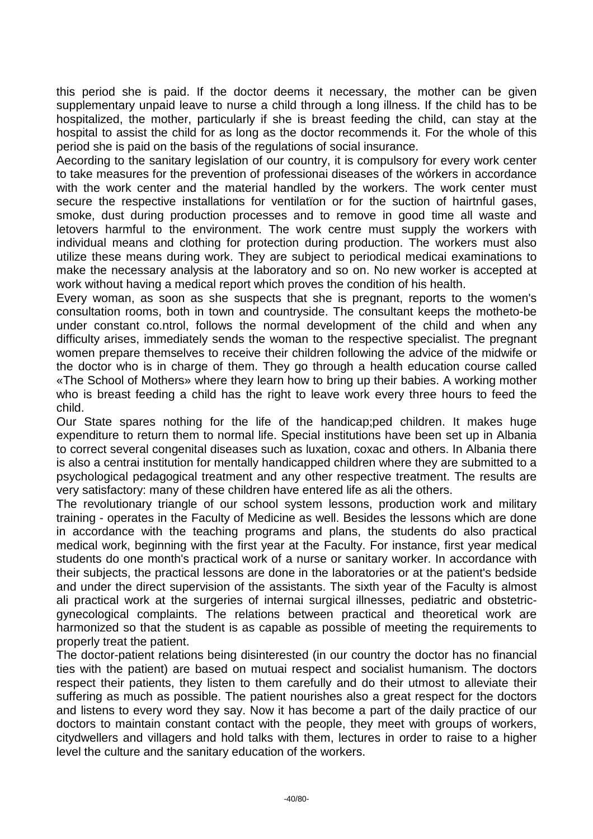this period she is paid. If the doctor deems it necessary, the mother can be given supplementary unpaid leave to nurse a child through a long illness. If the child has to be hospitalized, the mother, particularly if she is breast feeding the child, can stay at the hospital to assist the child for as long as the doctor recommends it. For the whole of this period she is paid on the basis of the regulations of social insurance.

Aecording to the sanitary legislation of our country, it is compulsory for every work center to take measures for the prevention of professionai diseases of the wórkers in accordance with the work center and the material handled by the workers. The work center must secure the respective installations for ventilatïon or for the suction of hairtnful gases, smoke, dust during production processes and to remove in good time all waste and letovers harmful to the environment. The work centre must supply the workers with individual means and clothing for protection during production. The workers must also utilize these means during work. They are subject to periodical medicai examinations to make the necessary analysis at the laboratory and so on. No new worker is accepted at work without having a medical report which proves the condition of his health.

Every woman, as soon as she suspects that she is pregnant, reports to the women's consultation rooms, both in town and countryside. The consultant keeps the motheto-be under constant co.ntrol, follows the normal development of the child and when any difficulty arises, immediately sends the woman to the respective specialist. The pregnant women prepare themselves to receive their children following the advice of the midwife or the doctor who is in charge of them. They go through a health education course called «The School of Mothers» where they learn how to bring up their babies. A working mother who is breast feeding a child has the right to leave work every three hours to feed the child.

Our State spares nothing for the life of the handicap;ped children. It makes huge expenditure to return them to normal life. Special institutions have been set up in Albania to correct several congenital diseases such as luxation, coxac and others. In Albania there is also a centrai institution for mentally handicapped children where they are submitted to a psychological pedagogical treatment and any other respective treatment. The results are very satisfactory: many of these children have entered life as ali the others.

The revolutionary triangle of our school system lessons, production work and military training - operates in the Faculty of Medicine as well. Besides the lessons which are done in accordance with the teaching programs and plans, the students do also practical medical work, beginning with the first year at the Faculty. For instance, first year medical students do one month's practical work of a nurse or sanitary worker. In accordance with their subjects, the practical lessons are done in the laboratories or at the patient's bedside and under the direct supervision of the assistants. The sixth year of the Faculty is almost ali practical work at the surgeries of internai surgical illnesses, pediatric and obstetricgynecological complaints. The relations between practical and theoretical work are harmonized so that the student is as capable as possible of meeting the requirements to properly treat the patient.

The doctor-patient relations being disinterested (in our country the doctor has no financial ties with the patient) are based on mutuai respect and socialist humanism. The doctors respect their patients, they listen to them carefully and do their utmost to alleviate their suffering as much as possible. The patient nourishes also a great respect for the doctors and listens to every word they say. Now it has become a part of the daily practice of our doctors to maintain constant contact with the people, they meet with groups of workers, citydwellers and villagers and hold talks with them, lectures in order to raise to a higher level the culture and the sanitary education of the workers.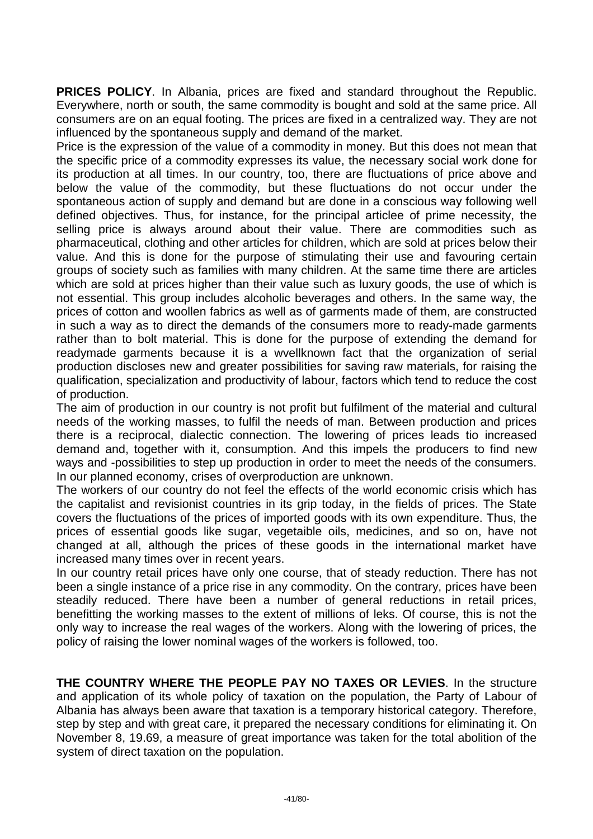**PRICES POLICY**. In Albania, prices are fixed and standard throughout the Republic. Everywhere, north or south, the same commodity is bought and sold at the same price. All consumers are on an equal footing. The prices are fixed in a centralized way. They are not influenced by the spontaneous supply and demand of the market.

Price is the expression of the value of a commodity in money. But this does not mean that the specific price of a commodity expresses its value, the necessary social work done for its production at all times. In our country, too, there are fluctuations of price above and below the value of the commodity, but these fluctuations do not occur under the spontaneous action of supply and demand but are done in a conscious way following well defined objectives. Thus, for instance, for the principal articlee of prime necessity, the selling price is always around about their value. There are commodities such as pharmaceutical, clothing and other articles for children, which are sold at prices below their value. And this is done for the purpose of stimulating their use and favouring certain groups of society such as families with many children. At the same time there are articles which are sold at prices higher than their value such as luxury goods, the use of which is not essential. This group includes alcoholic beverages and others. In the same way, the prices of cotton and woollen fabrics as well as of garments made of them, are constructed in such a way as to direct the demands of the consumers more to ready-made garments rather than to bolt material. This is done for the purpose of extending the demand for readymade garments because it is a wvellknown fact that the organization of serial production discloses new and greater possibilities for saving raw materials, for raising the qualification, specialization and productivity of labour, factors which tend to reduce the cost of production.

The aim of production in our country is not profit but fulfilment of the material and cultural needs of the working masses, to fulfil the needs of man. Between production and prices there is a reciprocal, dialectic connection. The lowering of prices leads tio increased demand and, together with it, consumption. And this impels the producers to find new ways and -possibilities to step up production in order to meet the needs of the consumers. In our planned economy, crises of overproduction are unknown.

The workers of our country do not feel the effects of the world economic crisis which has the capitalist and revisionist countries in its grip today, in the fields of prices. The State covers the fluctuations of the prices of imported goods with its own expenditure. Thus, the prices of essential goods like sugar, vegetaible oils, medicines, and so on, have not changed at all, although the prices of these goods in the international market have increased many times over in recent years.

In our country retail prices have only one course, that of steady reduction. There has not been a single instance of a price rise in any commodity. On the contrary, prices have been steadily reduced. There have been a number of general reductions in retail prices, benefitting the working masses to the extent of millions of leks. Of course, this is not the only way to increase the real wages of the workers. Along with the lowering of prices, the policy of raising the lower nominal wages of the workers is followed, too.

**THE COUNTRY WHERE THE PEOPLE PAY NO TAXES OR LEVIES**. In the structure and application of its whole policy of taxation on the population, the Party of Labour of Albania has always been aware that taxation is a temporary historical category. Therefore, step by step and with great care, it prepared the necessary conditions for eliminating it. On November 8, 19.69, a measure of great importance was taken for the total abolition of the system of direct taxation on the population.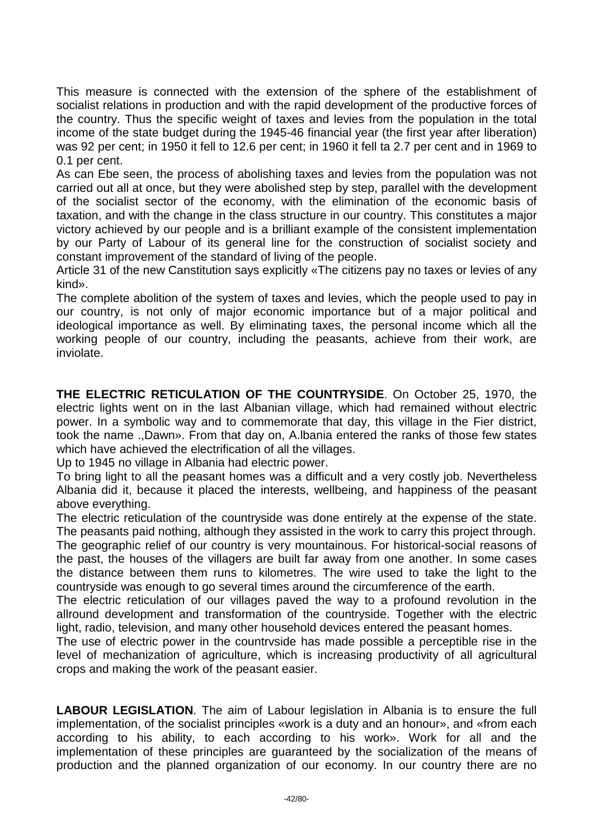This measure is connected with the extension of the sphere of the establishment of socialist relations in production and with the rapid development of the productive forces of the country. Thus the specific weight of taxes and levies from the population in the total income of the state budget during the 1945-46 financial year (the first year after liberation) was 92 per cent; in 1950 it fell to 12.6 per cent; in 1960 it fell ta 2.7 per cent and in 1969 to 0.1 per cent.

As can Ebe seen, the process of abolishing taxes and levies from the population was not carried out all at once, but they were abolished step by step, parallel with the development of the socialist sector of the economy, with the elimination of the economic basis of taxation, and with the change in the class structure in our country. This constitutes a major victory achieved by our people and is a brilliant example of the consistent implementation by our Party of Labour of its general line for the construction of socialist society and constant improvement of the standard of living of the people.

Article 31 of the new Canstitution says explicitly «The citizens pay no taxes or levies of any kind».

The complete abolition of the system of taxes and levies, which the people used to pay in our country, is not only of major economic importance but of a major political and ideological importance as well. By eliminating taxes, the personal income which all the working people of our country, including the peasants, achieve from their work, are inviolate.

**THE ELECTRIC RETICULATION OF THE COUNTRYSIDE**. On October 25, 1970, the electric lights went on in the last Albanian village, which had remained without electric power. In a symbolic way and to commemorate that day, this village in the Fier district, took the name .,Dawn». From that day on, A.lbania entered the ranks of those few states which have achieved the electrification of all the villages.

Up to 1945 no village in Albania had electric power.

To bring light to all the peasant homes was a difficult and a very costly job. Nevertheless Albania did it, because it placed the interests, wellbeing, and happiness of the peasant above everything.

The electric reticulation of the countryside was done entirely at the expense of the state. The peasants paid nothing, although they assisted in the work to carry this project through.

The geographic relief of our country is very mountainous. For historical-social reasons of the past, the houses of the villagers are built far away from one another. In some cases the distance between them runs to kilometres. The wire used to take the light to the countryside was enough to go several times around the circumference of the earth.

The electric reticulation of our villages paved the way to a profound revolution in the allround development and transformation of the countryside. Together with the electric light, radio, television, and many other household devices entered the peasant homes.

The use of electric power in the countrvside has made possible a perceptible rise in the level of mechanization of agriculture, which is increasing productivity of all agricultural crops and making the work of the peasant easier.

**LABOUR LEGISLATION**. The aim of Labour legislation in Albania is to ensure the full implementation, of the socialist principles «work is a duty and an honour», and «from each according to his ability, to each according to his work». Work for all and the implementation of these principles are guaranteed by the socialization of the means of production and the planned organization of our economy. In our country there are no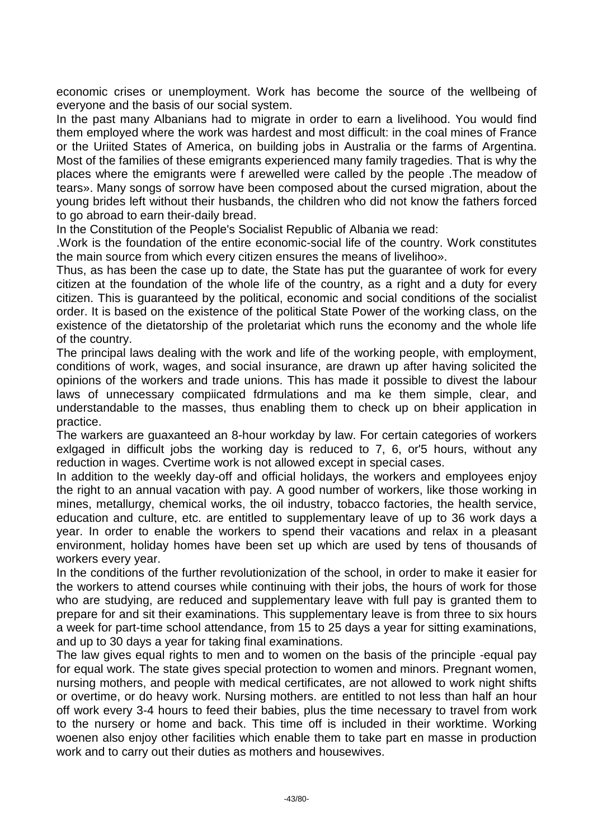economic crises or unemployment. Work has become the source of the wellbeing of everyone and the basis of our social system.

In the past many Albanians had to migrate in order to earn a livelihood. You would find them employed where the work was hardest and most difficult: in the coal mines of France or the Uriited States of America, on building jobs in Australia or the farms of Argentina. Most of the families of these emigrants experienced many family tragedies. That is why the places where the emigrants were f arewelled were called by the people .The meadow of tears». Many songs of sorrow have been composed about the cursed migration, about the young brides left without their husbands, the children who did not know the fathers forced to go abroad to earn their-daily bread.

In the Constitution of the People's Socialist Republic of Albania we read:

.Work is the foundation of the entire economic-social life of the country. Work constitutes the main source from which every citizen ensures the means of livelihoo».

Thus, as has been the case up to date, the State has put the guarantee of work for every citizen at the foundation of the whole life of the country, as a right and a duty for every citizen. This is guaranteed by the political, economic and social conditions of the socialist order. It is based on the existence of the political State Power of the working class, on the existence of the dietatorship of the proletariat which runs the economy and the whole life of the country.

The principal laws dealing with the work and life of the working people, with employment, conditions of work, wages, and social insurance, are drawn up after having solicited the opinions of the workers and trade unions. This has made it possible to divest the labour laws of unnecessary compiicated fdrmulations and ma ke them simple, clear, and understandable to the masses, thus enabling them to check up on bheir application in practice.

The warkers are guaxanteed an 8-hour workday by law. For certain categories of workers exlgaged in difficult jobs the working day is reduced to 7, 6, or'5 hours, without any reduction in wages. Cvertime work is not allowed except in special cases.

In addition to the weekly day-off and official holidays, the workers and employees enjoy the right to an annual vacation with pay. A good number of workers, like those working in mines, metallurgy, chemical works, the oil industry, tobacco factories, the health service, education and culture, etc. are entitled to supplementary leave of up to 36 work days a year. In order to enable the workers to spend their vacations and relax in a pleasant environment, holiday homes have been set up which are used by tens of thousands of workers every year.

In the conditions of the further revolutionization of the school, in order to make it easier for the workers to attend courses while continuing with their jobs, the hours of work for those who are studying, are reduced and supplementary leave with full pay is granted them to prepare for and sit their examinations. This supplementary leave is from three to six hours a week for part-time school attendance, from 15 to 25 days a year for sitting examinations, and up to 30 days a year for taking final examinations.

The law gives equal rights to men and to women on the basis of the principle -equal pay for equal work. The state gives special protection to women and minors. Pregnant women, nursing mothers, and people with medical certificates, are not allowed to work night shifts or overtime, or do heavy work. Nursing mothers. are entitled to not less than half an hour off work every 3-4 hours to feed their babies, plus the time necessary to travel from work to the nursery or home and back. This time off is included in their worktime. Working woenen also enjoy other facilities which enable them to take part en masse in production work and to carry out their duties as mothers and housewives.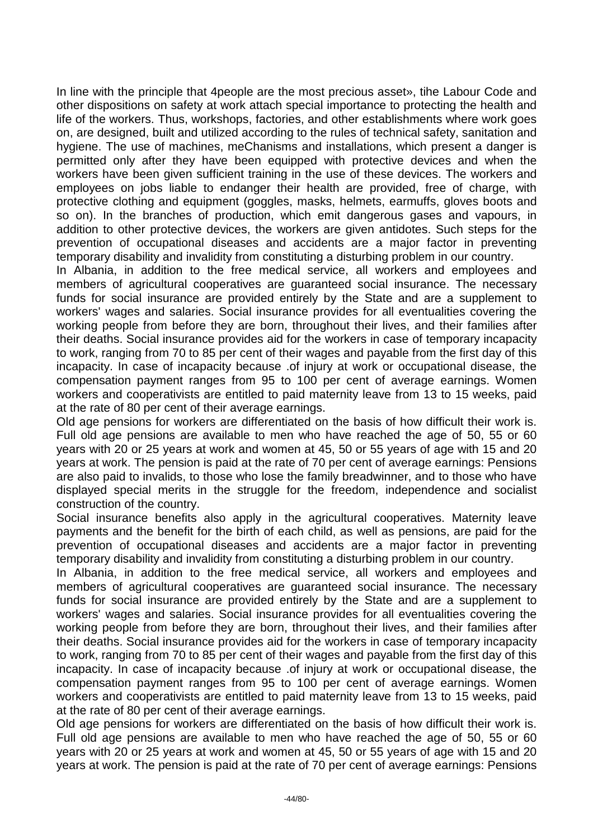In line with the principle that 4people are the most precious asset», tihe Labour Code and other dispositions on safety at work attach special importance to protecting the health and life of the workers. Thus, workshops, factories, and other establishments where work goes on, are designed, built and utilized according to the rules of technical safety, sanitation and hygiene. The use of machines, meChanisms and installations, which present a danger is permitted only after they have been equipped with protective devices and when the workers have been given sufficient training in the use of these devices. The workers and employees on jobs liable to endanger their health are provided, free of charge, with protective clothing and equipment (goggles, masks, helmets, earmuffs, gloves boots and so on). In the branches of production, which emit dangerous gases and vapours, in addition to other protective devices, the workers are given antidotes. Such steps for the prevention of occupational diseases and accidents are a major factor in preventing temporary disability and invalidity from constituting a disturbing problem in our country.

In Albania, in addition to the free medical service, all workers and employees and members of agricultural cooperatives are guaranteed social insurance. The necessary funds for social insurance are provided entirely by the State and are a supplement to workers' wages and salaries. Social insurance provides for all eventualities covering the working people from before they are born, throughout their lives, and their families after their deaths. Social insurance provides aid for the workers in case of temporary incapacity to work, ranging from 70 to 85 per cent of their wages and payable from the first day of this incapacity. In case of incapacity because .of injury at work or occupational disease, the compensation payment ranges from 95 to 100 per cent of average earnings. Women workers and cooperativists are entitled to paid maternity leave from 13 to 15 weeks, paid at the rate of 80 per cent of their average earnings.

Old age pensions for workers are differentiated on the basis of how difficult their work is. Full old age pensions are available to men who have reached the age of 50, 55 or 60 years with 20 or 25 years at work and women at 45, 50 or 55 years of age with 15 and 20 years at work. The pension is paid at the rate of 70 per cent of average earnings: Pensions are also paid to invalids, to those who lose the family breadwinner, and to those who have displayed special merits in the struggle for the freedom, independence and socialist construction of the country.

Social insurance benefits also apply in the agricultural cooperatives. Maternity leave payments and the benefit for the birth of each child, as well as pensions, are paid for the prevention of occupational diseases and accidents are a major factor in preventing temporary disability and invalidity from constituting a disturbing problem in our country.

In Albania, in addition to the free medical service, all workers and employees and members of agricultural cooperatives are guaranteed social insurance. The necessary funds for social insurance are provided entirely by the State and are a supplement to workers' wages and salaries. Social insurance provides for all eventualities covering the working people from before they are born, throughout their lives, and their families after their deaths. Social insurance provides aid for the workers in case of temporary incapacity to work, ranging from 70 to 85 per cent of their wages and payable from the first day of this incapacity. In case of incapacity because .of injury at work or occupational disease, the compensation payment ranges from 95 to 100 per cent of average earnings. Women workers and cooperativists are entitled to paid maternity leave from 13 to 15 weeks, paid at the rate of 80 per cent of their average earnings.

Old age pensions for workers are differentiated on the basis of how difficult their work is. Full old age pensions are available to men who have reached the age of 50, 55 or 60 years with 20 or 25 years at work and women at 45, 50 or 55 years of age with 15 and 20 years at work. The pension is paid at the rate of 70 per cent of average earnings: Pensions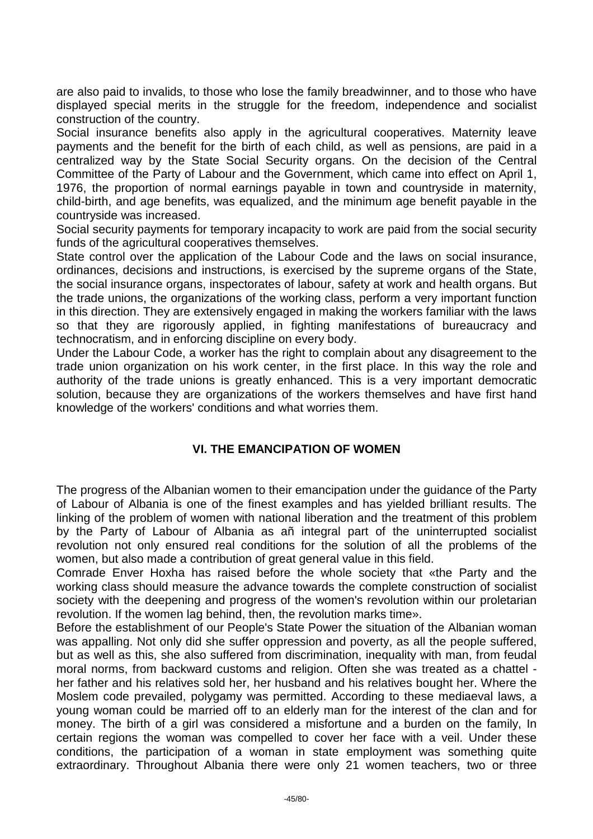are also paid to invalids, to those who lose the family breadwinner, and to those who have displayed special merits in the struggle for the freedom, independence and socialist construction of the country.

Social insurance benefits also apply in the agricultural cooperatives. Maternity leave payments and the benefit for the birth of each child, as well as pensions, are paid in a centralized way by the State Social Security organs. On the decision of the Central Committee of the Party of Labour and the Government, which came into effect on April 1, 1976, the proportion of normal earnings payable in town and countryside in maternity, child-birth, and age benefits, was equalized, and the minimum age benefit payable in the countryside was increased.

Social security payments for temporary incapacity to work are paid from the social security funds of the agricultural cooperatives themselves.

State control over the application of the Labour Code and the laws on social insurance, ordinances, decisions and instructions, is exercised by the supreme organs of the State, the social insurance organs, inspectorates of labour, safety at work and health organs. But the trade unions, the organizations of the working class, perform a very important function in this direction. They are extensively engaged in making the workers familiar with the laws so that they are rigorously applied, in fighting manifestations of bureaucracy and technocratism, and in enforcing discipline on every body.

Under the Labour Code, a worker has the right to complain about any disagreement to the trade union organization on his work center, in the first place. In this way the role and authority of the trade unions is greatly enhanced. This is a very important democratic solution, because they are organizations of the workers themselves and have first hand knowledge of the workers' conditions and what worries them.

## **VI. THE EMANCIPATION OF WOMEN**

The progress of the Albanian women to their emancipation under the guidance of the Party of Labour of Albania is one of the finest examples and has yielded brilliant results. The linking of the problem of women with national liberation and the treatment of this problem by the Party of Labour of Albania as añ integral part of the uninterrupted socialist revolution not only ensured real conditions for the solution of all the problems of the women, but also made a contribution of great general value in this field.

Comrade Enver Hoxha has raised before the whole society that «the Party and the working class should measure the advance towards the complete construction of socialist society with the deepening and progress of the women's revolution within our proletarian revolution. If the women lag behind, then, the revolution marks time».

Before the establishment of our People's State Power the situation of the Albanian woman was appalling. Not only did she suffer oppression and poverty, as all the people suffered, but as well as this, she also suffered from discrimination, inequality with man, from feudal moral norms, from backward customs and religion. Often she was treated as a chattel her father and his relatives sold her, her husband and his relatives bought her. Where the Moslem code prevailed, polygamy was permitted. According to these mediaeval laws, a young woman could be married off to an elderly man for the interest of the clan and for money. The birth of a girl was considered a misfortune and a burden on the family, In certain regions the woman was compelled to cover her face with a veil. Under these conditions, the participation of a woman in state employment was something quite extraordinary. Throughout Albania there were only 21 women teachers, two or three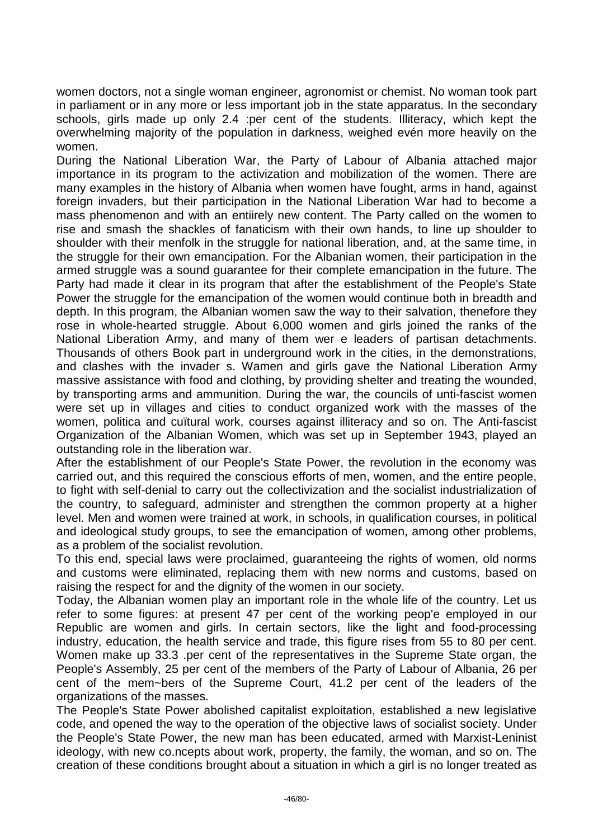women doctors, not a single woman engineer, agronomist or chemist. No woman took part in parliament or in any more or less important job in the state apparatus. In the secondary schools, girls made up only 2.4 :per cent of the students. Illiteracy, which kept the overwhelming majority of the population in darkness, weighed evén more heavily on the women.

During the National Liberation War, the Party of Labour of Albania attached major importance in its program to the activization and mobilization of the women. There are many examples in the history of Albania when women have fought, arms in hand, against foreign invaders, but their participation in the National Liberation War had to become a mass phenomenon and with an entiirely new content. The Party called on the women to rise and smash the shackles of fanaticism with their own hands, to line up shoulder to shoulder with their menfolk in the struggle for national liberation, and, at the same time, in the struggle for their own emancipation. For the Albanian women, their participation in the armed struggle was a sound guarantee for their complete emancipation in the future. The Party had made it clear in its program that after the establishment of the People's State Power the struggle for the emancipation of the women would continue both in breadth and depth. In this program, the Albanian women saw the way to their salvation, thenefore they rose in whole-hearted struggle. About 6,000 women and girls joined the ranks of the National Liberation Army, and many of them wer e leaders of partisan detachments. Thousands of others Book part in underground work in the cities, in the demonstrations, and clashes with the invader s. Wamen and girls gave the National Liberation Army massive assistance with food and clothing, by providing shelter and treating the wounded, by transporting arms and ammunition. During the war, the councils of unti-fascist women were set up in villages and cities to conduct organized work with the masses of the women, politica and cuïtural work, courses against illiteracy and so on. The Anti-fascist Organization of the Albanian Women, which was set up in September 1943, played an outstanding role in the liberation war.

After the establishment of our People's State Power, the revolution in the economy was carried out, and this required the conscious efforts of men, women, and the entire people, to fight with self-denial to carry out the collectivization and the socialist industrialization of the country, to safeguard, administer and strengthen the common property at a higher level. Men and women were trained at work, in schools, in qualification courses, in political and ideological study groups, to see the emancipation of women, among other problems, as a problem of the socialist revolution.

To this end, special laws were proclaimed, guaranteeing the rights of women, old norms and customs were eliminated, replacing them with new norms and customs, based on raising the respect for and the dignity of the women in our society.

Today, the Albanian women play an important role in the whole life of the country. Let us refer to some figures: at present 47 per cent of the working peop'e employed in our Republic are women and girls. In certain sectors, like the light and food-processing industry, education, the health service and trade, this figure rises from 55 to 80 per cent. Women make up 33.3 .per cent of the representatives in the Supreme State organ, the People's Assembly, 25 per cent of the members of the Party of Labour of Albania, 26 per cent of the mem~bers of the Supreme Court, 41.2 per cent of the leaders of the organizations of the masses.

The People's State Power abolished capitalist exploitation, established a new legislative code, and opened the way to the operation of the objective laws of socialist society. Under the People's State Power, the new man has been educated, armed with Marxist-Leninist ideology, with new co.ncepts about work, property, the family, the woman, and so on. The creation of these conditions brought about a situation in which a girl is no longer treated as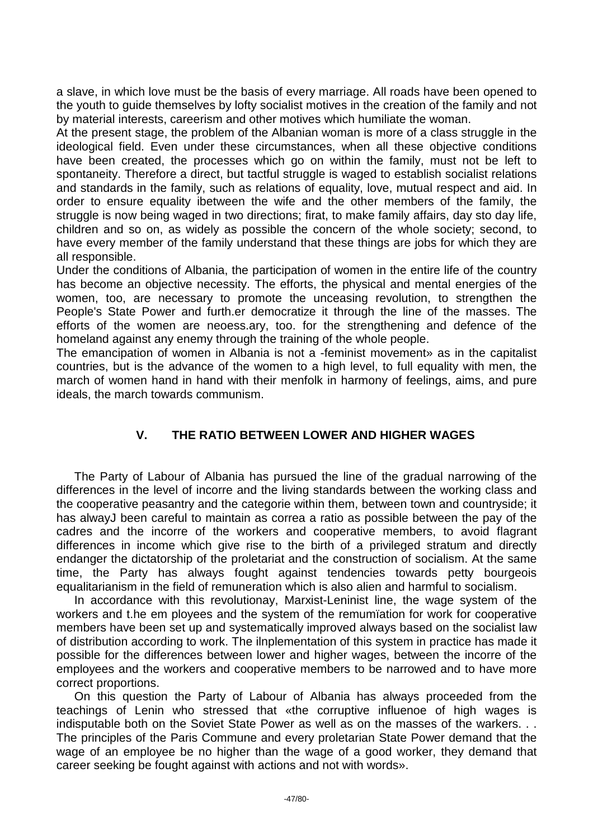a slave, in which love must be the basis of every marriage. All roads have been opened to the youth to guide themselves by lofty socialist motives in the creation of the family and not by material interests, careerism and other motives which humiliate the woman.

At the present stage, the problem of the Albanian woman is more of a class struggle in the ideological field. Even under these circumstances, when all these objective conditions have been created, the processes which go on within the family, must not be left to spontaneity. Therefore a direct, but tactful struggle is waged to establish socialist relations and standards in the family, such as relations of equality, love, mutual respect and aid. In order to ensure equality ibetween the wife and the other members of the family, the struggle is now being waged in two directions; firat, to make family affairs, day sto day life, children and so on, as widely as possible the concern of the whole society; second, to have every member of the family understand that these things are jobs for which they are all responsible.

Under the conditions of Albania, the participation of women in the entire life of the country has become an objective necessity. The efforts, the physical and mental energies of the women, too, are necessary to promote the unceasing revolution, to strengthen the People's State Power and furth.er democratize it through the line of the masses. The efforts of the women are neoess.ary, too. for the strengthening and defence of the homeland against any enemy through the training of the whole people.

The emancipation of women in Albania is not a -feminist movement» as in the capitalist countries, but is the advance of the women to a high level, to full equality with men, the march of women hand in hand with their menfolk in harmony of feelings, aims, and pure ideals, the march towards communism.

## **V. THE RATIO BETWEEN LOWER AND HIGHER WAGES**

The Party of Labour of Albania has pursued the line of the gradual narrowing of the differences in the level of incorre and the living standards between the working class and the cooperative peasantry and the categorie within them, between town and countryside; it has alwayJ been careful to maintain as correa a ratio as possible between the pay of the cadres and the incorre of the workers and cooperative members, to avoid flagrant differences in income which give rise to the birth of a privileged stratum and directly endanger the dictatorship of the proletariat and the construction of socialism. At the same time, the Party has always fought against tendencies towards petty bourgeois equalitarianism in the field of remuneration which is also alien and harmful to socialism.

In accordance with this revolutionay, Marxist-Leninist line, the wage system of the workers and t.he em ployees and the system of the remumïation for work for cooperative members have been set up and systematically improved always based on the socialist law of distribution according to work. The ilnplementation of this system in practice has made it possible for the differences between lower and higher wages, between the incorre of the employees and the workers and cooperative members to be narrowed and to have more correct proportions.

On this question the Party of Labour of Albania has always proceeded from the teachings of Lenin who stressed that «the corruptive influenoe of high wages is indisputable both on the Soviet State Power as well as on the masses of the warkers. . . The principles of the Paris Commune and every proletarian State Power demand that the wage of an employee be no higher than the wage of a good worker, they demand that career seeking be fought against with actions and not with words».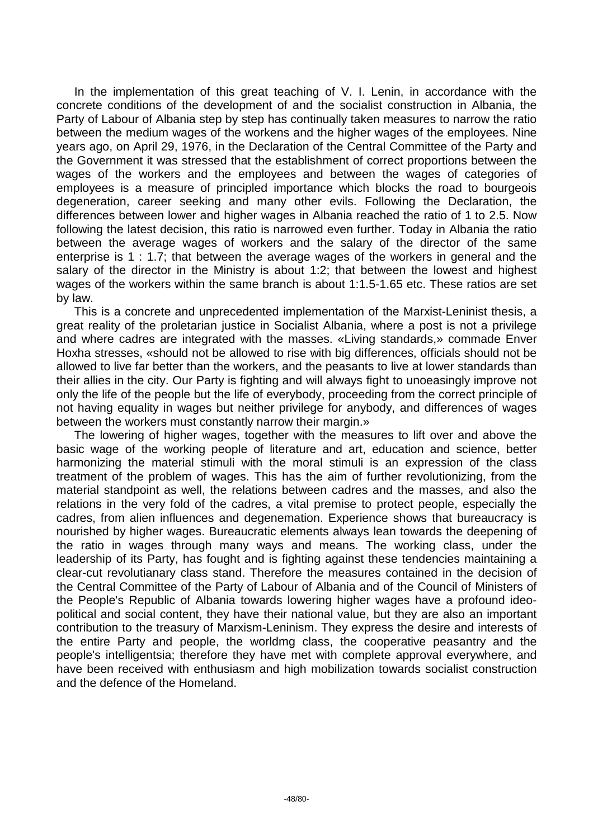In the implementation of this great teaching of V. I. Lenin, in accordance with the concrete conditions of the development of and the socialist construction in Albania, the Party of Labour of Albania step by step has continually taken measures to narrow the ratio between the medium wages of the workens and the higher wages of the employees. Nine years ago, on April 29, 1976, in the Declaration of the Central Committee of the Party and the Government it was stressed that the establishment of correct proportions between the wages of the workers and the employees and between the wages of categories of employees is a measure of principled importance which blocks the road to bourgeois degeneration, career seeking and many other evils. Following the Declaration, the differences between lower and higher wages in Albania reached the ratio of 1 to 2.5. Now following the latest decision, this ratio is narrowed even further. Today in Albania the ratio between the average wages of workers and the salary of the director of the same enterprise is 1 : 1.7; that between the average wages of the workers in general and the salary of the director in the Ministry is about 1:2; that between the lowest and highest wages of the workers within the same branch is about 1:1.5-1.65 etc. These ratios are set by law.

This is a concrete and unprecedented implementation of the Marxist-Leninist thesis, a great reality of the proletarian justice in Socialist Albania, where a post is not a privilege and where cadres are integrated with the masses. «Living standards,» commade Enver Hoxha stresses, «should not be allowed to rise with big differences, officials should not be allowed to live far better than the workers, and the peasants to live at lower standards than their allies in the city. Our Party is fighting and will always fight to unoeasingly improve not only the life of the people but the life of everybody, proceeding from the correct principle of not having equality in wages but neither privilege for anybody, and differences of wages between the workers must constantly narrow their margin.»

The lowering of higher wages, together with the measures to lift over and above the basic wage of the working people of literature and art, education and science, better harmonizing the material stimuli with the moral stimuli is an expression of the class treatment of the problem of wages. This has the aim of further revolutionizing, from the material standpoint as well, the relations between cadres and the masses, and also the relations in the very fold of the cadres, a vital premise to protect people, especially the cadres, from alien influences and degenemation. Experience shows that bureaucracy is nourished by higher wages. Bureaucratic elements always lean towards the deepening of the ratio in wages through many ways and means. The working class, under the leadership of its Party, has fought and is fighting against these tendencies maintaining a clear-cut revolutianary class stand. Therefore the measures contained in the decision of the Central Committee of the Party of Labour of Albania and of the Council of Ministers of the People's Republic of Albania towards lowering higher wages have a profound ideopolitical and social content, they have their national value, but they are also an important contribution to the treasury of Marxism-Leninism. They express the desire and interests of the entire Party and people, the worldmg class, the cooperative peasantry and the people's intelligentsia; therefore they have met with complete approval everywhere, and have been received with enthusiasm and high mobilization towards socialist construction and the defence of the Homeland.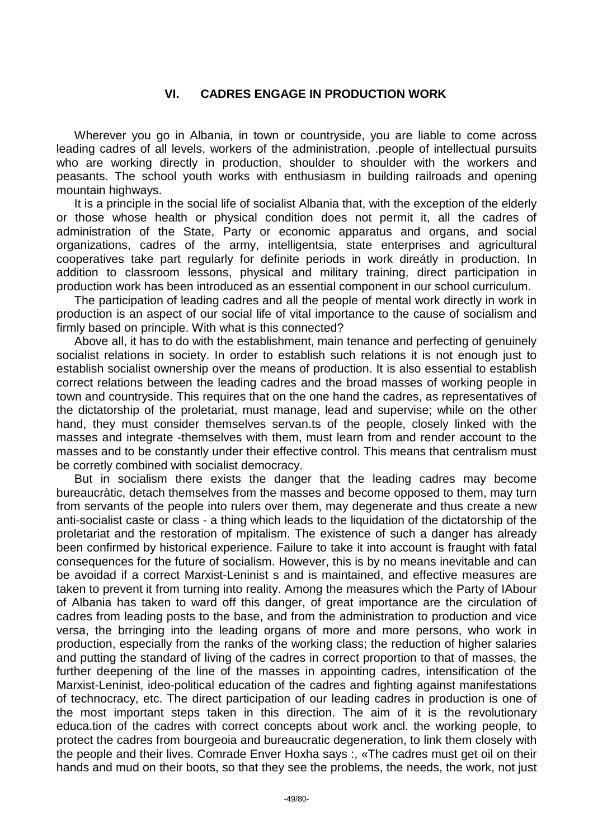## **VI. CADRES ENGAGE IN PRODUCTION WORK**

Wherever you go in Albania, in town or countryside, you are liable to come across leading cadres of all levels, workers of the administration, .people of intellectual pursuits who are working directly in production, shoulder to shoulder with the workers and peasants. The school youth works with enthusiasm in building railroads and opening mountain highways.

It is a principle in the social life of socialist Albania that, with the exception of the elderly or those whose health or physical condition does not permit it, all the cadres of administration of the State, Party or economic apparatus and organs, and social organizations, cadres of the army, intelligentsia, state enterprises and agricultural cooperatives take part regularly for definite periods in work direátly in production. In addition to classroom lessons, physical and military training, direct participation in production work has been introduced as an essential component in our school curriculum.

The participation of leading cadres and all the people of mental work directly in work in production is an aspect of our social life of vital importance to the cause of socialism and firmly based on principle. With what is this connected?

Above all, it has to do with the establishment, main tenance and perfecting of genuinely socialist relations in society. In order to establish such relations it is not enough just to establish socialist ownership over the means of production. It is also essential to establish correct relations between the leading cadres and the broad masses of working people in town and countryside. This requires that on the one hand the cadres, as representatives of the dictatorship of the proletariat, must manage, lead and supervise; while on the other hand, they must consider themselves servan.ts of the people, closely linked with the masses and integrate -themselves with them, must learn from and render account to the masses and to be constantly under their effective control. This means that centralism must be corretly combined with socialist democracy.

But in socialism there exists the danger that the leading cadres may become bureaucràtic, detach themselves from the masses and become opposed to them, may turn from servants of the people into rulers over them, may degenerate and thus create a new anti-socialist caste or class - a thing which leads to the liquidation of the dictatorship of the proletariat and the restoration of mpitalism. The existence of such a danger has already been confirmed by historical experience. Failure to take it into account is fraught with fatal consequences for the future of socialism. However, this is by no means inevitable and can be avoidad if a correct Marxist-Leninist s and is maintained, and effective measures are taken to prevent it from turning into reality. Among the measures which the Party of IAbour of Albania has taken to ward off this danger, of great importance are the circulation of cadres from leading posts to the base, and from the administration to production and vice versa, the brringing into the leading organs of more and more persons, who work in production, especially from the ranks of the working class; the reduction of higher salaries and putting the standard of living of the cadres in correct proportion to that of masses, the further deepening of the line of the masses in appointing cadres, intensification of the Marxist-Leninist, ideo-political education of the cadres and fighting against manifestations of technocracy, etc. The direct participation of our leading cadres in production is one of the most important steps taken in this direction. The aim of it is the revolutionary educa.tion of the cadres with correct concepts about work ancl. the working people, to protect the cadres from bourgeoia and bureaucratic degeneration, to link them closely with the people and their lives. Comrade Enver Hoxha says :, «The cadres must get oil on their hands and mud on their boots, so that they see the problems, the needs, the work, not just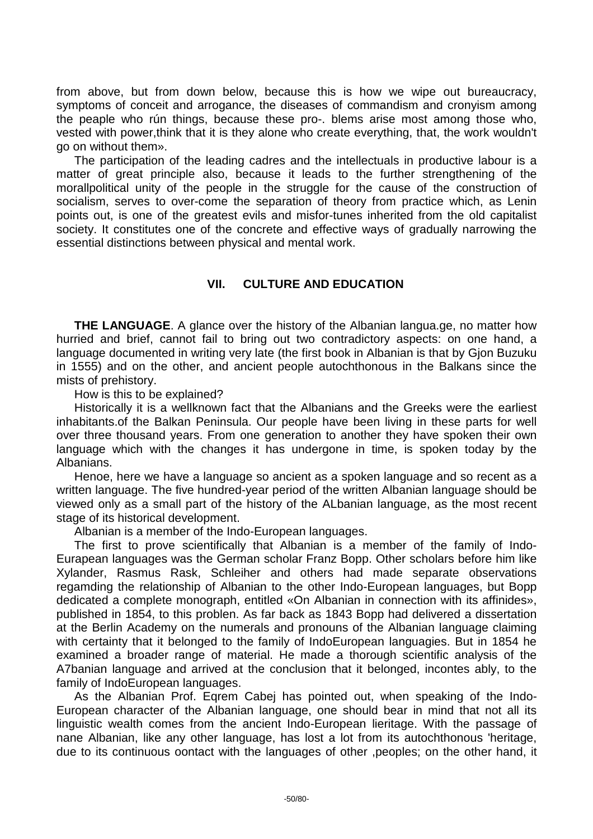from above, but from down below, because this is how we wipe out bureaucracy, symptoms of conceit and arrogance, the diseases of commandism and cronyism among the peaple who rún things, because these pro-. blems arise most among those who, vested with power,think that it is they alone who create everything, that, the work wouldn't go on without them».

The participation of the leading cadres and the intellectuals in productive labour is a matter of great principle also, because it leads to the further strengthening of the morallpolitical unity of the people in the struggle for the cause of the construction of socialism, serves to over-come the separation of theory from practice which, as Lenin points out, is one of the greatest evils and misfor-tunes inherited from the old capitalist society. It constitutes one of the concrete and effective ways of gradually narrowing the essential distinctions between physical and mental work.

## **VII. CULTURE AND EDUCATION**

**THE LANGUAGE.** A glance over the history of the Albanian langua.ge, no matter how hurried and brief, cannot fail to bring out two contradictory aspects: on one hand, a language documented in writing very late (the first book in Albanian is that by Gjon Buzuku in 1555) and on the other, and ancient people autochthonous in the Balkans since the mists of prehistory.

How is this to be explained?

Historically it is a wellknown fact that the Albanians and the Greeks were the earliest inhabitants.of the Balkan Peninsula. Our people have been living in these parts for well over three thousand years. From one generation to another they have spoken their own language which with the changes it has undergone in time, is spoken today by the Albanians.

Henoe, here we have a language so ancient as a spoken language and so recent as a written language. The five hundred-year period of the written Albanian language should be viewed only as a small part of the history of the ALbanian language, as the most recent stage of its historical development.

Albanian is a member of the Indo-European languages.

The first to prove scientifically that Albanian is a member of the family of Indo-Eurapean languages was the German scholar Franz Bopp. Other scholars before him like Xylander, Rasmus Rask, Schleiher and others had made separate observations regamding the relationship of Albanian to the other Indo-European languages, but Bopp dedicated a complete monograph, entitled «On Albanian in connection with its affinides», published in 1854, to this problen. As far back as 1843 Bopp had delivered a dissertation at the Berlin Academy on the numerals and pronouns of the Albanian language claiming with certainty that it belonged to the family of IndoEuropean languagies. But in 1854 he examined a broader range of material. He made a thorough scientific analysis of the A7banian language and arrived at the conclusion that it belonged, incontes ably, to the family of IndoEuropean languages.

As the Albanian Prof. Eqrem Cabej has pointed out, when speaking of the Indo-European character of the Albanian language, one should bear in mind that not all its linguistic wealth comes from the ancient Indo-European lieritage. With the passage of nane Albanian, like any other language, has lost a lot from its autochthonous 'heritage, due to its continuous oontact with the languages of other ,peoples; on the other hand, it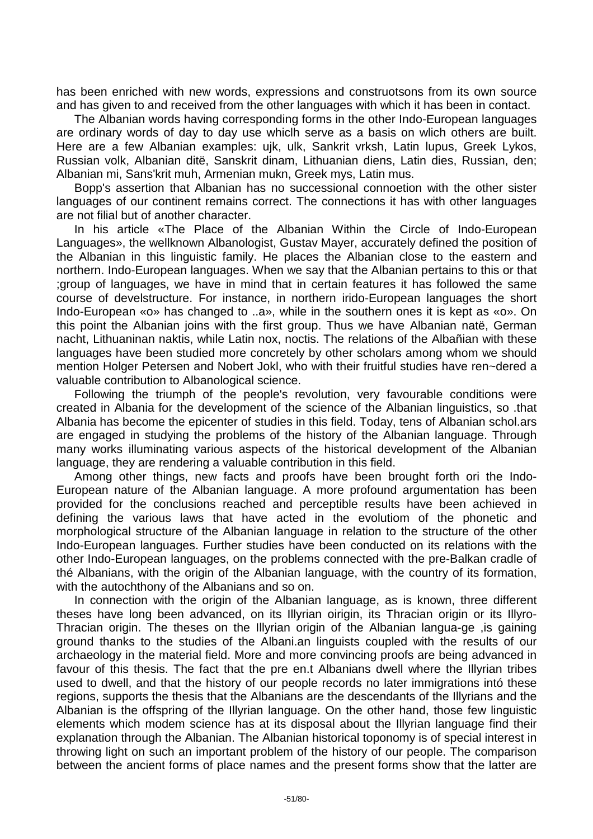has been enriched with new words, expressions and construotsons from its own source and has given to and received from the other languages with which it has been in contact.

The Albanian words having corresponding forms in the other Indo-European languages are ordinary words of day to day use whiclh serve as a basis on wlich others are built. Here are a few Albanian examples: ujk, ulk, Sankrit vrksh, Latin lupus, Greek Lykos, Russian volk, Albanian ditë, Sanskrit dinam, Lithuanian diens, Latin dies, Russian, den; Albanian mi, Sans'krit muh, Armenian mukn, Greek mys, Latin mus.

Bopp's assertion that Albanian has no successional connoetion with the other sister languages of our continent remains correct. The connections it has with other languages are not filial but of another character.

In his article «The Place of the Albanian Within the Circle of Indo-European Languages», the wellknown Albanologist, Gustav Mayer, accurately defined the position of the Albanian in this linguistic family. He places the Albanian close to the eastern and northern. Indo-European languages. When we say that the Albanian pertains to this or that ;group of languages, we have in mind that in certain features it has followed the same course of develstructure. For instance, in northern irido-European languages the short Indo-European «o» has changed to ..a», while in the southern ones it is kept as «o». On this point the Albanian joins with the first group. Thus we have Albanian natë, German nacht, Lithuaninan naktis, while Latin nox, noctis. The relations of the Albañian with these languages have been studied more concretely by other scholars among whom we should mention Holger Petersen and Nobert Jokl, who with their fruitful studies have ren~dered a valuable contribution to Albanological science.

Following the triumph of the people's revolution, very favourable conditions were created in Albania for the development of the science of the Albanian linguistics, so .that Albania has become the epicenter of studies in this field. Today, tens of Albanian schol.ars are engaged in studying the problems of the history of the Albanian language. Through many works illuminating various aspects of the historical development of the Albanian language, they are rendering a valuable contribution in this field.

Among other things, new facts and proofs have been brought forth ori the Indo-European nature of the Albanian language. A more profound argumentation has been provided for the conclusions reached and perceptible results have been achieved in defining the various laws that have acted in the evolutiom of the phonetic and morphological structure of the Albanian language in relation to the structure of the other Indo-European languages. Further studies have been conducted on its relations with the other Indo-European languages, on the problems connected with the pre-Balkan cradle of thé Albanians, with the origin of the Albanian language, with the country of its formation, with the autochthony of the Albanians and so on.

In connection with the origin of the Albanian language, as is known, three different theses have long been advanced, on its Illyrian oirigin, its Thracian origin or its Illyro-Thracian origin. The theses on the Illyrian origin of the Albanian langua-ge ,is gaining ground thanks to the studies of the Albani.an linguists coupled with the results of our archaeology in the material field. More and more convincing proofs are being advanced in favour of this thesis. The fact that the pre en.t Albanians dwell where the Illyrian tribes used to dwell, and that the history of our people records no later immigrations intó these regions, supports the thesis that the Albanians are the descendants of the Illyrians and the Albanian is the offspring of the Illyrian language. On the other hand, those few linguistic elements which modem science has at its disposal about the Illyrian language find their explanation through the Albanian. The Albanian historical toponomy is of special interest in throwing light on such an important problem of the history of our people. The comparison between the ancient forms of place names and the present forms show that the latter are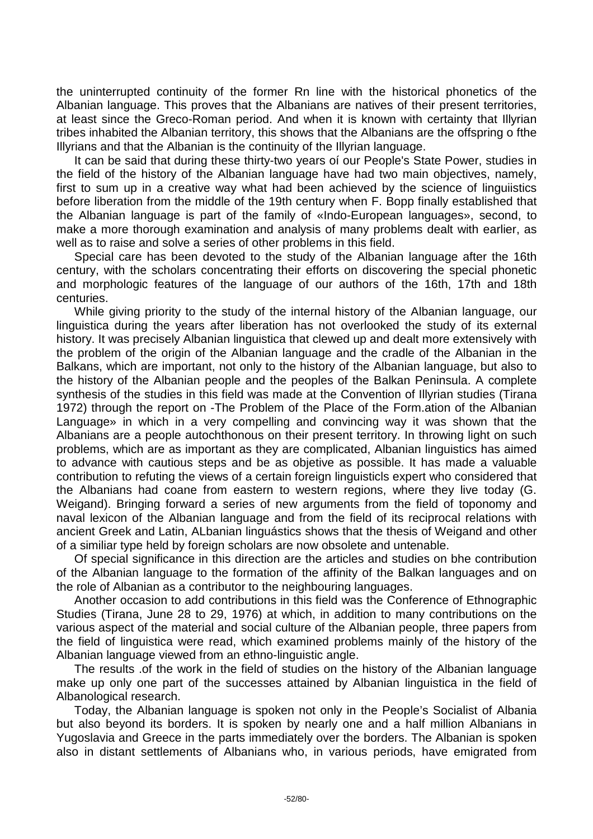the uninterrupted continuity of the former Rn line with the historical phonetics of the Albanian language. This proves that the Albanians are natives of their present territories, at least since the Greco-Roman period. And when it is known with certainty that Illyrian tribes inhabited the Albanian territory, this shows that the Albanians are the offspring o fthe Illyrians and that the Albanian is the continuity of the Illyrian language.

It can be said that during these thirty-two years oí our People's State Power, studies in the field of the history of the Albanian language have had two main objectives, namely, first to sum up in a creative way what had been achieved by the science of linguiistics before liberation from the middle of the 19th century when F. Bopp finally established that the Albanian language is part of the family of «Indo-European languages», second, to make a more thorough examination and analysis of many problems dealt with earlier, as well as to raise and solve a series of other problems in this field.

Special care has been devoted to the study of the Albanian language after the 16th century, with the scholars concentrating their efforts on discovering the special phonetic and morphologic features of the language of our authors of the 16th, 17th and 18th centuries.

While giving priority to the study of the internal history of the Albanian language, our linguistica during the years after liberation has not overlooked the study of its external history. It was precisely Albanian linguistica that clewed up and dealt more extensively with the problem of the origin of the Albanian language and the cradle of the Albanian in the Balkans, which are important, not only to the history of the Albanian language, but also to the history of the Albanian people and the peoples of the Balkan Peninsula. A complete synthesis of the studies in this field was made at the Convention of Illyrian studies (Tirana 1972) through the report on -The Problem of the Place of the Form.ation of the Albanian Language» in which in a very compelling and convincing way it was shown that the Albanians are a people autochthonous on their present territory. In throwing light on such problems, which are as important as they are complicated, Albanian linguistics has aimed to advance with cautious steps and be as objetive as possible. It has made a valuable contribution to refuting the views of a certain foreign linguisticls expert who considered that the Albanians had coane from eastern to western regions, where they live today (G. Weigand). Bringing forward a series of new arguments from the field of toponomy and naval lexicon of the Albanian language and from the field of its reciprocal relations with ancient Greek and Latin, ALbanian linguástics shows that the thesis of Weigand and other of a similiar type held by foreign scholars are now obsolete and untenable.

Of special significance in this direction are the articles and studies on bhe contribution of the Albanian language to the formation of the affinity of the Balkan languages and on the role of Albanian as a contributor to the neighbouring languages.

Another occasion to add contributions in this field was the Conference of Ethnographic Studies (Tirana, June 28 to 29, 1976) at which, in addition to many contributions on the various aspect of the material and social culture of the Albanian people, three papers from the field of linguistica were read, which examined problems mainly of the history of the Albanian language viewed from an ethno-linguistic angle.

The results .of the work in the field of studies on the history of the Albanian language make up only one part of the successes attained by Albanian linguistica in the field of Albanological research.

Today, the Albanian language is spoken not only in the People's Socialist of Albania but also beyond its borders. It is spoken by nearly one and a half million Albanians in Yugoslavia and Greece in the parts immediately over the borders. The Albanian is spoken also in distant settlements of Albanians who, in various periods, have emigrated from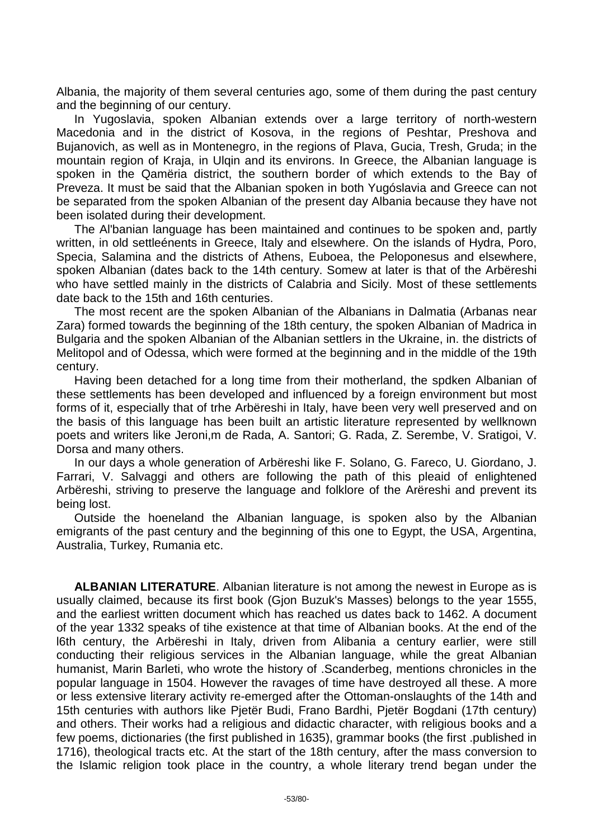Albania, the majority of them several centuries ago, some of them during the past century and the beginning of our century.

In Yugoslavia, spoken Albanian extends over a large territory of north-western Macedonia and in the district of Kosova, in the regions of Peshtar, Preshova and Bujanovich, as well as in Montenegro, in the regions of Plava, Gucia, Tresh, Gruda; in the mountain region of Kraja, in Ulqin and its environs. In Greece, the Albanian language is spoken in the Qamëria district, the southern border of which extends to the Bay of Preveza. It must be said that the Albanian spoken in both Yugóslavia and Greece can not be separated from the spoken Albanian of the present day Albania because they have not been isolated during their development.

The Al'banian language has been maintained and continues to be spoken and, partly written, in old settleénents in Greece, Italy and elsewhere. On the islands of Hydra, Poro, Specia, Salamina and the districts of Athens, Euboea, the Peloponesus and elsewhere, spoken Albanian (dates back to the 14th century. Somew at later is that of the Arbëreshi who have settled mainly in the districts of Calabria and Sicily. Most of these settlements date back to the 15th and 16th centuries.

The most recent are the spoken Albanian of the Albanians in Dalmatia (Arbanas near Zara) formed towards the beginning of the 18th century, the spoken Albanian of Madrica in Bulgaria and the spoken Albanian of the Albanian settlers in the Ukraine, in. the districts of Melitopol and of Odessa, which were formed at the beginning and in the middle of the 19th century.

Having been detached for a long time from their motherland, the spdken Albanian of these settlements has been developed and influenced by a foreign environment but most forms of it, especially that of trhe Arbëreshi in Italy, have been very well preserved and on the basis of this language has been built an artistic literature represented by wellknown poets and writers like Jeroni,m de Rada, A. Santori; G. Rada, Z. Serembe, V. Sratigoi, V. Dorsa and many others.

In our days a whole generation of Arbëreshi like F. Solano, G. Fareco, U. Giordano, J. Farrari, V. Salvaggi and others are following the path of this pleaid of enlightened Arbëreshi, striving to preserve the language and folklore of the Arëreshi and prevent its being lost.

Outside the hoeneland the Albanian language, is spoken also by the Albanian emigrants of the past century and the beginning of this one to Egypt, the USA, Argentina, Australia, Turkey, Rumania etc.

**ALBANIAN LITERATURE**. Albanian literature is not among the newest in Europe as is usually claimed, because its first book (Gjon Buzuk's Masses) belongs to the year 1555, and the earliest written document which has reached us dates back to 1462. A document of the year 1332 speaks of tihe existence at that time of Albanian books. At the end of the l6th century, the Arbëreshi in Italy, driven from Alibania a century earlier, were still conducting their religious services in the Albanian language, while the great Albanian humanist, Marin Barleti, who wrote the history of .Scanderbeg, mentions chronicles in the popular language in 1504. However the ravages of time have destroyed all these. A more or less extensive literary activity re-emerged after the Ottoman-onslaughts of the 14th and 15th centuries with authors like Pjetër Budi, Frano Bardhi, Pjetër Bogdani (17th century) and others. Their works had a religious and didactic character, with religious books and a few poems, dictionaries (the first published in 1635), grammar books (the first .published in 1716), theological tracts etc. At the start of the 18th century, after the mass conversion to the Islamic religion took place in the country, a whole literary trend began under the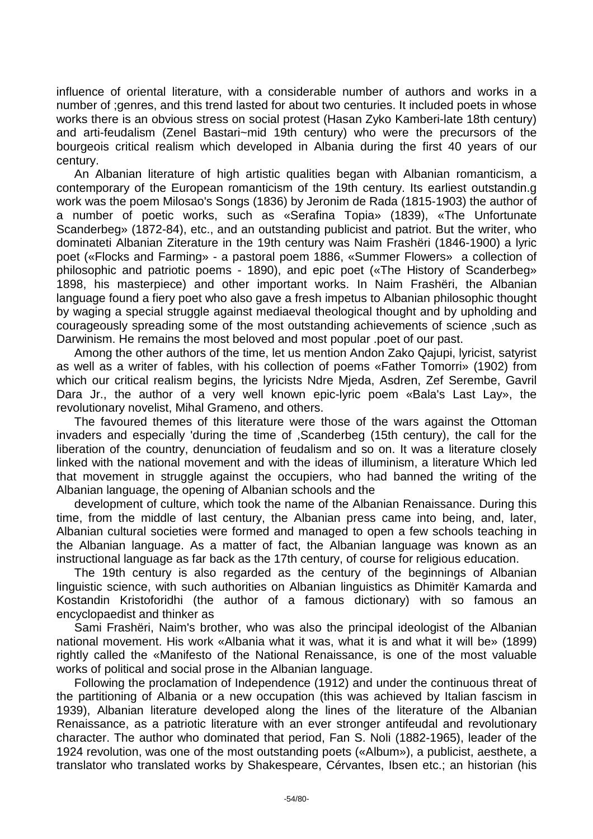influence of oriental literature, with a considerable number of authors and works in a number of ;genres, and this trend lasted for about two centuries. It included poets in whose works there is an obvious stress on social protest (Hasan Zyko Kamberi-late 18th century) and arti-feudalism (Zenel Bastari~mid 19th century) who were the precursors of the bourgeois critical realism which developed in Albania during the first 40 years of our century.

An Albanian literature of high artistic qualities began with Albanian romanticism, a contemporary of the European romanticism of the 19th century. Its earliest outstandin.g work was the poem Milosao's Songs (1836) by Jeronim de Rada (1815-1903) the author of a number of poetic works, such as «Serafina Topia» (1839), «The Unfortunate Scanderbeg» (1872-84), etc., and an outstanding publicist and patriot. But the writer, who dominateti Albanian Ziterature in the 19th century was Naim Frashëri (1846-1900) a lyric poet («Flocks and Farming» - a pastoral poem 1886, «Summer Flowers» a collection of philosophic and patriotic poems - 1890), and epic poet («The History of Scanderbeg» 1898, his masterpiece) and other important works. In Naim Frashëri, the Albanian language found a fiery poet who also gave a fresh impetus to Albanian philosophic thought by waging a special struggle against mediaeval theological thought and by upholding and courageously spreading some of the most outstanding achievements of science ,such as Darwinism. He remains the most beloved and most popular .poet of our past.

Among the other authors of the time, let us mention Andon Zako Qajupi, lyricist, satyrist as well as a writer of fables, with his collection of poems «Father Tomorri» (1902) from which our critical realism begins, the lyricists Ndre Mjeda, Asdren, Zef Serembe, Gavril Dara Jr., the author of a very well known epic-lyric poem «Bala's Last Lay», the revolutionary novelist, Mihal Grameno, and others.

The favoured themes of this literature were those of the wars against the Ottoman invaders and especially 'during the time of ,Scanderbeg (15th century), the call for the liberation of the country, denunciation of feudalism and so on. It was a literature closely linked with the national movement and with the ideas of illuminism, a literature Which led that movement in struggle against the occupiers, who had banned the writing of the Albanian language, the opening of Albanian schools and the

development of culture, which took the name of the Albanian Renaissance. During this time, from the middle of last century, the Albanian press came into being, and, later, Albanian cultural societies were formed and managed to open a few schools teaching in the Albanian language. As a matter of fact, the Albanian language was known as an instructional language as far back as the 17th century, of course for religious education.

The 19th century is also regarded as the century of the beginnings of Albanian linguistic science, with such authorities on Albanian linguistics as Dhimitër Kamarda and Kostandin Kristoforidhi (the author of a famous dictionary) with so famous an encyclopaedist and thinker as

Sami Frashëri, Naim's brother, who was also the principal ideologist of the Albanian national movement. His work «Albania what it was, what it is and what it will be» (1899) rightly called the «Manifesto of the National Renaissance, is one of the most valuable works of political and social prose in the Albanian language.

Following the proclamation of Independence (1912) and under the continuous threat of the partitioning of Albania or a new occupation (this was achieved by Italian fascism in 1939), Albanian literature developed along the lines of the literature of the Albanian Renaissance, as a patriotic literature with an ever stronger antifeudal and revolutionary character. The author who dominated that period, Fan S. Noli (1882-1965), leader of the 1924 revolution, was one of the most outstanding poets («Album»), a publicist, aesthete, a translator who translated works by Shakespeare, Cérvantes, Ibsen etc.; an historian (his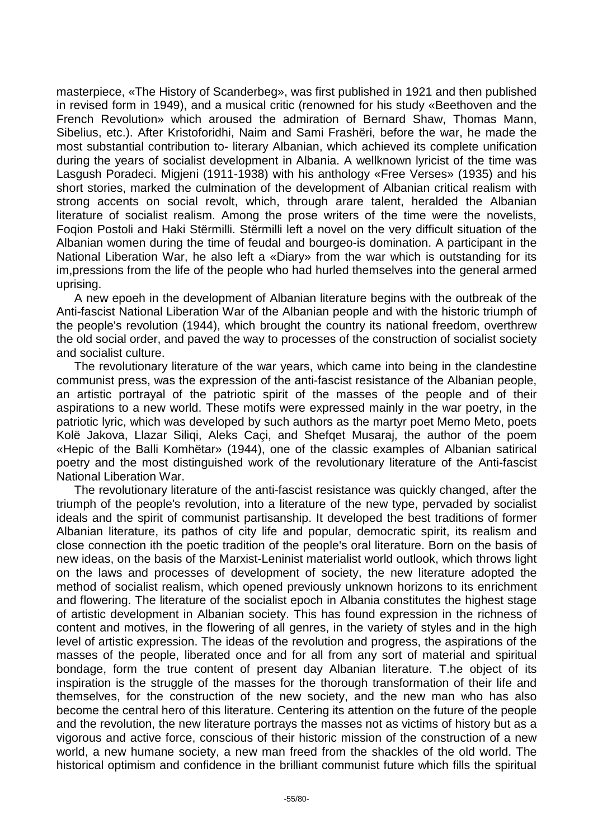masterpiece, «The History of Scanderbeg», was first published in 1921 and then published in revised form in 1949), and a musical critic (renowned for his study «Beethoven and the French Revolution» which aroused the admiration of Bernard Shaw, Thomas Mann, Sibelius, etc.). After Kristoforidhi, Naim and Sami Frashëri, before the war, he made the most substantial contribution to- literary Albanian, which achieved its complete unification during the years of socialist development in Albania. A wellknown lyricist of the time was Lasgush Poradeci. Migjeni (1911-1938) with his anthology «Free Verses» (1935) and his short stories, marked the culmination of the development of Albanian critical realism with strong accents on social revolt, which, through arare talent, heralded the Albanian literature of socialist realism. Among the prose writers of the time were the novelists, Foqion Postoli and Haki Stërmilli. Stërmilli left a novel on the very difficult situation of the Albanian women during the time of feudal and bourgeo-is domination. A participant in the National Liberation War, he also left a «Diary» from the war which is outstanding for its im,pressions from the life of the people who had hurled themselves into the general armed uprising.

A new epoeh in the development of Albanian literature begins with the outbreak of the Anti-fascist National Liberation War of the Albanian people and with the historic triumph of the people's revolution (1944), which brought the country its national freedom, overthrew the old social order, and paved the way to processes of the construction of socialist society and socialist culture.

The revolutionary literature of the war years, which came into being in the clandestine communist press, was the expression of the anti-fascist resistance of the Albanian people, an artistic portrayal of the patriotic spirit of the masses of the people and of their aspirations to a new world. These motifs were expressed mainly in the war poetry, in the patriotic lyric, which was developed by such authors as the martyr poet Memo Meto, poets Kolë Jakova, Llazar Siliqi, Aleks Caçi, and Shefqet Musaraj, the author of the poem «Hepic of the Balli Komhëtar» (1944), one of the classic examples of Albanian satirical poetry and the most distinguished work of the revolutionary literature of the Anti-fascist National Liberation War.

The revolutionary literature of the anti-fascist resistance was quickly changed, after the triumph of the people's revolution, into a literature of the new type, pervaded by socialist ideals and the spirit of communist partisanship. It developed the best traditions of former Albanian literature, its pathos of city life and popular, democratic spirit, its realism and close connection ith the poetic tradition of the people's oral literature. Born on the basis of new ideas, on the basis of the Marxist-Leninist materialist world outlook, which throws light on the laws and processes of development of society, the new literature adopted the method of socialist realism, which opened previously unknown horizons to its enrichment and flowering. The literature of the socialist epoch in Albania constitutes the highest stage of artistic development in Albanian society. This has found expression in the richness of content and motives, in the flowering of all genres, in the variety of styles and in the high level of artistic expression. The ideas of the revolution and progress, the aspirations of the masses of the people, liberated once and for all from any sort of material and spiritual bondage, form the true content of present day Albanian literature. T.he object of its inspiration is the struggle of the masses for the thorough transformation of their life and themselves, for the construction of the new society, and the new man who has also become the central hero of this literature. Centering its attention on the future of the people and the revolution, the new literature portrays the masses not as victims of history but as a vigorous and active force, conscious of their historic mission of the construction of a new world, a new humane society, a new man freed from the shackles of the old world. The historical optimism and confidence in the brilliant communist future which fills the spirituaI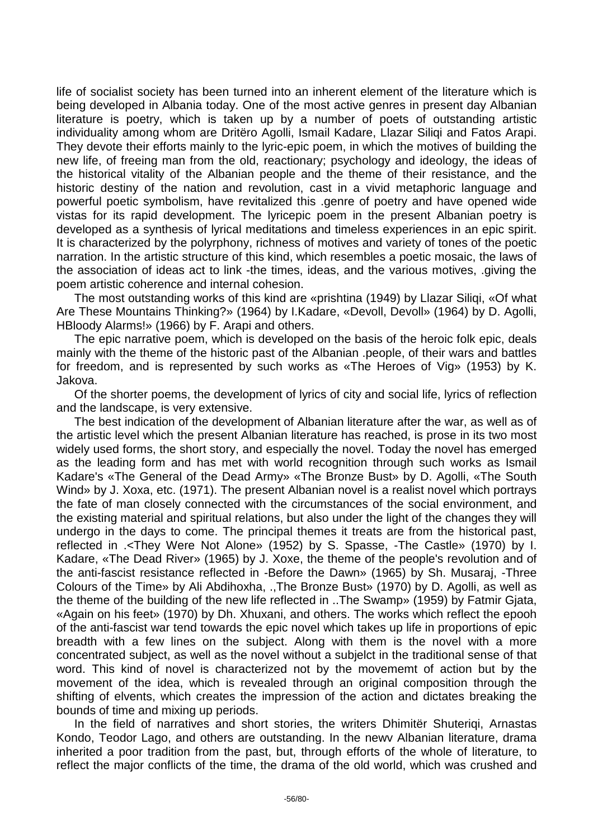life of socialist society has been turned into an inherent element of the literature which is being developed in Albania today. One of the most active genres in present day Albanian literature is poetry, which is taken up by a number of poets of outstanding artistic individuality among whom are Dritëro Agolli, Ismail Kadare, Llazar Siliqi and Fatos Arapi. They devote their efforts mainly to the lyric-epic poem, in which the motives of building the new life, of freeing man from the old, reactionary; psychology and ideology, the ideas of the historical vitality of the Albanian people and the theme of their resistance, and the historic destiny of the nation and revolution, cast in a vivid metaphoric language and powerful poetic symbolism, have revitalized this .genre of poetry and have opened wide vistas for its rapid development. The lyricepic poem in the present Albanian poetry is developed as a synthesis of lyrical meditations and timeless experiences in an epic spirit. It is characterized by the polyrphony, richness of motives and variety of tones of the poetic narration. In the artistic structure of this kind, which resembles a poetic mosaic, the laws of the association of ideas act to link -the times, ideas, and the various motives, .giving the poem artistic coherence and internal cohesion.

The most outstanding works of this kind are «prishtina (1949) by Llazar Siliqi, «Of what Are These Mountains Thinking?» (1964) by I.Kadare, «Devoll, Devoll» (1964) by D. Agolli, HBloody Alarms!» (1966) by F. Arapi and others.

The epic narrative poem, which is developed on the basis of the heroic folk epic, deals mainly with the theme of the historic past of the Albanian .people, of their wars and battles for freedom, and is represented by such works as «The Heroes of Vig» (1953) by K. Jakova.

Of the shorter poems, the development of lyrics of city and social life, lyrics of reflection and the landscape, is very extensive.

The best indication of the development of Albanian literature after the war, as well as of the artistic level which the present Albanian literature has reached, is prose in its two most widely used forms, the short story, and especially the novel. Today the novel has emerged as the leading form and has met with world recognition through such works as Ismail Kadare's «The General of the Dead Army» «The Bronze Bust» by D. Agolli, «The South Wind» by J. Xoxa, etc. (1971). The present Albanian novel is a realist novel which portrays the fate of man closely connected with the circumstances of the social environment, and the existing material and spiritual relations, but also under the light of the changes they will undergo in the days to come. The principal themes it treats are from the historical past, reflected in .<They Were Not Alone» (1952) by S. Spasse, -The Castle» (1970) by I. Kadare, «The Dead River» (1965) by J. Xoxe, the theme of the people's revolution and of the anti-fascist resistance reflected in -Before the Dawn» (1965) by Sh. Musaraj, -Three Colours of the Time» by Ali Abdihoxha, .,The Bronze Bust» (1970) by D. Agolli, as well as the theme of the building of the new life reflected in ..The Swamp» (1959) by Fatmir Gjata, «Again on his feet» (1970) by Dh. Xhuxani, and others. The works which reflect the epooh of the anti-fascist war tend towards the epic novel which takes up life in proportions of epic breadth with a few lines on the subject. Along with them is the novel with a more concentrated subject, as well as the novel without a subjelct in the traditional sense of that word. This kind of novel is characterized not by the movememt of action but by the movement of the idea, which is revealed through an original composition through the shifting of elvents, which creates the impression of the action and dictates breaking the bounds of time and mixing up periods.

In the field of narratives and short stories, the writers Dhimitër Shuteriqi, Arnastas Kondo, Teodor Lago, and others are outstanding. In the newv Albanian literature, drama inherited a poor tradition from the past, but, through efforts of the whole of literature, to reflect the major conflicts of the time, the drama of the old world, which was crushed and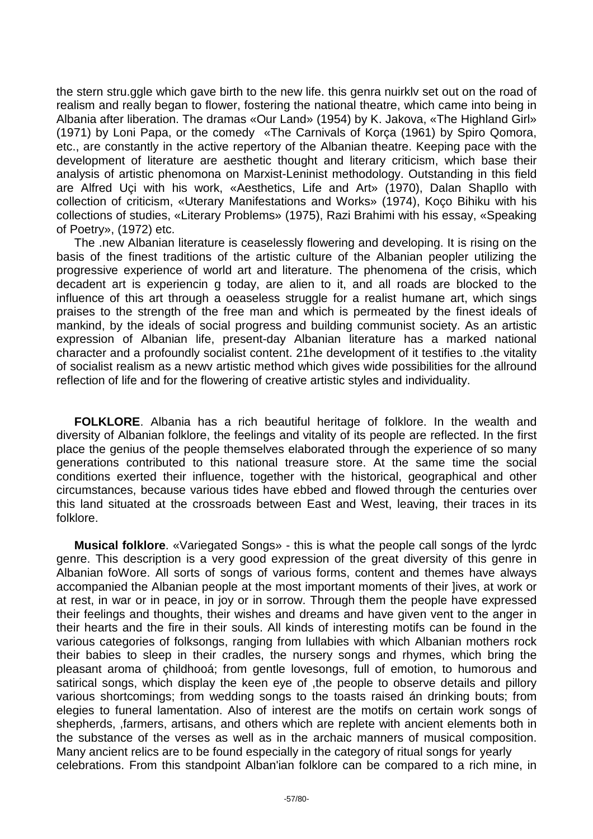the stern stru.ggle which gave birth to the new life. this genra nuirklv set out on the road of realism and really began to flower, fostering the national theatre, which came into being in Albania after liberation. The dramas «Our Land» (1954) by K. Jakova, «The Highland Girl» (1971) by Loni Papa, or the comedy «The Carnivals of Korça (1961) by Spiro Qomora, etc., are constantly in the active repertory of the Albanian theatre. Keeping pace with the development of literature are aesthetic thought and literary criticism, which base their analysis of artistic phenomona on Marxist-Leninist methodology. Outstanding in this field are Alfred Uçi with his work, «Aesthetics, Life and Art» (1970), Dalan Shapllo with collection of criticism, «Uterary Manifestations and Works» (1974), Koço Bihiku with his collections of studies, «Literary Problems» (1975), Razi Brahimi with his essay, «Speaking of Poetry», (1972) etc.

The .new Albanian literature is ceaselessly flowering and developing. It is rising on the basis of the finest traditions of the artistic culture of the Albanian peopler utilizing the progressive experience of world art and literature. The phenomena of the crisis, which decadent art is experiencin g today, are alien to it, and all roads are blocked to the influence of this art through a oeaseless struggle for a realist humane art, which sings praises to the strength of the free man and which is permeated by the finest ideals of mankind, by the ideals of social progress and building communist society. As an artistic expression of Albanian life, present-day Albanian literature has a marked national character and a profoundly socialist content. 21he development of it testifies to .the vitality of socialist realism as a newv artistic method which gives wide possibilities for the allround reflection of life and for the flowering of creative artistic styles and individuality.

**FOLKLORE**. Albania has a rich beautiful heritage of folklore. In the wealth and diversity of Albanian folklore, the feelings and vitality of its people are reflected. In the first place the genius of the people themselves elaborated through the experience of so many generations contributed to this national treasure store. At the same time the social conditions exerted their influence, together with the historical, geographical and other circumstances, because various tides have ebbed and flowed through the centuries over this land situated at the crossroads between East and West, leaving, their traces in its folklore.

**Musical folklore**. «Variegated Songs» - this is what the people call songs of the lyrdc genre. This description is a very good expression of the great diversity of this genre in Albanian foWore. All sorts of songs of various forms, content and themes have always accompanied the Albanian people at the most important moments of their ]ives, at work or at rest, in war or in peace, in joy or in sorrow. Through them the people have expressed their feelings and thoughts, their wishes and dreams and have given vent to the anger in their hearts and the fire in their souls. All kinds of interesting motifs can be found in the various categories of folksongs, ranging from lullabies with which Albanian mothers rock their babies to sleep in their cradles, the nursery songs and rhymes, which bring the pleasant aroma of çhildhooá; from gentle lovesongs, full of emotion, to humorous and satirical songs, which display the keen eye of ,the people to observe details and pillory various shortcomings; from wedding songs to the toasts raised án drinking bouts; from elegies to funeral lamentation. Also of interest are the motifs on certain work songs of shepherds, ,farmers, artisans, and others which are replete with ancient elements both in the substance of the verses as well as in the archaic manners of musical composition. Many ancient relics are to be found especially in the category of ritual songs for yearly celebrations. From this standpoint Alban'ian folklore can be compared to a rich mine, in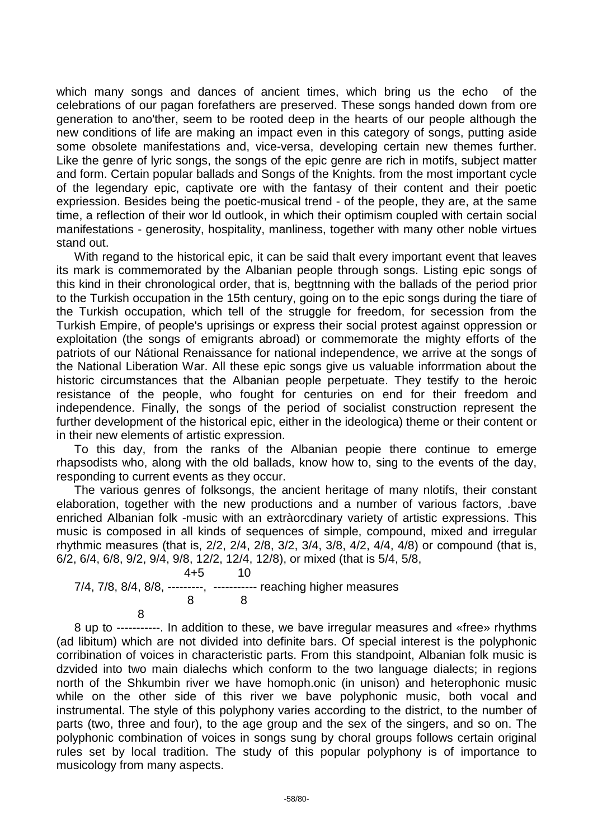which many songs and dances of ancient times, which bring us the echo of the celebrations of our pagan forefathers are preserved. These songs handed down from ore generation to ano'ther, seem to be rooted deep in the hearts of our people although the new conditions of life are making an impact even in this category of songs, putting aside some obsolete manifestations and, vice-versa, developing certain new themes further. Like the genre of lyric songs, the songs of the epic genre are rich in motifs, subject matter and form. Certain popular ballads and Songs of the Knights. from the most important cycle of the legendary epic, captivate ore with the fantasy of their content and their poetic expriession. Besides being the poetic-musical trend - of the people, they are, at the same time, a reflection of their wor ld outlook, in which their optimism coupled with certain social manifestations - generosity, hospitality, manliness, together with many other noble virtues stand out.

With regand to the historical epic, it can be said thalt every important event that leaves its mark is commemorated by the Albanian people through songs. Listing epic songs of this kind in their chronological order, that is, begttnning with the ballads of the period prior to the Turkish occupation in the 15th century, going on to the epic songs during the tiare of the Turkish occupation, which tell of the struggle for freedom, for secession from the Turkish Empire, of people's uprisings or express their social protest against oppression or exploitation (the songs of emigrants abroad) or commemorate the mighty efforts of the patriots of our Nátional Renaissance for national independence, we arrive at the songs of the National Liberation War. All these epic songs give us valuable inforrmation about the historic circumstances that the Albanian people perpetuate. They testify to the heroic resistance of the people, who fought for centuries on end for their freedom and independence. Finally, the songs of the period of socialist construction represent the further development of the historical epic, either in the ideologica) theme or their content or in their new elements of artistic expression.

To this day, from the ranks of the Albanian peopie there continue to emerge rhapsodists who, along with the old ballads, know how to, sing to the events of the day, responding to current events as they occur.

The various genres of folksongs, the ancient heritage of many nlotifs, their constant elaboration, together with the new productions and a number of various factors, .bave enriched Albanian folk -music with an extràorcdinary variety of artistic expressions. This music is composed in all kinds of sequences of simple, compound, mixed and irregular rhythmic measures (that is, 2/2, 2/4, 2/8, 3/2, 3/4, 3/8, 4/2, 4/4, 4/8) or compound (that is, 6/2, 6/4, 6/8, 9/2, 9/4, 9/8, 12/2, 12/4, 12/8), or mixed (that is 5/4, 5/8,

4+5 10 7/4, 7/8, 8/4, 8/8, ---------, ----------- reaching higher measures 8 8

8

8 up to -----------. In addition to these, we bave irregular measures and «free» rhythms (ad libitum) which are not divided into definite bars. Of special interest is the polyphonic corribination of voices in characteristic parts. From this standpoint, Albanian folk music is dzvided into two main dialechs which conform to the two language dialects; in regions north of the Shkumbin river we have homoph.onic (in unison) and heterophonic music while on the other side of this river we bave polyphonic music, both vocal and instrumental. The style of this polyphony varies according to the district, to the number of parts (two, three and four), to the age group and the sex of the singers, and so on. The polyphonic combination of voices in songs sung by choral groups follows certain original rules set by local tradition. The study of this popular polyphony is of importance to musicology from many aspects.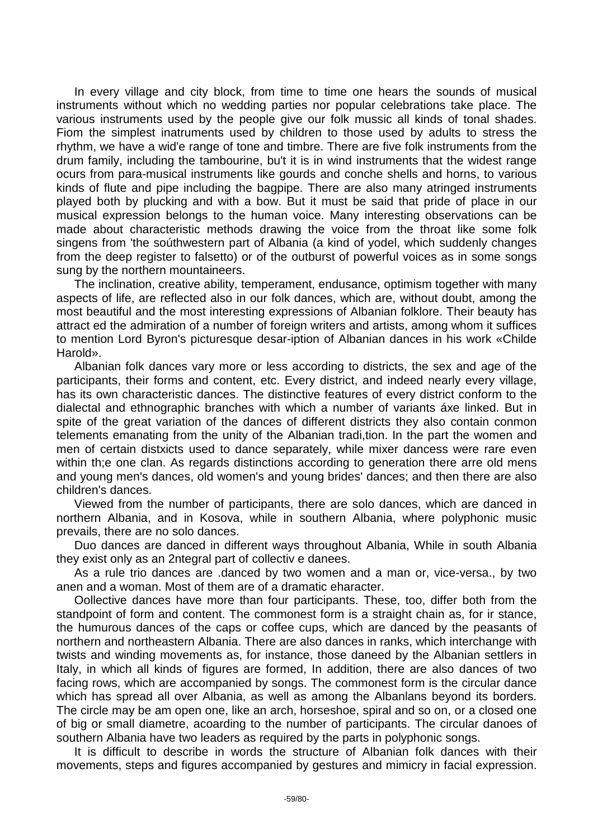In every village and city block, from time to time one hears the sounds of musical instruments without which no wedding parties nor popular celebrations take place. The various instruments used by the people give our folk mussic all kinds of tonal shades. Fiom the simplest inatruments used by children to those used by adults to stress the rhythm, we have a wid'e range of tone and timbre. There are five folk instruments from the drum family, including the tambourine, bu't it is in wind instruments that the widest range ocurs from para-musical instruments like gourds and conche shells and horns, to various kinds of flute and pipe including the bagpipe. There are also many atringed instruments played both by plucking and with a bow. But it must be said that pride of place in our musical expression belongs to the human voice. Many interesting observations can be made about characteristic methods drawing the voice from the throat like some folk singens from 'the soúthwestern part of Albania (a kind of yodel, which suddenly changes from the deep register to falsetto) or of the outburst of powerful voices as in some songs sung by the northern mountaineers.

The inclination, creative ability, temperament, endusance, optimism together with many aspects of life, are reflected also in our folk dances, which are, without doubt, among the most beautiful and the most interesting expressions of Albanian folklore. Their beauty has attract ed the admiration of a number of foreign writers and artists, among whom it suffices to mention Lord Byron's picturesque desar-iption of Albanian dances in his work «Childe Harold».

Albanian folk dances vary more or less according to districts, the sex and age of the participants, their forms and content, etc. Every district, and indeed nearly every village, has its own characteristic dances. The distinctive features of every district conform to the dialectal and ethnographic branches with which a number of variants áxe linked. But in spite of the great variation of the dances of different districts they also contain conmon telements emanating from the unity of the Albanian tradi,tion. In the part the women and men of certain distxicts used to dance separately, while mixer dancess were rare even within th;e one clan. As regards distinctions according to generation there arre old mens and young men's dances, old women's and young brides' dances; and then there are also children's dances.

Viewed from the number of participants, there are solo dances, which are danced in northern Albania, and in Kosova, while in southern Albania, where polyphonic music prevails, there are no solo dances.

Duo dances are danced in different ways throughout Albania, While in south Albania they exist only as an 2ntegral part of collectiv e danees.

As a rule trio dances are .danced by two women and a man or, vice-versa., by two anen and a woman. Most of them are of a dramatic eharacter.

Oollective dances have more than four participants. These, too, differ both from the standpoint of form and content. The commonest form is a straight chain as, for ir stance, the humurous dances of the caps or coffee cups, which are danced by the peasants of northern and northeastern Albania. There are also dances in ranks, which interchange with twists and winding movements as, for instance, those daneed by the Albanian settlers in Italy, in which all kinds of figures are formed, In addition, there are also dances of two facing rows, which are accompanied by songs. The commonest form is the circular dance which has spread all over Albania, as well as among the Albanlans beyond its borders. The circle may be am open one, like an arch, horseshoe, spiral and so on, or a closed one of big or small diametre, acoarding to the number of participants. The circular danoes of southern Albania have two leaders as required by the parts in polyphonic songs.

It is difficult to describe in words the structure of Albanian folk dances with their movements, steps and figures accompanied by gestures and mimicry in facial expression.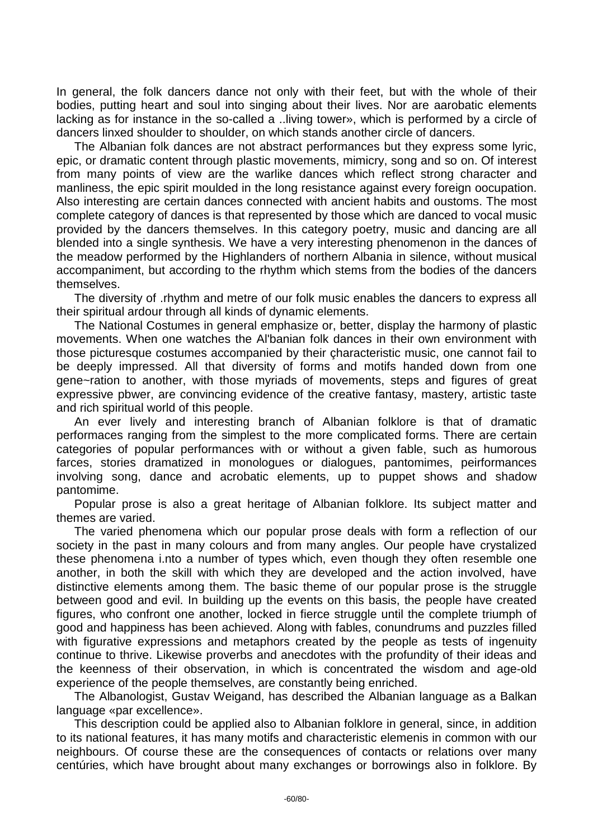In general, the folk dancers dance not only with their feet, but with the whole of their bodies, putting heart and soul into singing about their lives. Nor are aarobatic elements lacking as for instance in the so-called a ..living tower», which is performed by a circle of dancers linxed shoulder to shoulder, on which stands another circle of dancers.

The Albanian folk dances are not abstract performances but they express some lyric, epic, or dramatic content through plastic movements, mimicry, song and so on. Of interest from many points of view are the warlike dances which reflect strong character and manliness, the epic spirit moulded in the long resistance against every foreign oocupation. Also interesting are certain dances connected with ancient habits and oustoms. The most complete category of dances is that represented by those which are danced to vocal music provided by the dancers themselves. In this category poetry, music and dancing are all blended into a single synthesis. We have a very interesting phenomenon in the dances of the meadow performed by the Highlanders of northern Albania in silence, without musical accompaniment, but according to the rhythm which stems from the bodies of the dancers themselves.

The diversity of .rhythm and metre of our folk music enables the dancers to express all their spiritual ardour through all kinds of dynamic elements.

The National Costumes in general emphasize or, better, display the harmony of plastic movements. When one watches the Al'banian folk dances in their own environment with those picturesque costumes accompanied by their çharacteristic music, one cannot fail to be deeply impressed. All that diversity of forms and motifs handed down from one gene~ration to another, with those myriads of movements, steps and figures of great expressive pbwer, are convincing evidence of the creative fantasy, mastery, artistic taste and rich spiritual world of this people.

An ever lively and interesting branch of Albanian folklore is that of dramatic performaces ranging from the simplest to the more complicated forms. There are certain categories of popular performances with or without a given fable, such as humorous farces, stories dramatized in monologues or dialogues, pantomimes, peirformances involving song, dance and acrobatic elements, up to puppet shows and shadow pantomime.

Popular prose is also a great heritage of Albanian folklore. Its subject matter and themes are varied.

The varied phenomena which our popular prose deals with form a reflection of our society in the past in many colours and from many angles. Our people have crystalized these phenomena i.nto a number of types which, even though they often resemble one another, in both the skill with which they are developed and the action involved, have distinctive elements among them. The basic theme of our popular prose is the struggle between good and evil. In building up the events on this basis, the people have created figures, who confront one another, locked in fierce struggle until the complete triumph of good and happiness has been achieved. Along with fables, conundrums and puzzles filled with figurative expressions and metaphors created by the people as tests of ingenuity continue to thrive. Likewise proverbs and anecdotes with the profundity of their ideas and the keenness of their observation, in which is concentrated the wisdom and age-old experience of the people themselves, are constantly being enriched.

The Albanologist, Gustav Weigand, has described the Albanian language as a Balkan language «par excellence».

This description could be applied also to Albanian folklore in general, since, in addition to its national features, it has many motifs and characteristic elemenis in common with our neighbours. Of course these are the consequences of contacts or relations over many centúries, which have brought about many exchanges or borrowings also in folklore. By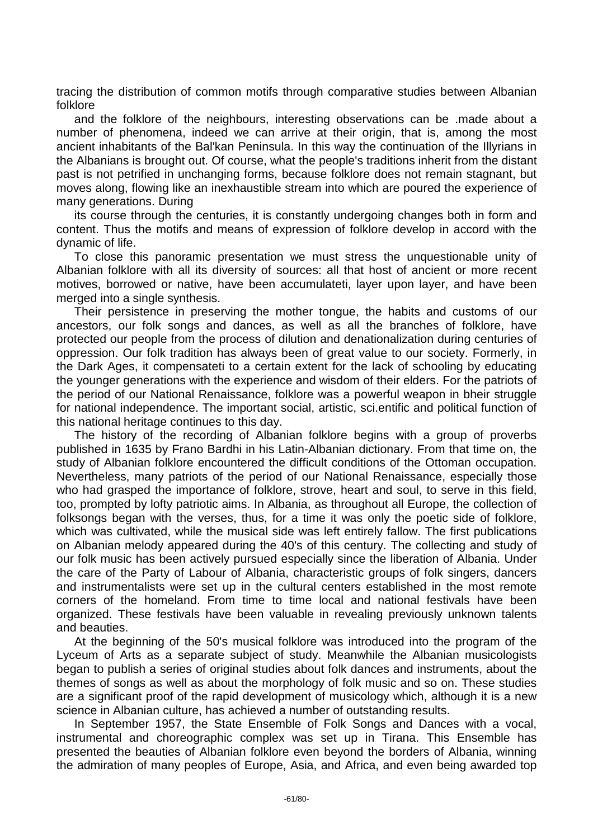tracing the distribution of common motifs through comparative studies between Albanian folklore

and the folklore of the neighbours, interesting observations can be .made about a number of phenomena, indeed we can arrive at their origin, that is, among the most ancient inhabitants of the Bal'kan Peninsula. In this way the continuation of the Illyrians in the Albanians is brought out. Of course, what the people's traditions inherit from the distant past is not petrified in unchanging forms, because folklore does not remain stagnant, but moves along, flowing like an inexhaustible stream into which are poured the experience of many generations. During

its course through the centuries, it is constantly undergoing changes both in form and content. Thus the motifs and means of expression of folklore develop in accord with the dynamic of life.

To close this panoramic presentation we must stress the unquestionable unity of Albanian folklore with all its diversity of sources: all that host of ancient or more recent motives, borrowed or native, have been accumulateti, layer upon layer, and have been merged into a single synthesis.

Their persistence in preserving the mother tongue, the habits and customs of our ancestors, our folk songs and dances, as well as all the branches of folklore, have protected our people from the process of dilution and denationalization during centuries of oppression. Our folk tradition has always been of great value to our society. Formerly, in the Dark Ages, it compensateti to a certain extent for the lack of schooling by educating the younger generations with the experience and wisdom of their elders. For the patriots of the period of our National Renaissance, folklore was a powerful weapon in bheir struggle for national independence. The important social, artistic, sci.entific and political function of this national heritage continues to this day.

The history of the recording of Albanian folklore begins with a group of proverbs published in 1635 by Frano Bardhi in his Latin-Albanian dictionary. From that time on, the study of Albanian folklore encountered the difficult conditions of the Ottoman occupation. Nevertheless, many patriots of the period of our National Renaissance, especially those who had grasped the importance of folklore, strove, heart and soul, to serve in this field, too, prompted by lofty patriotic aims. In Albania, as throughout all Europe, the collection of folksongs began with the verses, thus, for a time it was only the poetic side of folklore, which was cultivated, while the musical side was left entirely fallow. The first publications on Albanian melody appeared during the 40's of this century. The collecting and study of our folk music has been actively pursued especially since the liberation of Albania. Under the care of the Party of Labour of Albania, characteristic groups of folk singers, dancers and instrumentalists were set up in the cultural centers established in the most remote corners of the homeland. From time to time local and national festivals have been organized. These festivals have been valuable in revealing previously unknown talents and beauties.

At the beginning of the 50's musical folklore was introduced into the program of the Lyceum of Arts as a separate subject of study. Meanwhile the Albanian musicologists began to publish a series of original studies about folk dances and instruments, about the themes of songs as well as about the morphology of folk music and so on. These studies are a significant proof of the rapid development of musicology which, although it is a new science in Albanian culture, has achieved a number of outstanding results.

In September 1957, the State Ensemble of Folk Songs and Dances with a vocal, instrumental and choreographic complex was set up in Tirana. This Ensemble has presented the beauties of Albanian folklore even beyond the borders of Albania, winning the admiration of many peoples of Europe, Asia, and Africa, and even being awarded top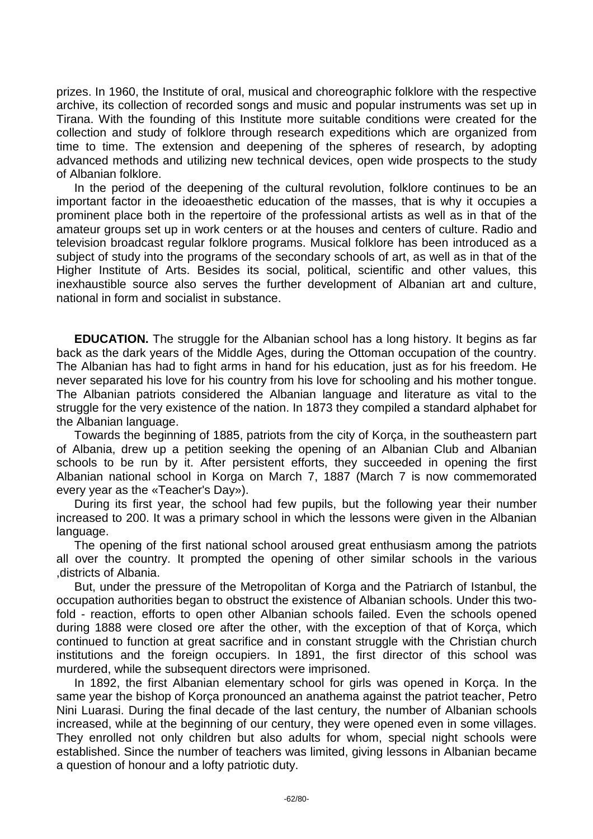prizes. In 1960, the Institute of oral, musical and choreographic folklore with the respective archive, its collection of recorded songs and music and popular instruments was set up in Tirana. With the founding of this Institute more suitable conditions were created for the collection and study of folklore through research expeditions which are organized from time to time. The extension and deepening of the spheres of research, by adopting advanced methods and utilizing new technical devices, open wide prospects to the study of Albanian folklore.

In the period of the deepening of the cultural revolution, folklore continues to be an important factor in the ideoaesthetic education of the masses, that is why it occupies a prominent place both in the repertoire of the professional artists as well as in that of the amateur groups set up in work centers or at the houses and centers of culture. Radio and television broadcast regular folklore programs. Musical folklore has been introduced as a subject of study into the programs of the secondary schools of art, as well as in that of the Higher Institute of Arts. Besides its social, political, scientific and other values, this inexhaustible source also serves the further development of Albanian art and culture, national in form and socialist in substance.

**EDUCATION.** The struggle for the Albanian school has a long history. It begins as far back as the dark years of the Middle Ages, during the Ottoman occupation of the country. The Albanian has had to fight arms in hand for his education, just as for his freedom. He never separated his love for his country from his love for schooling and his mother tongue. The Albanian patriots considered the Albanian language and literature as vital to the struggle for the very existence of the nation. In 1873 they compiled a standard alphabet for the Albanian language.

Towards the beginning of 1885, patriots from the city of Korça, in the southeastern part of Albania, drew up a petition seeking the opening of an Albanian Club and Albanian schools to be run by it. After persistent efforts, they succeeded in opening the first Albanian national school in Korga on March 7, 1887 (March 7 is now commemorated every year as the «Teacher's Day»).

During its first year, the school had few pupils, but the following year their number increased to 200. It was a primary school in which the lessons were given in the Albanian language.

The opening of the first national school aroused great enthusiasm among the patriots all over the country. It prompted the opening of other similar schools in the various ,districts of Albania.

But, under the pressure of the Metropolitan of Korga and the Patriarch of Istanbul, the occupation authorities began to obstruct the existence of Albanian schools. Under this twofold - reaction, efforts to open other Albanian schools failed. Even the schools opened during 1888 were closed ore after the other, with the exception of that of Korça, which continued to function at great sacrifice and in constant struggle with the Christian church institutions and the foreign occupiers. In 1891, the first director of this school was murdered, while the subsequent directors were imprisoned.

In 1892, the first Albanian elementary school for girls was opened in Korça. In the same year the bishop of Korça pronounced an anathema against the patriot teacher, Petro Nini Luarasi. During the final decade of the last century, the number of Albanian schools increased, while at the beginning of our century, they were opened even in some villages. They enrolled not only children but also adults for whom, special night schools were established. Since the number of teachers was limited, giving lessons in Albanian became a question of honour and a lofty patriotic duty.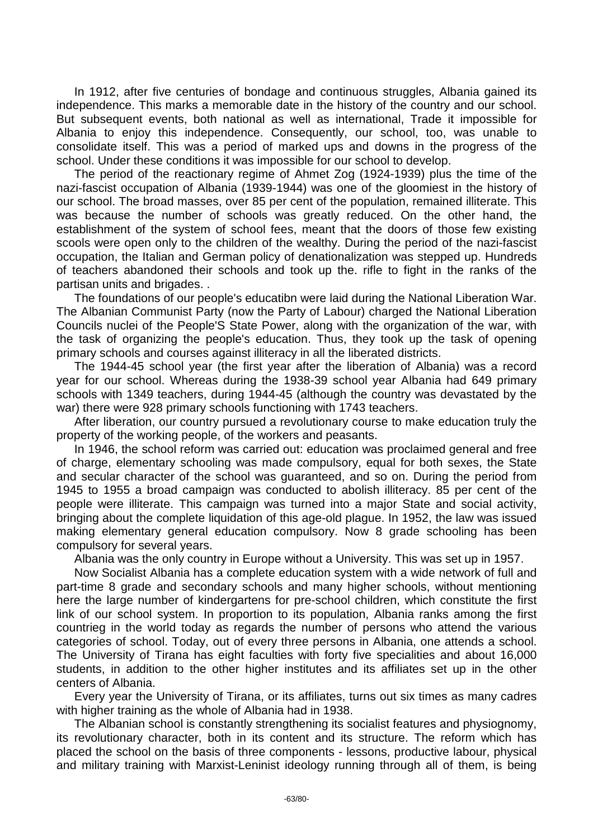In 1912, after five centuries of bondage and continuous struggles, Albania gained its independence. This marks a memorable date in the history of the country and our school. But subsequent events, both national as well as international, Trade it impossible for Albania to enjoy this independence. Consequently, our school, too, was unable to consolidate itself. This was a period of marked ups and downs in the progress of the school. Under these conditions it was impossible for our school to develop.

The period of the reactionary regime of Ahmet Zog (1924-1939) plus the time of the nazi-fascist occupation of Albania (1939-1944) was one of the gloomiest in the history of our school. The broad masses, over 85 per cent of the population, remained illiterate. This was because the number of schools was greatly reduced. On the other hand, the establishment of the system of school fees, meant that the doors of those few existing scools were open only to the children of the wealthy. During the period of the nazi-fascist occupation, the Italian and German policy of denationalization was stepped up. Hundreds of teachers abandoned their schools and took up the. rifle to fight in the ranks of the partisan units and brigades. .

The foundations of our people's educatibn were laid during the National Liberation War. The Albanian Communist Party (now the Party of Labour) charged the National Liberation Councils nuclei of the People'S State Power, along with the organization of the war, with the task of organizing the people's education. Thus, they took up the task of opening primary schools and courses against illiteracy in all the liberated districts.

The 1944-45 school year (the first year after the liberation of Albania) was a record year for our school. Whereas during the 1938-39 school year Albania had 649 primary schools with 1349 teachers, during 1944-45 (although the country was devastated by the war) there were 928 primary schools functioning with 1743 teachers.

After liberation, our country pursued a revolutionary course to make education truly the property of the working people, of the workers and peasants.

In 1946, the school reform was carried out: education was proclaimed general and free of charge, elementary schooling was made compulsory, equal for both sexes, the State and secular character of the school was guaranteed, and so on. During the period from 1945 to 1955 a broad campaign was conducted to abolish illiteracy. 85 per cent of the people were illiterate. This campaign was turned into a major State and social activity, bringing about the complete liquidation of this age-old plague. In 1952, the law was issued making elementary general education compulsory. Now 8 grade schooling has been compulsory for several years.

Albania was the only country in Europe without a University. This was set up in 1957.

Now Socialist Albania has a complete education system with a wide network of full and part-time 8 grade and secondary schools and many higher schools, without mentioning here the large number of kindergartens for pre-school children, which constitute the first link of our school system. In proportion to its population, Albania ranks among the first countrieg in the world today as regards the number of persons who attend the various categories of school. Today, out of every three persons in Albania, one attends a school. The University of Tirana has eight faculties with forty five specialities and about 16,000 students, in addition to the other higher institutes and its affiliates set up in the other centers of Albania.

Every year the University of Tirana, or its affiliates, turns out six times as many cadres with higher training as the whole of Albania had in 1938.

The Albanian school is constantly strengthening its socialist features and physiognomy, its revolutionary character, both in its content and its structure. The reform which has placed the school on the basis of three components - lessons, productive labour, physical and military training with Marxist-Leninist ideology running through all of them, is being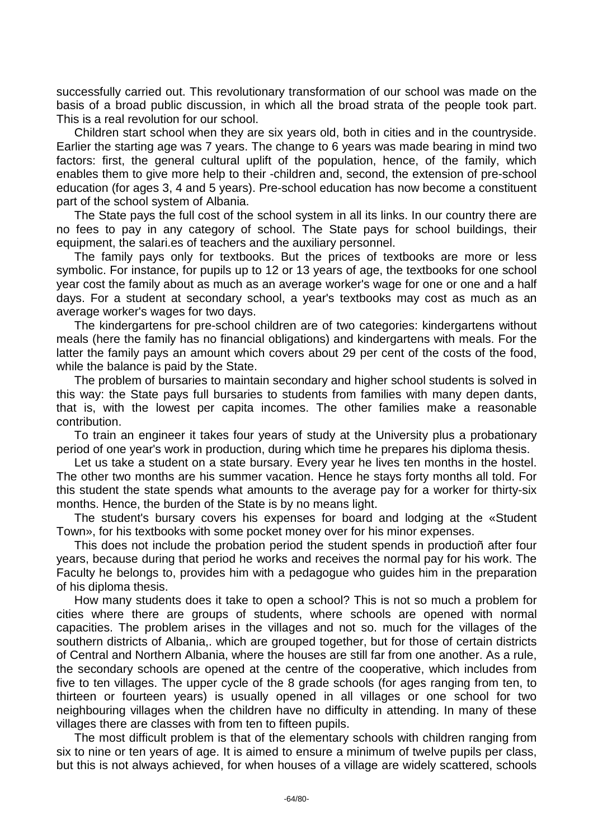successfully carried out. This revolutionary transformation of our school was made on the basis of a broad public discussion, in which all the broad strata of the people took part. This is a real revolution for our school.

Children start school when they are six years old, both in cities and in the countryside. Earlier the starting age was 7 years. The change to 6 years was made bearing in mind two factors: first, the general cultural uplift of the population, hence, of the family, which enables them to give more help to their -children and, second, the extension of pre-school education (for ages 3, 4 and 5 years). Pre-school education has now become a constituent part of the school system of Albania.

The State pays the full cost of the school system in all its links. In our country there are no fees to pay in any category of school. The State pays for school buildings, their equipment, the salari.es of teachers and the auxiliary personnel.

The family pays only for textbooks. But the prices of textbooks are more or less symbolic. For instance, for pupils up to 12 or 13 years of age, the textbooks for one school year cost the family about as much as an average worker's wage for one or one and a half days. For a student at secondary school, a year's textbooks may cost as much as an average worker's wages for two days.

The kindergartens for pre-school children are of two categories: kindergartens without meals (here the family has no financial obligations) and kindergartens with meals. For the latter the family pays an amount which covers about 29 per cent of the costs of the food, while the balance is paid by the State.

The problem of bursaries to maintain secondary and higher school students is solved in this way: the State pays full bursaries to students from families with many depen dants, that is, with the lowest per capita incomes. The other families make a reasonable contribution.

To train an engineer it takes four years of study at the University plus a probationary period of one year's work in production, during which time he prepares his diploma thesis.

Let us take a student on a state bursary. Every year he lives ten months in the hostel. The other two months are his summer vacation. Hence he stays forty months all told. For this student the state spends what amounts to the average pay for a worker for thirty-six months. Hence, the burden of the State is by no means light.

The student's bursary covers his expenses for board and lodging at the «Student Town», for his textbooks with some pocket money over for his minor expenses.

This does not include the probation period the student spends in productioñ after four years, because during that period he works and receives the normal pay for his work. The Faculty he belongs to, provides him with a pedagogue who guides him in the preparation of his diploma thesis.

How many students does it take to open a school? This is not so much a problem for cities where there are groups of students, where schools are opened with normal capacities. The problem arises in the villages and not so. much for the villages of the southern districts of Albania,. which are grouped together, but for those of certain districts of Central and Northern Albania, where the houses are still far from one another. As a rule, the secondary schools are opened at the centre of the cooperative, which includes from five to ten villages. The upper cycle of the 8 grade schools (for ages ranging from ten, to thirteen or fourteen years) is usually opened in all villages or one school for two neighbouring villages when the children have no difficulty in attending. In many of these villages there are classes with from ten to fifteen pupils.

The most difficult problem is that of the elementary schools with children ranging from six to nine or ten years of age. It is aimed to ensure a minimum of twelve pupils per class, but this is not always achieved, for when houses of a village are widely scattered, schools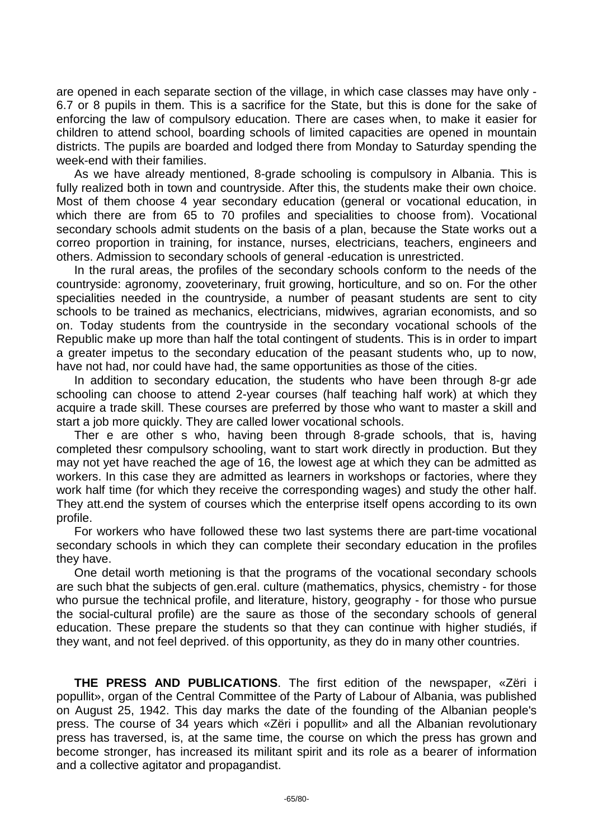are opened in each separate section of the village, in which case classes may have only - 6.7 or 8 pupils in them. This is a sacrifice for the State, but this is done for the sake of enforcing the law of compulsory education. There are cases when, to make it easier for children to attend school, boarding schools of limited capacities are opened in mountain districts. The pupils are boarded and lodged there from Monday to Saturday spending the week-end with their families.

As we have already mentioned, 8-grade schooling is compulsory in Albania. This is fully realized both in town and countryside. After this, the students make their own choice. Most of them choose 4 year secondary education (general or vocational education, in which there are from 65 to 70 profiles and specialities to choose from). Vocational secondary schools admit students on the basis of a plan, because the State works out a correo proportion in training, for instance, nurses, electricians, teachers, engineers and others. Admission to secondary schools of general -education is unrestricted.

In the rural areas, the profiles of the secondary schools conform to the needs of the countryside: agronomy, zooveterinary, fruit growing, horticulture, and so on. For the other specialities needed in the countryside, a number of peasant students are sent to city schools to be trained as mechanics, electricians, midwives, agrarian economists, and so on. Today students from the countryside in the secondary vocational schools of the Republic make up more than half the total contingent of students. This is in order to impart a greater impetus to the secondary education of the peasant students who, up to now, have not had, nor could have had, the same opportunities as those of the cities.

In addition to secondary education, the students who have been through 8-gr ade schooling can choose to attend 2-year courses (half teaching half work) at which they acquire a trade skill. These courses are preferred by those who want to master a skill and start a job more quickly. They are called lower vocational schools.

Ther e are other s who, having been through 8-grade schools, that is, having completed thesr compulsory schooling, want to start work directly in production. But they may not yet have reached the age of 16, the lowest age at which they can be admitted as workers. In this case they are admitted as learners in workshops or factories, where they work half time (for which they receive the corresponding wages) and study the other half. They att.end the system of courses which the enterprise itself opens according to its own profile.

For workers who have followed these two last systems there are part-time vocational secondary schools in which they can complete their secondary education in the profiles they have.

One detail worth metioning is that the programs of the vocational secondary schools are such bhat the subjects of gen.eral. culture (mathematics, physics, chemistry - for those who pursue the technical profile, and literature, history, geography - for those who pursue the social-cultural profile) are the saure as those of the secondary schools of general education. These prepare the students so that they can continue with higher studiés, if they want, and not feel deprived. of this opportunity, as they do in many other countries.

**THE PRESS AND PUBLICATIONS**. The first edition of the newspaper, «Zëri i popullit», organ of the Central Committee of the Party of Labour of Albania, was published on August 25, 1942. This day marks the date of the founding of the Albanian people's press. The course of 34 years which «Zëri i popullit» and all the Albanian revolutionary press has traversed, is, at the same time, the course on which the press has grown and become stronger, has increased its militant spirit and its role as a bearer of information and a collective agitator and propagandist.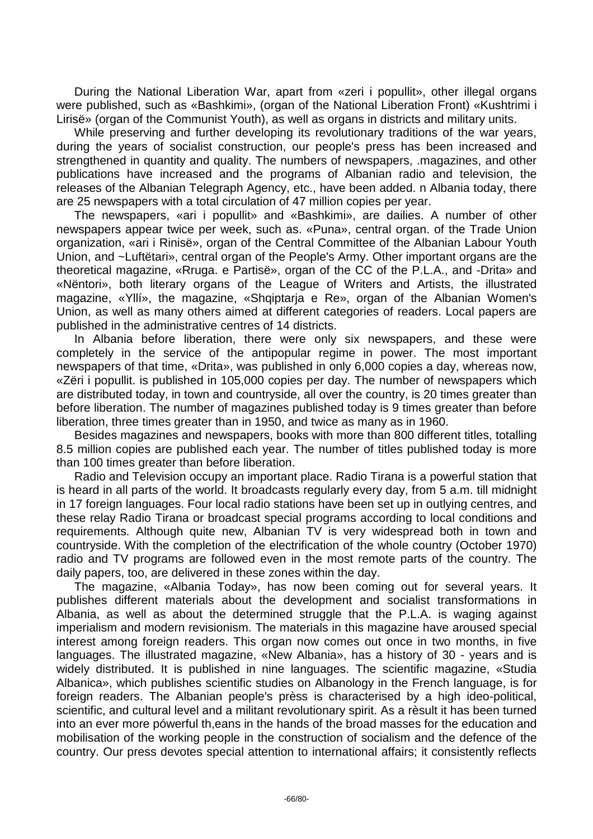During the National Liberation War, apart from «zeri i popullit», other illegal organs were published, such as «Bashkimi», (organ of the National Liberation Front) «Kushtrimi i Lirisë» (organ of the Communist Youth), as well as organs in districts and military units.

While preserving and further developing its revolutionary traditions of the war years, during the years of socialist construction, our people's press has been increased and strengthened in quantity and quality. The numbers of newspapers, .magazines, and other publications have increased and the programs of Albanian radio and television, the releases of the Albanian Telegraph Agency, etc., have been added. n Albania today, there are 25 newspapers with a total circulation of 47 million copies per year.

The newspapers, «ari i popullit» and «Bashkimi», are dailies. A number of other newspapers appear twice per week, such as. «Puna», central organ. of the Trade Union organization, «ari i Rinisë», organ of the Central Committee of the Albanian Labour Youth Union, and ~Luftëtari», central organ of the People's Army. Other important organs are the theoretical magazine, «Rruga. e Partisë», organ of the CC of the P.L.A., and -Drita» and «Nëntori», both literary organs of the League of Writers and Artists, the illustrated magazine, «Yllí», the magazine, «Shqiptarja e Re», organ of the Albanian Women's Union, as well as many others aimed at different categories of readers. Local papers are published in the administrative centres of 14 districts.

In Albania before liberation, there were only six newspapers, and these were completely in the service of the antipopular regime in power. The most important newspapers of that time, «Drita», was published in only 6,000 copies a day, whereas now, «Zëri i popullit. is published in 105,000 copies per day. The number of newspapers which are distributed today, in town and countryside, all over the country, is 20 times greater than before liberation. The number of magazines published today is 9 times greater than before liberation, three times greater than in 1950, and twice as many as in 1960.

Besides magazines and newspapers, books with more than 800 different titles, totalling 8.5 million copies are published each year. The number of titles published today is more than 100 times greater than before liberation.

Radio and Television occupy an important place. Radio Tirana is a powerful station that is heard in all parts of the world. It broadcasts regularly every day, from 5 a.m. till midnight in 17 foreign languages. Four local radio stations have been set up in outlying centres, and these relay Radio Tirana or broadcast special programs according to local conditions and requirements. Although quite new, Albanian TV is very widespread both in town and countryside. With the completion of the electrification of the whole country (October 1970) radio and TV programs are followed even in the most remote parts of the country. The daily papers, too, are delivered in these zones within the day.

The magazine, «Albania Today», has now been coming out for several years. It publishes different materials about the development and socialist transformations in Albania, as well as about the determined struggle that the P.L.A. is waging against imperialism and modern revisionism. The materials in this magazine have aroused special interest among foreign readers. This organ now comes out once in two months, in five languages. The illustrated magazine, «New Albania», has a history of 30 - years and is widely distributed. It is published in nine languages. The scientific magazine, «Studia Albanica», which publishes scientific studies on Albanology in the French language, is for foreign readers. The Albanian people's prèss is characterised by a high ideo-political, scientific, and cultural level and a militant revolutionary spirit. As a rèsult it has been turned into an ever more pówerful th,eans in the hands of the broad masses for the education and mobilisation of the working people in the construction of socialism and the defence of the country. Our press devotes special attention to international affairs; it consistently reflects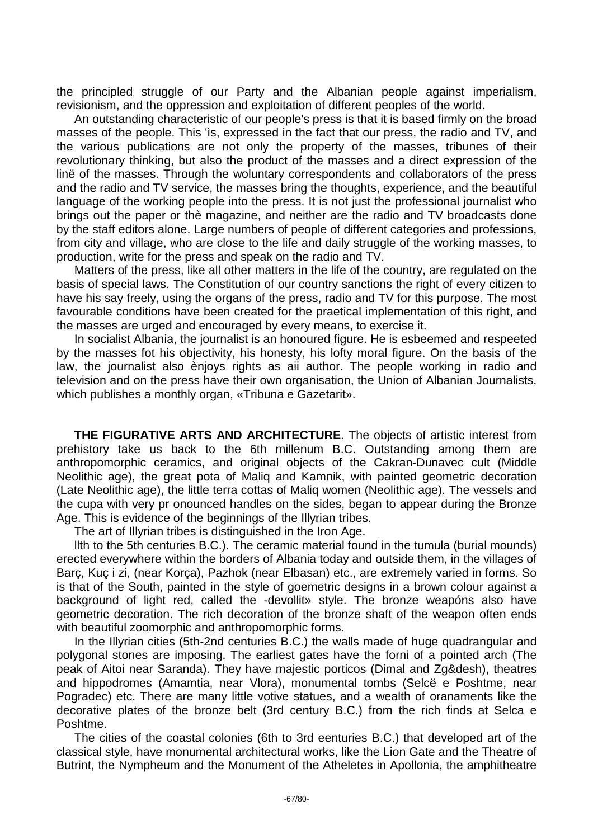the principled struggle of our Party and the Albanian people against imperialism, revisionism, and the oppression and exploitation of different peoples of the world.

An outstanding characteristic of our people's press is that it is based firmly on the broad masses of the people. This 'ìs, expressed in the fact that our press, the radio and TV, and the various publications are not only the property of the masses, tribunes of their revolutionary thinking, but also the product of the masses and a direct expression of the linë of the masses. Through the woluntary correspondents and collaborators of the press and the radio and TV service, the masses bring the thoughts, experience, and the beautiful language of the working people into the press. It is not just the professional journalist who brings out the paper or thè magazine, and neither are the radio and TV broadcasts done by the staff editors alone. Large numbers of people of different categories and professions, from city and village, who are close to the life and daily struggle of the working masses, to production, write for the press and speak on the radio and TV.

Matters of the press, like all other matters in the life of the country, are regulated on the basis of special laws. The Constitution of our country sanctions the right of every citizen to have his say freely, using the organs of the press, radio and TV for this purpose. The most favourable conditions have been created for the praetical implementation of this right, and the masses are urged and encouraged by every means, to exercise it.

In socialist Albania, the journalist is an honoured figure. He is esbeemed and respeeted by the masses fot his objectivity, his honesty, his lofty moral figure. On the basis of the law, the journalist also ènjoys rights as aii author. The people working in radio and television and on the press have their own organisation, the Union of Albanian Journalists, which publishes a monthly organ, «Tribuna e Gazetarit».

**THE FIGURATIVE ARTS AND ARCHITECTURE**. The objects of artistic interest from prehistory take us back to the 6th millenum B.C. Outstanding among them are anthropomorphic ceramics, and original objects of the Cakran-Dunavec cult (Middle Neolithic age), the great pota of Maliq and Kamnik, with painted geometric decoration (Late Neolithic age), the little terra cottas of Maliq women (Neolithic age). The vessels and the cupa with very pr onounced handles on the sides, began to appear during the Bronze Age. This is evidence of the beginnings of the Illyrian tribes.

The art of Illyrian tribes is distinguished in the Iron Age.

llth to the 5th centuries B.C.). The ceramic material found in the tumula (burial mounds) erected everywhere within the borders of Albania today and outside them, in the villages of Barç, Kuç i zi, (near Korça), Pazhok (near Elbasan) etc., are extremely varied in forms. So is that of the South, painted in the style of goemetric designs in a brown colour against a background of light red, called the -devollit» style. The bronze weapóns also have geometric decoration. The rich decoration of the bronze shaft of the weapon often ends with beautiful zoomorphic and anthropomorphic forms.

In the Illyrian cities (5th-2nd centuries B.C.) the walls made of huge quadrangular and polygonal stones are imposing. The earliest gates have the forni of a pointed arch (The peak of Aitoi near Saranda). They have majestic porticos (Dimal and Zg&desh), theatres and hippodromes (Amamtia, near Vlora), monumental tombs (Selcë e Poshtme, near Pogradec) etc. There are many little votive statues, and a wealth of oranaments like the decorative plates of the bronze belt (3rd century B.C.) from the rich finds at Selca e Poshtme.

The cities of the coastal colonies (6th to 3rd eenturies B.C.) that developed art of the classical style, have monumental architectural works, like the Lion Gate and the Theatre of Butrint, the Nympheum and the Monument of the Atheletes in Apollonia, the amphitheatre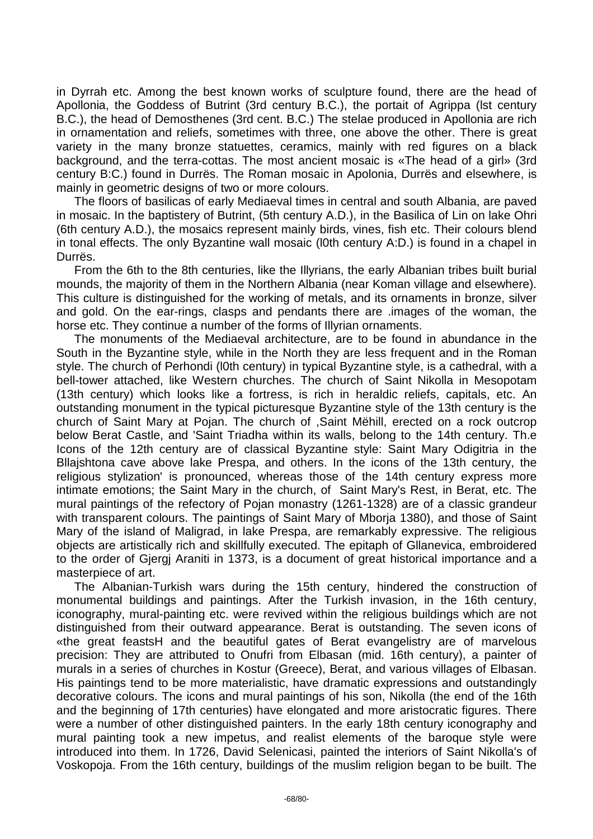in Dyrrah etc. Among the best known works of sculpture found, there are the head of Apollonia, the Goddess of Butrint (3rd century B.C.), the portait of Agrippa (lst century B.C.), the head of Demosthenes (3rd cent. B.C.) The stelae produced in Apollonia are rich in ornamentation and reliefs, sometimes with three, one above the other. There is great variety in the many bronze statuettes, ceramics, mainly with red figures on a black background, and the terra-cottas. The most ancient mosaic is «The head of a girl» (3rd century B:C.) found in Durrës. The Roman mosaic in Apolonia, Durrës and elsewhere, is mainly in geometric designs of two or more colours.

The floors of basilicas of early Mediaeval times in central and south Albania, are paved in mosaic. In the baptistery of Butrint, (5th century A.D.), in the Basilica of Lin on lake Ohri (6th century A.D.), the mosaics represent mainly birds, vines, fish etc. Their colours blend in tonal effects. The only Byzantine wall mosaic (l0th century A:D.) is found in a chapel in Durrës.

From the 6th to the 8th centuries, like the Illyrians, the early Albanian tribes built burial mounds, the majority of them in the Northern Albania (near Koman village and elsewhere). This culture is distinguished for the working of metals, and its ornaments in bronze, silver and gold. On the ear-rings, clasps and pendants there are .images of the woman, the horse etc. They continue a number of the forms of Illyrian ornaments.

The monuments of the Mediaeval architecture, are to be found in abundance in the South in the Byzantine style, while in the North they are less frequent and in the Roman style. The church of Perhondi (l0th century) in typical Byzantine style, is a cathedral, with a bell-tower attached, like Western churches. The church of Saint Nikolla in Mesopotam (13th century) which looks like a fortress, is rich in heraldic reliefs, capitals, etc. An outstanding monument in the typical picturesque Byzantine style of the 13th century is the church of Saint Mary at Pojan. The church of ,Saint Mëhill, erected on a rock outcrop below Berat Castle, and 'Saint Triadha within its walls, belong to the 14th century. Th.e Icons of the 12th century are of classical Byzantine style: Saint Mary Odigitria in the Bllajshtona cave above lake Prespa, and others. In the icons of the 13th century, the religious stylization' is pronounced, whereas those of the 14th century express more intimate emotions; the Saint Mary in the church, of Saint Mary's Rest, in Berat, etc. The mural paintings of the refectory of Pojan monastry (1261-1328) are of a classic grandeur with transparent colours. The paintings of Saint Mary of Mborja 1380), and those of Saint Mary of the island of Maligrad, in lake Prespa, are remarkably expressive. The religious objects are artistically rich and skillfully executed. The epitaph of Gllanevica, embroidered to the order of Gjergj Araniti in 1373, is a document of great historical importance and a masterpiece of art.

The Albanian-Turkish wars during the 15th century, hindered the construction of monumental buildings and paintings. After the Turkish invasion, in the 16th century, iconography, mural-painting etc. were revived within the religious buildings which are not distinguished from their outward appearance. Berat is outstanding. The seven icons of «the great feastsH and the beautiful gates of Berat evangelistry are of marvelous precision: They are attributed to Onufri from Elbasan (mid. 16th century), a painter of murals in a series of churches in Kostur (Greece), Berat, and various villages of Elbasan. His paintings tend to be more materialistic, have dramatic expressions and outstandingly decorative colours. The icons and mural paintings of his son, Nikolla (the end of the 16th and the beginning of 17th centuries) have elongated and more aristocratic figures. There were a number of other distinguished painters. In the early 18th century iconography and mural painting took a new impetus, and realist elements of the baroque style were introduced into them. In 1726, David Selenicasi, painted the interiors of Saint Nikolla's of Voskopoja. From the 16th century, buildings of the muslim religion began to be built. The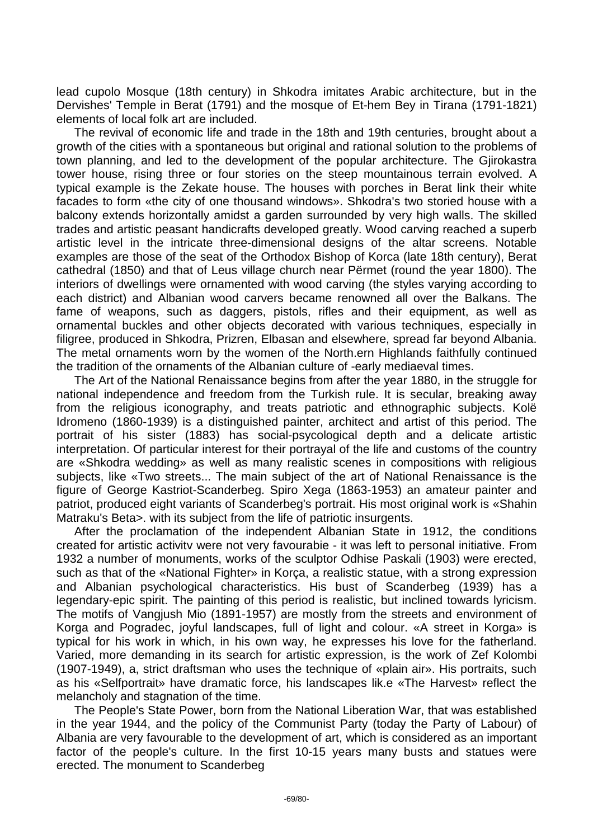lead cupolo Mosque (18th century) in Shkodra imitates Arabic architecture, but in the Dervishes' Temple in Berat (1791) and the mosque of Et-hem Bey in Tirana (1791-1821) elements of local folk art are included.

The revival of economic life and trade in the 18th and 19th centuries, brought about a growth of the cities with a spontaneous but original and rational solution to the problems of town planning, and led to the development of the popular architecture. The Gjirokastra tower house, rising three or four stories on the steep mountainous terrain evolved. A typical example is the Zekate house. The houses with porches in Berat link their white facades to form «the city of one thousand windows». Shkodra's two storied house with a balcony extends horizontally amidst a garden surrounded by very high walls. The skilled trades and artistic peasant handicrafts developed greatly. Wood carving reached a superb artistic level in the intricate three-dimensional designs of the altar screens. Notable examples are those of the seat of the Orthodox Bishop of Korca (late 18th century), Berat cathedral (1850) and that of Leus village church near Përmet (round the year 1800). The interiors of dwellings were ornamented with wood carving (the styles varying according to each district) and Albanian wood carvers became renowned all over the Balkans. The fame of weapons, such as daggers, pistols, rifles and their equipment, as well as ornamental buckles and other objects decorated with various techniques, especially in filigree, produced in Shkodra, Prizren, Elbasan and elsewhere, spread far beyond Albania. The metal ornaments worn by the women of the North.ern Highlands faithfully continued the tradition of the ornaments of the Albanian culture of -early mediaeval times.

The Art of the National Renaissance begins from after the year 1880, in the struggle for national independence and freedom from the Turkish rule. It is secular, breaking away from the religious iconography, and treats patriotic and ethnographic subjects. Kolë Idromeno (1860-1939) is a distinguished painter, architect and artist of this period. The portrait of his sister (1883) has social-psycological depth and a delicate artistic interpretation. Of particular interest for their portrayal of the life and customs of the country are «Shkodra wedding» as well as many realistic scenes in compositions with religious subjects, like «Two streets... The main subject of the art of National Renaissance is the figure of George Kastriot-Scanderbeg. Spiro Xega (1863-1953) an amateur painter and patriot, produced eight variants of Scanderbeg's portrait. His most original work is «Shahin Matraku's Beta>. with its subject from the life of patriotic insurgents.

After the proclamation of the independent Albanian State in 1912, the conditions created for artistic activitv were not very favourabie - it was left to personal initiative. From 1932 a number of monuments, works of the sculptor Odhise Paskali (1903) were erected, such as that of the «National Fighter» in Korca, a realistic statue, with a strong expression and Albanian psychological characteristics. His bust of Scanderbeg (1939) has a legendary-epic spirit. The painting of this period is realistic, but inclined towards lyricism. The motifs of Vangjush Mio (1891-1957) are mostly from the streets and environment of Korga and Pogradec, joyful landscapes, full of light and colour. «A street in Korga» is typical for his work in which, in his own way, he expresses his love for the fatherland. Varied, more demanding in its search for artistic expression, is the work of Zef Kolombi (1907-1949), a, strict draftsman who uses the technique of «plain air». His portraits, such as his «Selfportrait» have dramatic force, his landscapes lik.e «The Harvest» reflect the melancholy and stagnation of the time.

The People's State Power, born from the National Liberation War, that was established in the year 1944, and the policy of the Communist Party (today the Party of Labour) of Albania are very favourable to the development of art, which is considered as an important factor of the people's culture. In the first 10-15 years many busts and statues were erected. The monument to Scanderbeg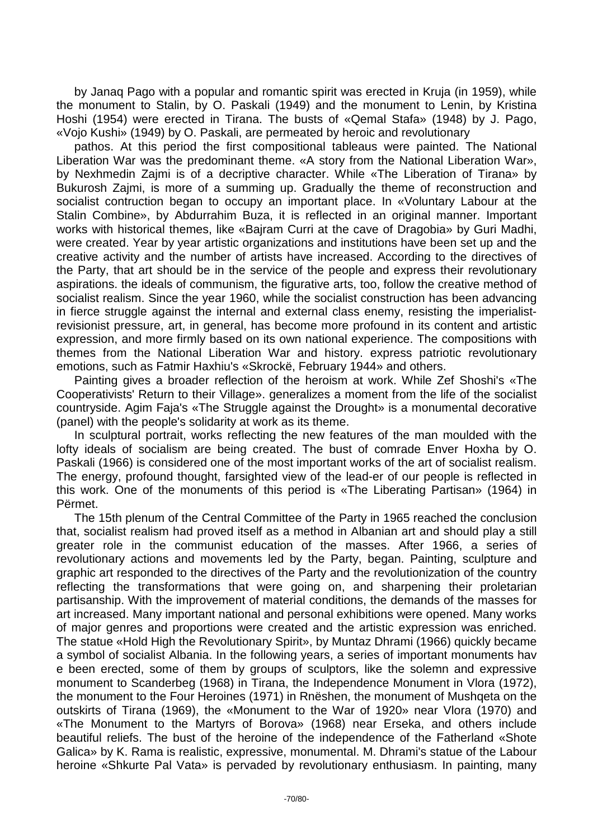by Janaq Pago with a popular and romantic spirit was erected in Kruja (in 1959), while the monument to Stalin, by O. Paskali (1949) and the monument to Lenin, by Kristina Hoshi (1954) were erected in Tirana. The busts of «Qemal Stafa» (1948) by J. Pago, «Vojo Kushi» (1949) by O. Paskali, are permeated by heroic and revolutionary

pathos. At this period the first compositional tableaus were painted. The National Liberation War was the predominant theme. «A story from the National Liberation War», by Nexhmedin Zajmi is of a decriptive character. While «The Liberation of Tirana» by Bukurosh Zajmi, is more of a summing up. Gradually the theme of reconstruction and socialist contruction began to occupy an important place. In «Voluntary Labour at the Stalin Combine», by Abdurrahim Buza, it is reflected in an original manner. Important works with historical themes, like «Bajram Curri at the cave of Dragobia» by Guri Madhi, were created. Year by year artistic organizations and institutions have been set up and the creative activity and the number of artists have increased. According to the directives of the Party, that art should be in the service of the people and express their revolutionary aspirations. the ideals of communism, the figurative arts, too, follow the creative method of socialist realism. Since the year 1960, while the socialist construction has been advancing in fierce struggle against the internal and external class enemy, resisting the imperialistrevisionist pressure, art, in general, has become more profound in its content and artistic expression, and more firmly based on its own national experience. The compositions with themes from the National Liberation War and history. express patriotic revolutionary emotions, such as Fatmir Haxhiu's «Skrockë, February 1944» and others.

Painting gives a broader reflection of the heroism at work. While Zef Shoshi's «The Cooperativists' Return to their Village». generalizes a moment from the life of the socialist countryside. Agim Faja's «The Struggle against the Drought» is a monumental decorative (panel) with the people's solidarity at work as its theme.

In sculptural portrait, works reflecting the new features of the man moulded with the lofty ideals of socialism are being created. The bust of comrade Enver Hoxha by O. Paskali (1966) is considered one of the most important works of the art of socialist realism. The energy, profound thought, farsighted view of the lead-er of our people is reflected in this work. One of the monuments of this period is «The Liberating Partisan» (1964) in Përmet.

The 15th plenum of the Central Committee of the Party in 1965 reached the conclusion that, socialist realism had proved itself as a method in Albanian art and should play a still greater role in the communist education of the masses. After 1966, a series of revolutionary actions and movements led by the Party, began. Painting, sculpture and graphic art responded to the directives of the Party and the revolutionization of the country reflecting the transformations that were going on, and sharpening their proletarian partisanship. With the improvement of material conditions, the demands of the masses for art increased. Many important national and personal exhibitions were opened. Many works of major genres and proportions were created and the artistic expression was enriched. The statue «Hold High the Revolutionary Spirit», by Muntaz Dhrami (1966) quickly became a symbol of socialist Albania. In the following years, a series of important monuments hav e been erected, some of them by groups of sculptors, like the solemn and expressive monument to Scanderbeg (1968) in Tirana, the Independence Monument in Vlora (1972), the monument to the Four Heroines (1971) in Rnëshen, the monument of Mushqeta on the outskirts of Tirana (1969), the «Monument to the War of 1920» near Vlora (1970) and «The Monument to the Martyrs of Borova» (1968) near Erseka, and others include beautiful reliefs. The bust of the heroine of the independence of the Fatherland «Shote Galica» by K. Rama is realistic, expressive, monumental. M. Dhrami's statue of the Labour heroine «Shkurte Pal Vata» is pervaded by revolutionary enthusiasm. In painting, many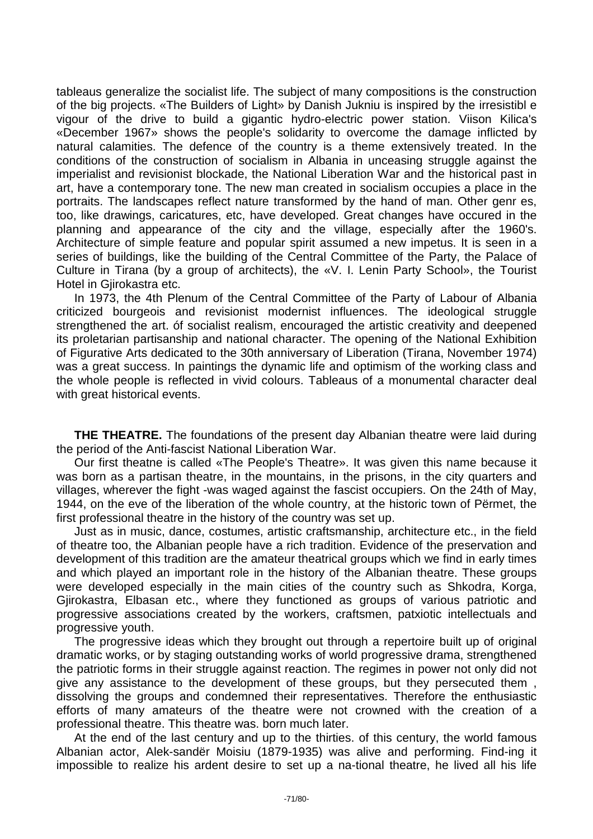tableaus generalize the socialist life. The subject of many compositions is the construction of the big projects. «The Builders of Light» by Danish Jukniu is inspired by the irresistibl e vigour of the drive to build a gigantic hydro-electric power station. Viison Kilica's «December 1967» shows the people's solidarity to overcome the damage inflicted by natural calamities. The defence of the country is a theme extensively treated. In the conditions of the construction of socialism in Albania in unceasing struggle against the imperialist and revisionist blockade, the National Liberation War and the historical past in art, have a contemporary tone. The new man created in socialism occupies a place in the portraits. The landscapes reflect nature transformed by the hand of man. Other genr es, too, like drawings, caricatures, etc, have developed. Great changes have occured in the planning and appearance of the city and the village, especially after the 1960's. Architecture of simple feature and popular spirit assumed a new impetus. It is seen in a series of buildings, like the building of the Central Committee of the Party, the Palace of Culture in Tirana (by a group of architects), the «V. I. Lenin Party School», the Tourist Hotel in Gjirokastra etc.

In 1973, the 4th Plenum of the Central Committee of the Party of Labour of Albania criticized bourgeois and revisionist modernist influences. The ideological struggle strengthened the art. óf socialist realism, encouraged the artistic creativity and deepened its proletarian partisanship and national character. The opening of the National Exhibition of Figurative Arts dedicated to the 30th anniversary of Liberation (Tirana, November 1974) was a great success. In paintings the dynamic life and optimism of the working class and the whole people is reflected in vivid colours. Tableaus of a monumental character deal with great historical events.

**THE THEATRE.** The foundations of the present day Albanian theatre were laid during the period of the Anti-fascist National Liberation War.

Our first theatne is called «The People's Theatre». It was given this name because it was born as a partisan theatre, in the mountains, in the prisons, in the city quarters and villages, wherever the fight -was waged against the fascist occupiers. On the 24th of May, 1944, on the eve of the liberation of the whole country, at the historic town of Përmet, the first professional theatre in the history of the country was set up.

Just as in music, dance, costumes, artistic craftsmanship, architecture etc., in the field of theatre too, the Albanian people have a rich tradition. Evidence of the preservation and development of this tradition are the amateur theatrical groups which we find in early times and which played an important role in the history of the Albanian theatre. These groups were developed especially in the main cities of the country such as Shkodra, Korga, Gjirokastra, Elbasan etc., where they functioned as groups of various patriotic and progressive associations created by the workers, craftsmen, patxiotic intellectuals and progressive youth.

The progressive ideas which they brought out through a repertoire built up of original dramatic works, or by staging outstanding works of world progressive drama, strengthened the patriotic forms in their struggle against reaction. The regimes in power not only did not give any assistance to the development of these groups, but they persecuted them , dissolving the groups and condemned their representatives. Therefore the enthusiastic efforts of many amateurs of the theatre were not crowned with the creation of a professional theatre. This theatre was. born much later.

At the end of the last century and up to the thirties. of this century, the world famous Albanian actor, Alek-sandër Moisiu (1879-1935) was alive and performing. Find-ing it impossible to realize his ardent desire to set up a na-tional theatre, he lived all his life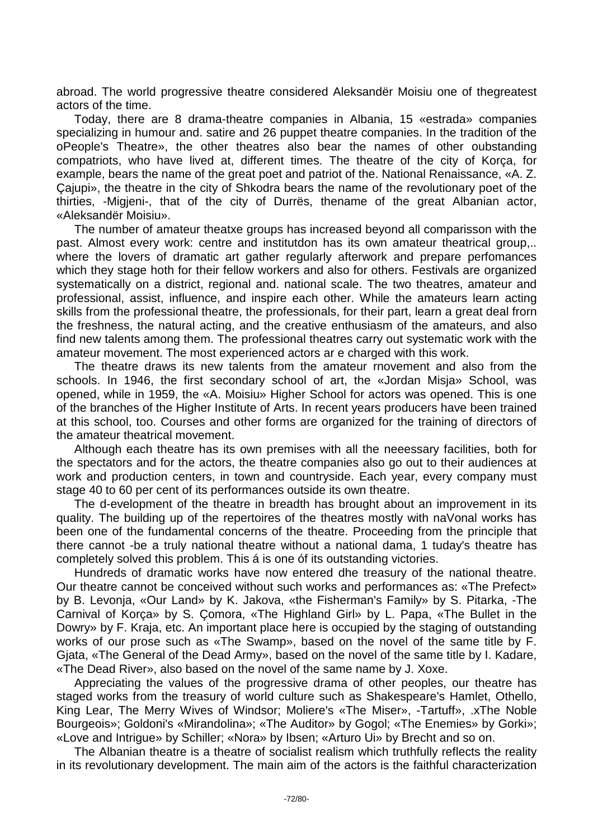abroad. The world progressive theatre considered Aleksandër Moisiu one of thegreatest actors of the time.

Today, there are 8 drama-theatre companies in Albania, 15 «estrada» companies specializing in humour and. satire and 26 puppet theatre companies. In the tradition of the oPeople's Theatre», the other theatres also bear the names of other oubstanding compatriots, who have lived at, different times. The theatre of the city of Korça, for example, bears the name of the great poet and patriot of the. National Renaissance, «A. Z. Çajupi», the theatre in the city of Shkodra bears the name of the revolutionary poet of the thirties, -Migjeni-, that of the city of Durrës, thename of the great Albanian actor, «Aleksandër Moisiu».

The number of amateur theatxe groups has increased beyond all comparisson with the past. Almost every work: centre and institutdon has its own amateur theatrical group,.. where the lovers of dramatic art gather regularly afterwork and prepare perfomances which they stage hoth for their fellow workers and also for others. Festivals are organized systematically on a district, regional and. national scale. The two theatres, amateur and professional, assist, influence, and inspire each other. While the amateurs learn acting skills from the professional theatre, the professionals, for their part, learn a great deal frorn the freshness, the natural acting, and the creative enthusiasm of the amateurs, and also find new talents among them. The professional theatres carry out systematic work with the amateur movement. The most experienced actors ar e charged with this work.

The theatre draws its new talents from the amateur rnovement and also from the schools. In 1946, the first secondary school of art, the «Jordan Misja» School, was opened, while in 1959, the «A. Moisiu» Higher School for actors was opened. This is one of the branches of the Higher Institute of Arts. In recent years producers have been trained at this school, too. Courses and other forms are organized for the training of directors of the amateur theatrical movement.

Although each theatre has its own premises with all the neeessary facilities, both for the spectators and for the actors, the theatre companies also go out to their audiences at work and production centers, in town and countryside. Each year, every company must stage 40 to 60 per cent of its performances outside its own theatre.

The d-evelopment of the theatre in breadth has brought about an improvement in its quality. The building up of the repertoires of the theatres mostly with naVonal works has been one of the fundamental concerns of the theatre. Proceeding from the principle that there cannot -be a truly national theatre without a national dama, 1 tuday's theatre has completely solved this problem. This á is one óf its outstanding victories.

Hundreds of dramatic works have now entered dhe treasury of the national theatre. Our theatre cannot be conceived without such works and performances as: «The Prefect» by B. Levonja, «Our Land» by K. Jakova, «the Fisherman's Family» by S. Pitarka, -The Carnival of Korça» by S. Çomora, «The Highland Girl» by L. Papa, «The Bullet in the Dowry» by F. Kraja, etc. An important place here is occupied by the staging of outstanding works of our prose such as «The Swamp», based on the novel of the same title by F. Gjata, «The General of the Dead Army», based on the novel of the same title by I. Kadare, «The Dead River», also based on the novel of the same name by J. Xoxe.

Appreciating the values of the progressive drama of other peoples, our theatre has staged works from the treasury of world culture such as Shakespeare's Hamlet, Othello, King Lear, The Merry Wives of Windsor; Moliere's «The Miser», -Tartuff», .xThe Noble Bourgeois»; Goldoni's «Mirandolina»; «The Auditor» by Gogol; «The Enemies» by Gorki»; «Love and Intrigue» by Schiller; «Nora» by Ibsen; «Arturo Ui» by Brecht and so on.

The Albanian theatre is a theatre of socialist realism which truthfully reflects the reality in its revolutionary development. The main aim of the actors is the faithful characterization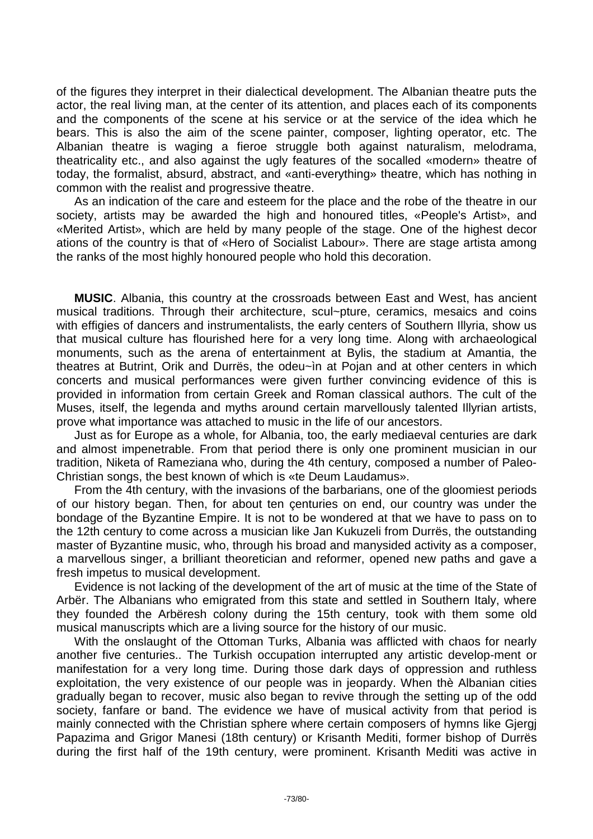of the figures they interpret in their dialectical development. The Albanian theatre puts the actor, the real living man, at the center of its attention, and places each of its components and the components of the scene at his service or at the service of the idea which he bears. This is also the aim of the scene painter, composer, lighting operator, etc. The Albanian theatre is waging a fieroe struggle both against naturalism, melodrama, theatricality etc., and also against the ugly features of the socalled «modern» theatre of today, the formalist, absurd, abstract, and «anti-everything» theatre, which has nothing in common with the realist and progressive theatre.

As an indication of the care and esteem for the place and the robe of the theatre in our society, artists may be awarded the high and honoured titles, «People's Artist», and «Merited Artist», which are held by many people of the stage. One of the highest decor ations of the country is that of «Hero of Socialist Labour». There are stage artista among the ranks of the most highly honoured people who hold this decoration.

**MUSIC**. Albania, this country at the crossroads between East and West, has ancient musical traditions. Through their architecture, scul~pture, ceramics, mesaics and coins with effigies of dancers and instrumentalists, the early centers of Southern Illyria, show us that musical culture has flourished here for a very long time. Along with archaeological monuments, such as the arena of entertainment at Bylis, the stadium at Amantia, the theatres at Butrint, Orik and Durrës, the odeu~ìn at Pojan and at other centers in which concerts and musical performances were given further convincing evidence of this is provided in information from certain Greek and Roman classical authors. The cult of the Muses, itself, the legenda and myths around certain marvellously talented Illyrian artists, prove what importance was attached to music in the life of our ancestors.

Just as for Europe as a whole, for Albania, too, the early mediaeval centuries are dark and almost impenetrable. From that period there is only one prominent musician in our tradition, Niketa of Rameziana who, during the 4th century, composed a number of Paleo-Christian songs, the best known of which is «te Deum Laudamus».

From the 4th century, with the invasions of the barbarians, one of the gloomiest periods of our history began. Then, for about ten çenturies on end, our country was under the bondage of the Byzantine Empire. It is not to be wondered at that we have to pass on to the 12th century to come across a musician like Jan Kukuzeli from Durrës, the outstanding master of Byzantine music, who, through his broad and manysided activity as a composer, a marvellous singer, a brilliant theoretician and reformer, opened new paths and gave a fresh impetus to musical development.

Evidence is not lacking of the development of the art of music at the time of the State of Arbër. The Albanians who emigrated from this state and settled in Southern Italy, where they founded the Arbëresh colony during the 15th century, took with them some old musical manuscripts which are a living source for the history of our music.

With the onslaught of the Ottoman Turks, Albania was afflicted with chaos for nearly another five centuries.. The Turkish occupation interrupted any artistic develop-ment or manifestation for a very long time. During those dark days of oppression and ruthless exploitation, the very existence of our people was in jeopardy. When thè Albanian cities gradually began to recover, music also began to revive through the setting up of the odd society, fanfare or band. The evidence we have of musical activity from that period is mainly connected with the Christian sphere where certain composers of hymns like Gjergj Papazima and Grigor Manesi (18th century) or Krisanth Mediti, former bishop of Durrës during the first half of the 19th century, were prominent. Krisanth Mediti was active in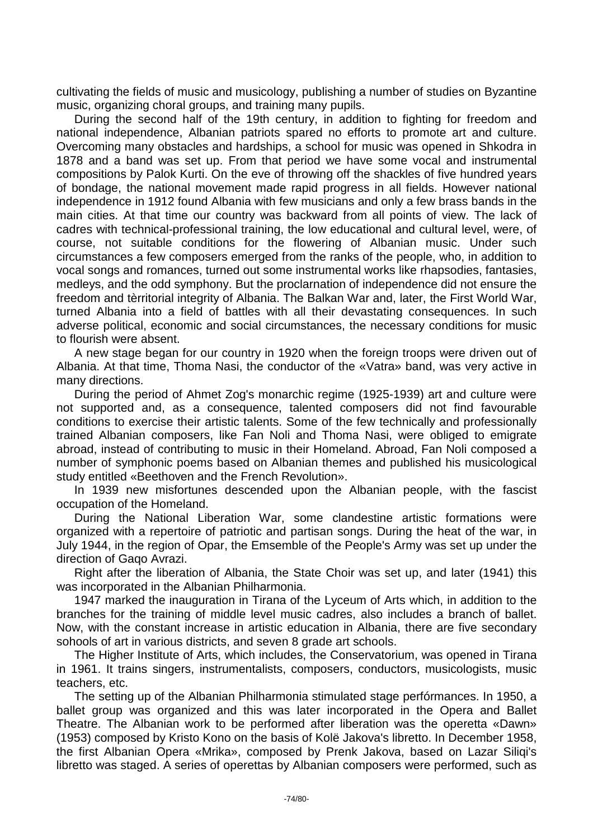cultivating the fields of music and musicology, publishing a number of studies on Byzantine music, organizing choral groups, and training many pupils.

During the second half of the 19th century, in addition to fighting for freedom and national independence, Albanian patriots spared no efforts to promote art and culture. Overcoming many obstacles and hardships, a school for music was opened in Shkodra in 1878 and a band was set up. From that period we have some vocal and instrumental compositions by Palok Kurti. On the eve of throwing off the shackles of five hundred years of bondage, the national movement made rapid progress in all fields. However national independence in 1912 found Albania with few musicians and only a few brass bands in the main cities. At that time our country was backward from all points of view. The lack of cadres with technical-professional training, the low educational and cultural level, were, of course, not suitable conditions for the flowering of Albanian music. Under such circumstances a few composers emerged from the ranks of the people, who, in addition to vocal songs and romances, turned out some instrumental works like rhapsodies, fantasies, medleys, and the odd symphony. But the proclarnation of independence did not ensure the freedom and tèrritorial integrity of Albania. The Balkan War and, later, the First World War, turned Albania into a field of battles with all their devastating consequences. In such adverse political, economic and social circumstances, the necessary conditions for music to flourish were absent.

A new stage began for our country in 1920 when the foreign troops were driven out of Albania. At that time, Thoma Nasi, the conductor of the «Vatra» band, was very active in many directions.

During the period of Ahmet Zog's monarchic regime (1925-1939) art and culture were not supported and, as a consequence, talented composers did not find favourable conditions to exercise their artistic talents. Some of the few technically and professionally trained Albanian composers, like Fan Noli and Thoma Nasi, were obliged to emigrate abroad, instead of contributing to music in their Homeland. Abroad, Fan Noli composed a number of symphonic poems based on Albanian themes and published his musicological study entitled «Beethoven and the French Revolution».

In 1939 new misfortunes descended upon the Albanian people, with the fascist occupation of the Homeland.

During the National Liberation War, some clandestine artistic formations were organized with a repertoire of patriotic and partisan songs. During the heat of the war, in July 1944, in the region of Opar, the Emsemble of the People's Army was set up under the direction of Gaqo Avrazi.

Right after the liberation of Albania, the State Choir was set up, and later (1941) this was incorporated in the Albanian Philharmonia.

1947 marked the inauguration in Tirana of the Lyceum of Arts which, in addition to the branches for the training of middle level music cadres, also includes a branch of ballet. Now, with the constant increase in artistic education in Albania, there are five secondary sohools of art in various districts, and seven 8 grade art schools.

The Higher Institute of Arts, which includes, the Conservatorium, was opened in Tirana in 1961. It trains singers, instrumentalists, composers, conductors, musicologists, music teachers, etc.

The setting up of the Albanian Philharmonia stimulated stage perfórmances. In 1950, a ballet group was organized and this was later incorporated in the Opera and Ballet Theatre. The Albanian work to be performed after liberation was the operetta «Dawn» (1953) composed by Kristo Kono on the basis of Kolë Jakova's libretto. In December 1958, the first Albanian Opera «Mrika», composed by Prenk Jakova, based on Lazar Siliqi's libretto was staged. A series of operettas by Albanian composers were performed, such as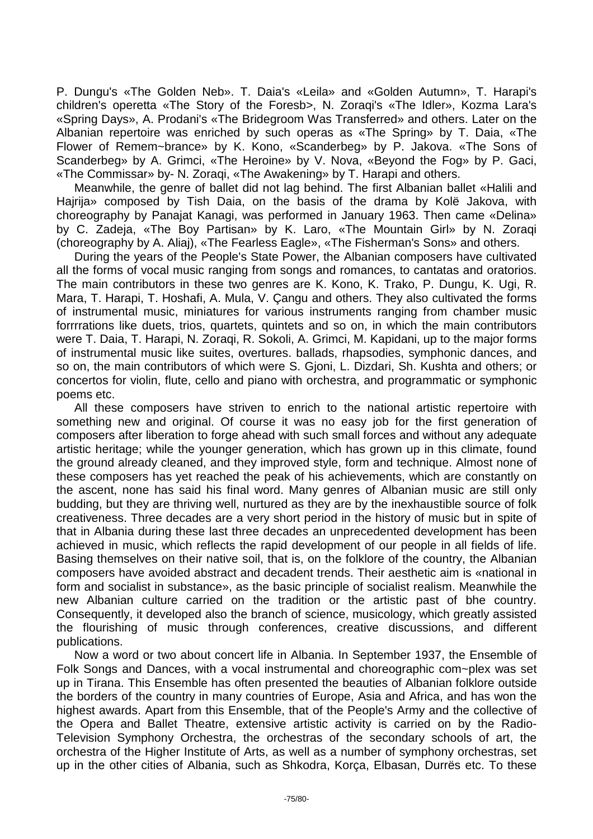P. Dungu's «The Golden Neb». T. Daia's «Leila» and «Golden Autumn», T. Harapi's children's operetta «The Story of the Foresb>, N. Zoraqi's «The Idler», Kozma Lara's «Spring Days», A. Prodani's «The Bridegroom Was Transferred» and others. Later on the Albanian repertoire was enriched by such operas as «The Spring» by T. Daia, «The Flower of Remem~brance» by K. Kono, «Scanderbeg» by P. Jakova. «The Sons of Scanderbeg» by A. Grimci, «The Heroine» by V. Nova, «Beyond the Fog» by P. Gaci, «The Commissar» by- N. Zoraqi, «The Awakening» by T. Harapi and others.

Meanwhile, the genre of ballet did not lag behind. The first Albanian ballet «Halili and Hajrija» composed by Tish Daia, on the basis of the drama by Kolë Jakova, with choreography by Panajat Kanagi, was performed in January 1963. Then came «Delina» by C. Zadeja, «The Boy Partisan» by K. Laro, «The Mountain Girl» by N. Zoraqi (choreography by A. Aliaj), «The Fearless Eagle», «The Fisherman's Sons» and others.

During the years of the People's State Power, the Albanian composers have cultivated all the forms of vocal music ranging from songs and romances, to cantatas and oratorios. The main contributors in these two genres are K. Kono, K. Trako, P. Dungu, K. Ugi, R. Mara, T. Harapi, T. Hoshafi, A. Mula, V. Çangu and others. They also cultivated the forms of instrumental music, miniatures for various instruments ranging from chamber music forrrrations like duets, trios, quartets, quintets and so on, in which the main contributors were T. Daia, T. Harapi, N. Zoraqi, R. Sokoli, A. Grimci, M. Kapidani, up to the major forms of instrumental music like suites, overtures. ballads, rhapsodies, symphonic dances, and so on, the main contributors of which were S. Gjoni, L. Dizdari, Sh. Kushta and others; or concertos for violin, flute, cello and piano with orchestra, and programmatic or symphonic poems etc.

All these composers have striven to enrich to the national artistic repertoire with something new and original. Of course it was no easy job for the first generation of composers after liberation to forge ahead with such small forces and without any adequate artistic heritage; while the younger generation, which has grown up in this climate, found the ground already cleaned, and they improved style, form and technique. Almost none of these composers has yet reached the peak of his achievements, which are constantly on the ascent, none has said his final word. Many genres of Albanian music are still only budding, but they are thriving well, nurtured as they are by the inexhaustible source of folk creativeness. Three decades are a very short period in the history of music but in spite of that in Albania during these last three decades an unprecedented development has been achieved in music, which reflects the rapid development of our people in all fields of life. Basing themselves on their native soil, that is, on the folklore of the country, the Albanian composers have avoided abstract and decadent trends. Their aesthetic aim is «national in form and socialist in substance», as the basic principle of socialist realism. Meanwhile the new Albanian culture carried on the tradition or the artistic past of bhe country. Consequently, it developed also the branch of science, musicology, which greatly assisted the flourishing of music through conferences, creative discussions, and different publications.

Now a word or two about concert life in Albania. In September 1937, the Ensemble of Folk Songs and Dances, with a vocal instrumental and choreographic com~plex was set up in Tirana. This Ensemble has often presented the beauties of Albanian folklore outside the borders of the country in many countries of Europe, Asia and Africa, and has won the highest awards. Apart from this Ensemble, that of the People's Army and the collective of the Opera and Ballet Theatre, extensive artistic activity is carried on by the Radio-Television Symphony Orchestra, the orchestras of the secondary schools of art, the orchestra of the Higher Institute of Arts, as well as a number of symphony orchestras, set up in the other cities of Albania, such as Shkodra, Korça, Elbasan, Durrës etc. To these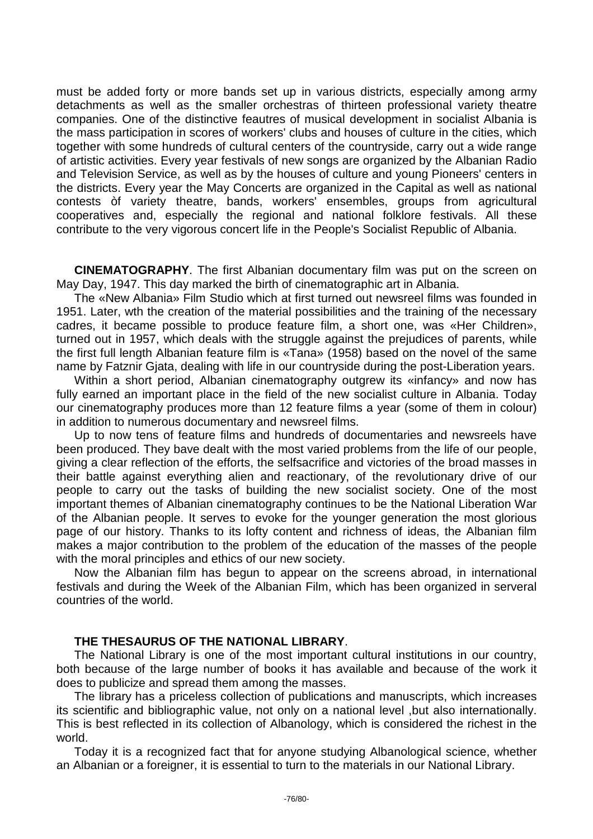must be added forty or more bands set up in various districts, especially among army detachments as well as the smaller orchestras of thirteen professional variety theatre companies. One of the distinctive feautres of musical development in socialist Albania is the mass participation in scores of workers' clubs and houses of culture in the cities, which together with some hundreds of cultural centers of the countryside, carry out a wide range of artistic activities. Every year festivals of new songs are organized by the Albanian Radio and Television Service, as well as by the houses of culture and young Pioneers' centers in the districts. Every year the May Concerts are organized in the Capital as well as national contests òf variety theatre, bands, workers' ensembles, groups from agricultural cooperatives and, especially the regional and national folklore festivals. All these contribute to the very vigorous concert life in the People's Socialist Republic of Albania.

**CINEMATOGRAPHY**. The first Albanian documentary film was put on the screen on May Day, 1947. This day marked the birth of cinematographic art in Albania.

The «New Albania» Film Studio which at first turned out newsreel films was founded in 1951. Later, wth the creation of the material possibilities and the training of the necessary cadres, it became possible to produce feature film, a short one, was «Her Children», turned out in 1957, which deals with the struggle against the prejudices of parents, while the first full length Albanian feature film is «Tana» (1958) based on the novel of the same name by Fatznir Gjata, dealing with life in our countryside during the post-Liberation years.

Within a short period, Albanian cinematography outgrew its «infancy» and now has fully earned an important place in the field of the new socialist culture in Albania. Today our cinematography produces more than 12 feature films a year (some of them in colour) in addition to numerous documentary and newsreel films.

Up to now tens of feature films and hundreds of documentaries and newsreels have been produced. They bave dealt with the most varied problems from the life of our people, giving a clear reflection of the efforts, the selfsacrifice and victories of the broad masses in their battle against everything alien and reactionary, of the revolutionary drive of our people to carry out the tasks of building the new socialist society. One of the most important themes of Albanian cinematography continues to be the National Liberation War of the Albanian people. It serves to evoke for the younger generation the most glorious page of our history. Thanks to its lofty content and richness of ideas, the Albanian film makes a major contribution to the problem of the education of the masses of the people with the moral principles and ethics of our new society.

Now the Albanian film has begun to appear on the screens abroad, in international festivals and during the Week of the Albanian Film, which has been organized in serveral countries of the world.

## **THE THESAURUS OF THE NATIONAL LIBRARY**.

The National Library is one of the most important cultural institutions in our country, both because of the large number of books it has available and because of the work it does to publicize and spread them among the masses.

The library has a priceless collection of publications and manuscripts, which increases its scientific and bibliographic value, not only on a national level ,but also internationally. This is best reflected in its collection of Albanology, which is considered the richest in the world.

Today it is a recognized fact that for anyone studying Albanological science, whether an Albanian or a foreigner, it is essential to turn to the materials in our National Library.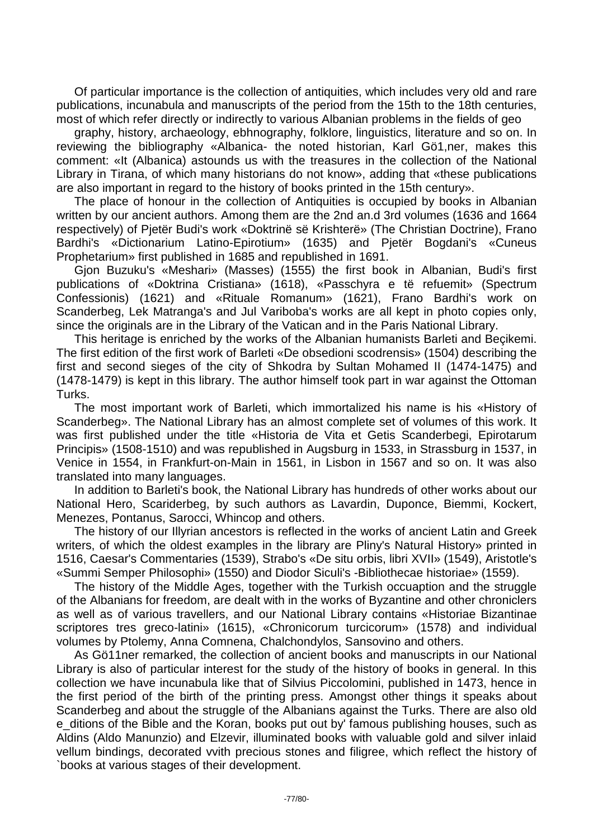Of particular importance is the collection of antiquities, which includes very old and rare publications, incunabula and manuscripts of the period from the 15th to the 18th centuries, most of which refer directly or indirectly to various Albanian problems in the fields of geo

graphy, history, archaeology, ebhnography, folklore, linguistics, literature and so on. In reviewing the bibliography «Albanica- the noted historian, Karl Gö1,ner, makes this comment: «It (Albanica) astounds us with the treasures in the collection of the National Library in Tirana, of which many historians do not know», adding that «these publications are also important in regard to the history of books printed in the 15th century».

The place of honour in the collection of Antiquities is occupied by books in Albanian written by our ancient authors. Among them are the 2nd an.d 3rd volumes (1636 and 1664 respectively) of Pjetër Budi's work «Doktrinë së Krishterë» (The Christian Doctrine), Frano Bardhi's «Dictionarium Latino-Epirotium» (1635) and Pjetër Bogdani's «Cuneus Prophetarium» first published in 1685 and republished in 1691.

Gjon Buzuku's «Meshari» (Masses) (1555) the first book in Albanian, Budi's first publications of «Doktrina Cristiana» (1618), «Passchyra e të refuemit» (Spectrum Confessionis) (1621) and «Rituale Romanum» (1621), Frano Bardhi's work on Scanderbeg, Lek Matranga's and Jul Variboba's works are all kept in photo copies only, since the originals are in the Library of the Vatican and in the Paris National Library.

This heritage is enriched by the works of the Albanian humanists Barleti and Beçikemi. The first edition of the first work of Barleti «De obsedioni scodrensis» (1504) describing the first and second sieges of the city of Shkodra by Sultan Mohamed II (1474-1475) and (1478-1479) is kept in this library. The author himself took part in war against the Ottoman Turks.

The most important work of Barleti, which immortalized his name is his «History of Scanderbeg». The National Library has an almost complete set of volumes of this work. It was first published under the title «Historia de Vita et Getis Scanderbegi, Epirotarum Principis» (1508-1510) and was republished in Augsburg in 1533, in Strassburg in 1537, in Venice in 1554, in Frankfurt-on-Main in 1561, in Lisbon in 1567 and so on. It was also translated into many languages.

In addition to Barleti's book, the National Library has hundreds of other works about our National Hero, Scariderbeg, by such authors as Lavardin, Duponce, Biemmi, Kockert, Menezes, Pontanus, Sarocci, Whincop and others.

The history of our Illyrian ancestors is reflected in the works of ancient Latin and Greek writers, of which the oldest examples in the library are Pliny's Natural History» printed in 1516, Caesar's Commentaries (1539), Strabo's «De situ orbis, libri XVII» (1549), Aristotle's «Summi Semper Philosophi» (1550) and Diodor Siculi's -Bibliothecae historiae» (1559).

The history of the Middle Ages, together with the Turkish occuaption and the struggle of the Albanians for freedom, are dealt with in the works of Byzantine and other chroniclers as well as of various travellers, and our National Library contains «Historiae Bizantinae scriptores tres greco-latini» (1615), «Chronicorum turcicorum» (1578) and individual volumes by Ptolemy, Anna Comnena, Chalchondylos, Sansovino and others.

As Gö11ner remarked, the collection of ancient books and manuscripts in our National Library is also of particular interest for the study of the history of books in general. In this collection we have incunabula like that of Silvius Piccolomini, published in 1473, hence in the first period of the birth of the printing press. Amongst other things it speaks about Scanderbeg and about the struggle of the Albanians against the Turks. There are also old e\_ditions of the Bible and the Koran, books put out by' famous publishing houses, such as Aldins (Aldo Manunzio) and Elzevir, illuminated books with valuable gold and silver inlaid vellum bindings, decorated vvith precious stones and filigree, which reflect the history of `books at various stages of their development.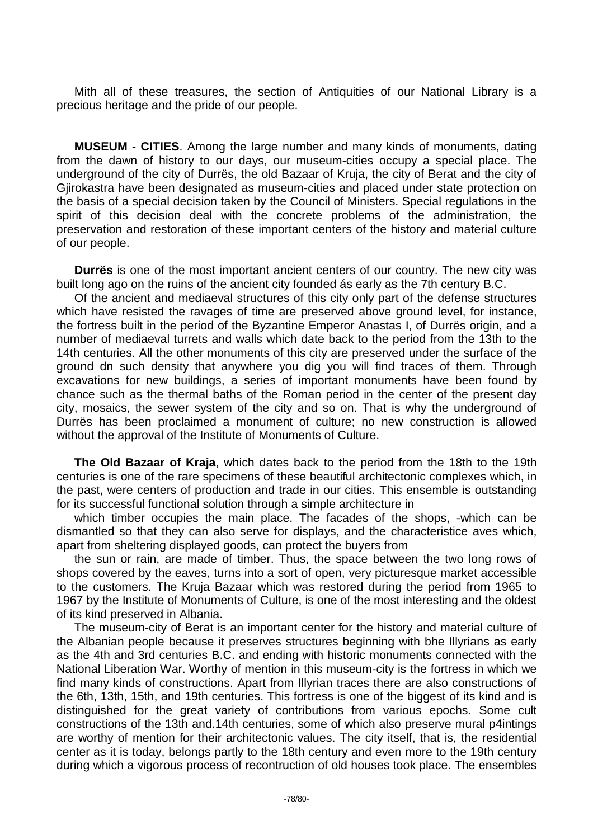Mith all of these treasures, the section of Antiquities of our National Library is a precious heritage and the pride of our people.

**MUSEUM - CITIES**. Among the large number and many kinds of monuments, dating from the dawn of history to our days, our museum-cities occupy a special place. The underground of the city of Durrës, the old Bazaar of Kruja, the city of Berat and the city of Gjirokastra have been designated as museum-cities and placed under state protection on the basis of a special decision taken by the Council of Ministers. Special regulations in the spirit of this decision deal with the concrete problems of the administration, the preservation and restoration of these important centers of the history and material culture of our people.

**Durrës** is one of the most important ancient centers of our country. The new city was built long ago on the ruins of the ancient city founded ás early as the 7th century B.C.

Of the ancient and mediaeval structures of this city only part of the defense structures which have resisted the ravages of time are preserved above ground level, for instance, the fortress built in the period of the Byzantine Emperor Anastas I, of Durrës origin, and a number of mediaeval turrets and walls which date back to the period from the 13th to the 14th centuries. All the other monuments of this city are preserved under the surface of the ground dn such density that anywhere you dig you will find traces of them. Through excavations for new buildings, a series of important monuments have been found by chance such as the thermal baths of the Roman period in the center of the present day city, mosaics, the sewer system of the city and so on. That is why the underground of Durrës has been proclaimed a monument of culture; no new construction is allowed without the approval of the Institute of Monuments of Culture.

**The Old Bazaar of Kraja**, which dates back to the period from the 18th to the 19th centuries is one of the rare specimens of these beautiful architectonic complexes which, in the past, were centers of production and trade in our cities. This ensemble is outstanding for its successful functional solution through a simple architecture in

which timber occupies the main place. The facades of the shops, -which can be dismantled so that they can also serve for displays, and the characteristice aves which, apart from sheltering displayed goods, can protect the buyers from

the sun or rain, are made of timber. Thus, the space between the two long rows of shops covered by the eaves, turns into a sort of open, very picturesque market accessible to the customers. The Kruja Bazaar which was restored during the period from 1965 to 1967 by the Institute of Monuments of Culture, is one of the most interesting and the oldest of its kind preserved in Albania.

The museum-city of Berat is an important center for the history and material culture of the Albanian people because it preserves structures beginning with bhe Illyrians as early as the 4th and 3rd centuries B.C. and ending with historic monuments connected with the National Liberation War. Worthy of mention in this museum-city is the fortress in which we find many kinds of constructions. Apart from Illyrian traces there are also constructions of the 6th, 13th, 15th, and 19th centuries. This fortress is one of the biggest of its kind and is distinguished for the great variety of contributions from various epochs. Some cult constructions of the 13th and.14th centuries, some of which also preserve mural p4intings are worthy of mention for their architectonic values. The city itself, that is, the residential center as it is today, belongs partly to the 18th century and even more to the 19th century during which a vigorous process of recontruction of old houses took place. The ensembles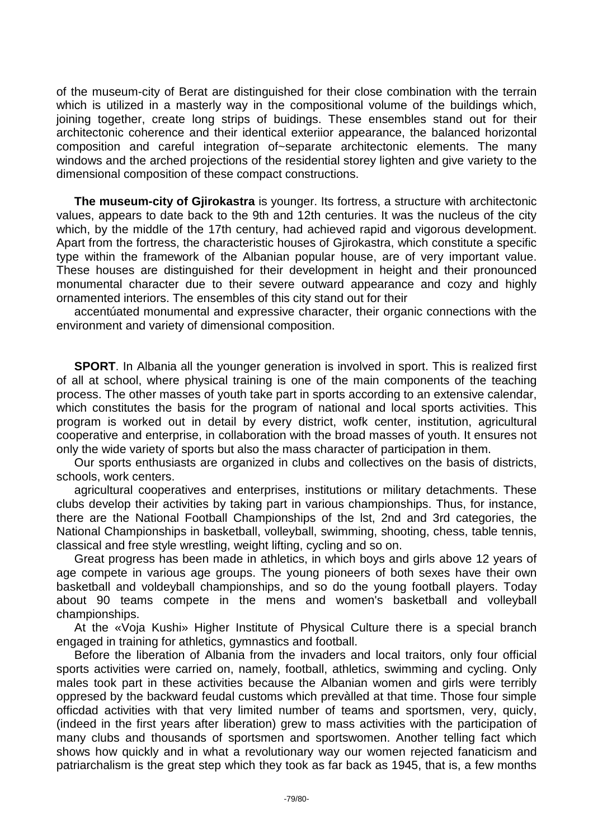of the museum-city of Berat are distinguished for their close combination with the terrain which is utilized in a masterly way in the compositional volume of the buildings which, joining together, create long strips of buidings. These ensembles stand out for their architectonic coherence and their identical exteriior appearance, the balanced horizontal composition and careful integration of~separate architectonic elements. The many windows and the arched projections of the residential storey lighten and give variety to the dimensional composition of these compact constructions.

**The museum-city of Gjirokastra** is younger. Its fortress, a structure with architectonic values, appears to date back to the 9th and 12th centuries. It was the nucleus of the city which, by the middle of the 17th century, had achieved rapid and vigorous development. Apart from the fortress, the characteristic houses of Gjirokastra, which constitute a specific type within the framework of the Albanian popular house, are of very important value. These houses are distinguished for their development in height and their pronounced monumental character due to their severe outward appearance and cozy and highly ornamented interiors. The ensembles of this city stand out for their

accentúated monumental and expressive character, their organic connections with the environment and variety of dimensional composition.

**SPORT**. In Albania all the younger generation is involved in sport. This is realized first of all at school, where physical training is one of the main components of the teaching process. The other masses of youth take part in sports according to an extensive calendar, which constitutes the basis for the program of national and local sports activities. This program is worked out in detail by every district, wofk center, institution, agricultural cooperative and enterprise, in collaboration with the broad masses of youth. It ensures not only the wide variety of sports but also the mass character of participation in them.

Our sports enthusiasts are organized in clubs and collectives on the basis of districts, schools, work centers.

agricultural cooperatives and enterprises, institutions or military detachments. These clubs develop their activities by taking part in various championships. Thus, for instance, there are the National Football Championships of the lst, 2nd and 3rd categories, the National Championships in basketball, volleyball, swimming, shooting, chess, table tennis, classical and free style wrestling, weight lifting, cycling and so on.

Great progress has been made in athletics, in which boys and girls above 12 years of age compete in various age groups. The young pioneers of both sexes have their own basketball and voldeyball championships, and so do the young football players. Today about 90 teams compete in the mens and women's basketball and volleyball championships.

At the «Voja Kushi» Higher Institute of Physical Culture there is a special branch engaged in training for athletics, gymnastics and football.

Before the liberation of Albania from the invaders and local traitors, only four official sports activities were carried on, namely, football, athletics, swimming and cycling. Only males took part in these activities because the Albanian women and girls were terribly oppresed by the backward feudal customs which prevàlled at that time. Those four simple officdad activities with that very limited number of teams and sportsmen, very, quicly, (indeed in the first years after liberation) grew to mass activities with the participation of many clubs and thousands of sportsmen and sportswomen. Another telling fact which shows how quickly and in what a revolutionary way our women rejected fanaticism and patriarchalism is the great step which they took as far back as 1945, that is, a few months